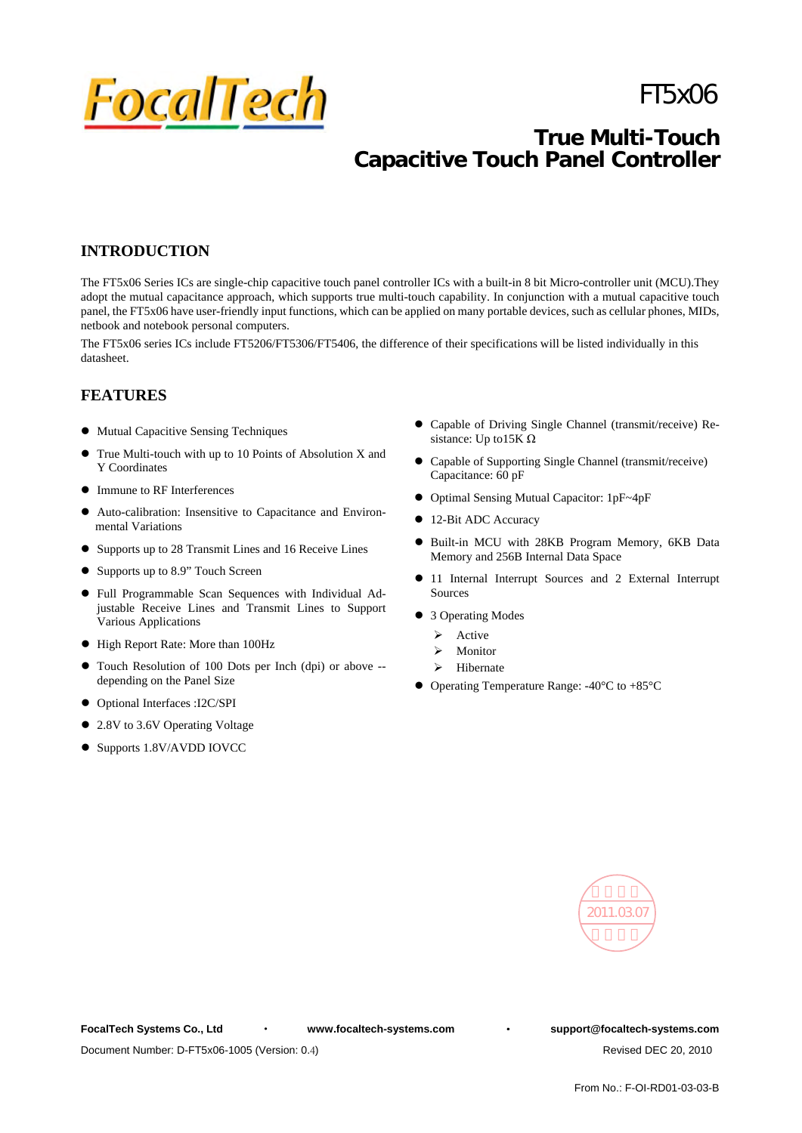

# FT5x06

# **True Multi-Touch Capacitive Touch Panel Controller**

# **INTRODUCTION**

The FT5x06 Series ICs are single-chip capacitive touch panel controller ICs with a built-in 8 bit Micro-controller unit (MCU).They adopt the mutual capacitance approach, which supports true multi-touch capability. In conjunction with a mutual capacitive touch panel, the FT5x06 have user-friendly input functions, which can be applied on many portable devices, such as cellular phones, MIDs, netbook and notebook personal computers.

The FT5x06 series ICs include FT5206/FT5306/FT5406, the difference of their specifications will be listed individually in this datasheet.

# **FEATURES**

- $\bullet$  Mutual Capacitive Sensing Techniques
- True Multi-touch with up to 10 Points of Absolution X and Y Coordinates
- Immune to RF Interferences
- z Auto-calibration: Insensitive to Capacitance and Environmental Variations
- Supports up to 28 Transmit Lines and 16 Receive Lines
- $\bullet$  Supports up to 8.9" Touch Screen
- Full Programmable Scan Sequences with Individual Adjustable Receive Lines and Transmit Lines to Support Various Applications
- $\bullet$  High Report Rate: More than 100Hz
- Touch Resolution of 100 Dots per Inch (dpi) or above -depending on the Panel Size
- Optional Interfaces :I2C/SPI
- 2.8V to 3.6V Operating Voltage
- Supports 1.8V/AVDD IOVCC
- Capable of Driving Single Channel (transmit/receive) Resistance: Up to15K Ω
- Capable of Supporting Single Channel (transmit/receive) Capacitance: 60 pF
- Optimal Sensing Mutual Capacitor: 1pF~4pF
- 12-Bit ADC Accuracy
- $\bullet$  Built-in MCU with 28KB Program Memory, 6KB Data Memory and 256B Internal Data Space
- $\bullet$  11 Internal Interrupt Sources and 2 External Interrupt Sources
- 3 Operating Modes
	- $\triangleright$  Active
	- **Monitor**
	- > Hibernate
- Operating Temperature Range:  $-40^{\circ}$ C to  $+85^{\circ}$ C



**FocalTech Systems Co., Ltd** · **www.focaltech-systems.com** · **support@focaltech-systems.com**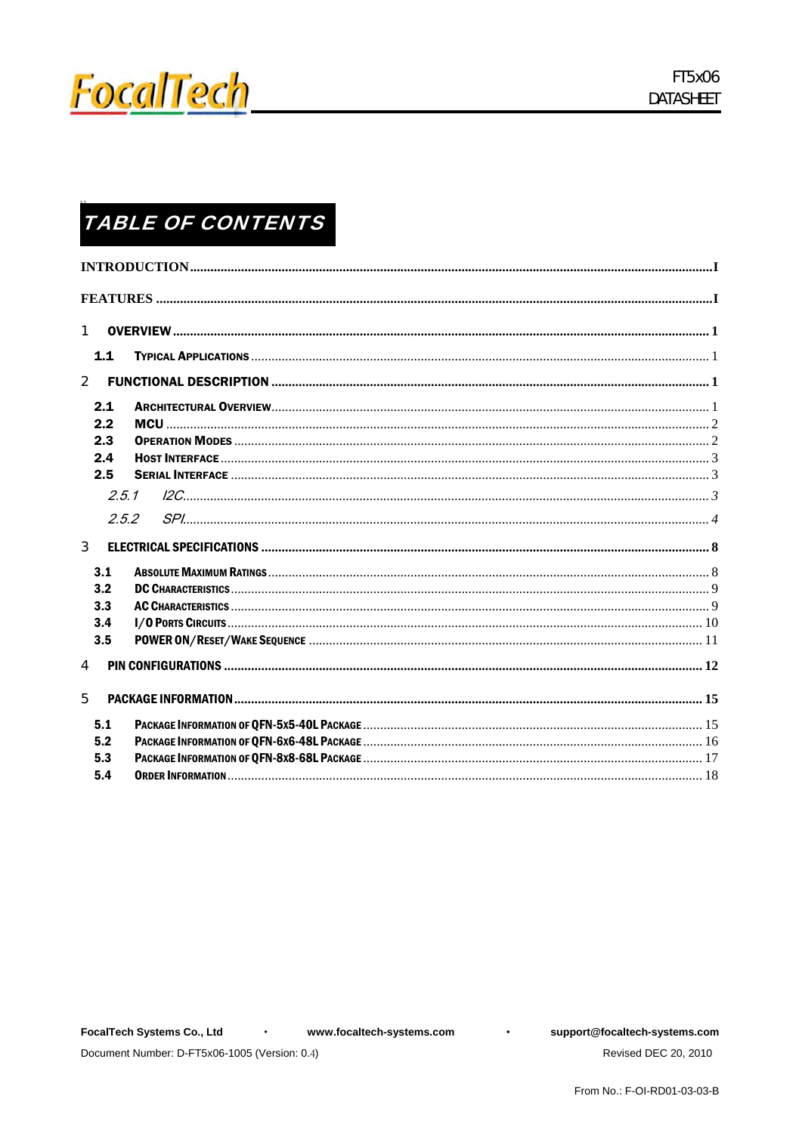

# **TABLE OF CONTENTS**

| $\mathbf{1}$            |       |  |
|-------------------------|-------|--|
|                         | $1.1$ |  |
| $\overline{2}$          |       |  |
|                         | 2.1   |  |
|                         | 2.2   |  |
|                         | 2.3   |  |
|                         | 2.4   |  |
|                         | 2.5   |  |
|                         | 2.5.1 |  |
|                         | 2.5.2 |  |
| $\overline{\mathbf{3}}$ |       |  |
|                         | 3.1   |  |
|                         | 3.2   |  |
|                         | 3.3   |  |
|                         | 3.4   |  |
|                         | 3.5   |  |
| 4                       |       |  |
| 5                       |       |  |
|                         | 5.1   |  |
|                         | 5.2   |  |
|                         | 5.3   |  |
|                         | 5.4   |  |
|                         |       |  |

 $\bullet$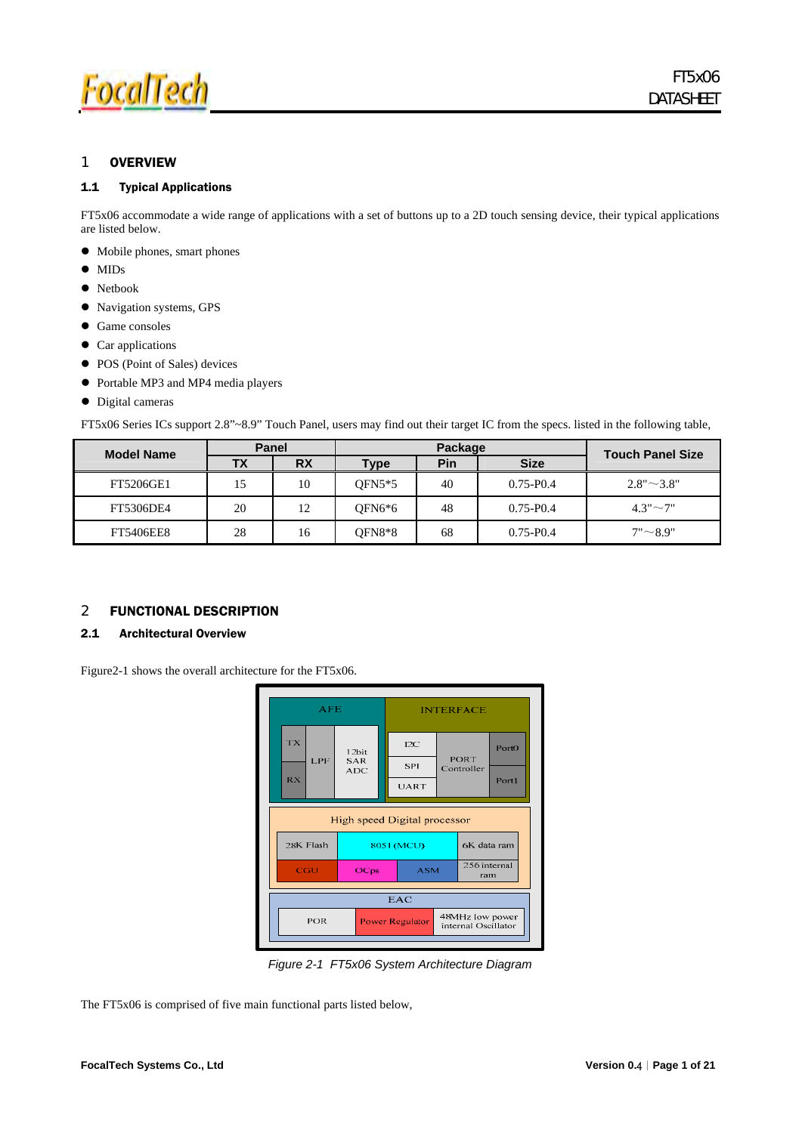

### 1 OVERVIEW

#### 1.1 Typical Applications

FT5x06 accommodate a wide range of applications with a set of buttons up to a 2D touch sensing device, their typical applications are listed below.

- $\bullet$  Mobile phones, smart phones
- $\bullet$  MIDs
- Netbook
- Navigation systems, GPS
- Game consoles
- $\bullet$  Car applications
- POS (Point of Sales) devices
- Portable MP3 and MP4 media players
- $\bullet$  Digital cameras

FT5x06 Series ICs support 2.8"~8.9" Touch Panel, users may find out their target IC from the specs. listed in the following table,

| <b>Model Name</b> | <b>Panel</b> |           | Package  |     |               | <b>Touch Panel Size</b> |
|-------------------|--------------|-----------|----------|-----|---------------|-------------------------|
|                   | ТX           | <b>RX</b> | Type     | Pin | <b>Size</b>   |                         |
| FT5206GE1         | 15           | 10        | $OFN5*5$ | 40  | $0.75 - P0.4$ | $2.8" \sim 3.8"$        |
| FT5306DE4         | 20           | 12        | OFN6*6   | 48  | $0.75 - P0.4$ | $4.3" \sim 7"$          |
| <b>FT5406EE8</b>  | 28           | 16        | OFN8*8   | 68  | $0.75 - P0.4$ | 7"~8.9"                 |

#### 2 FUNCTIONAL DESCRIPTION

### 2.1 Architectural Overview

Figure2-1 shows the overall architecture for the FT5x06.



*Figure 2-1 FT5x06 System Architecture Diagram* 

The FT5x06 is comprised of five main functional parts listed below,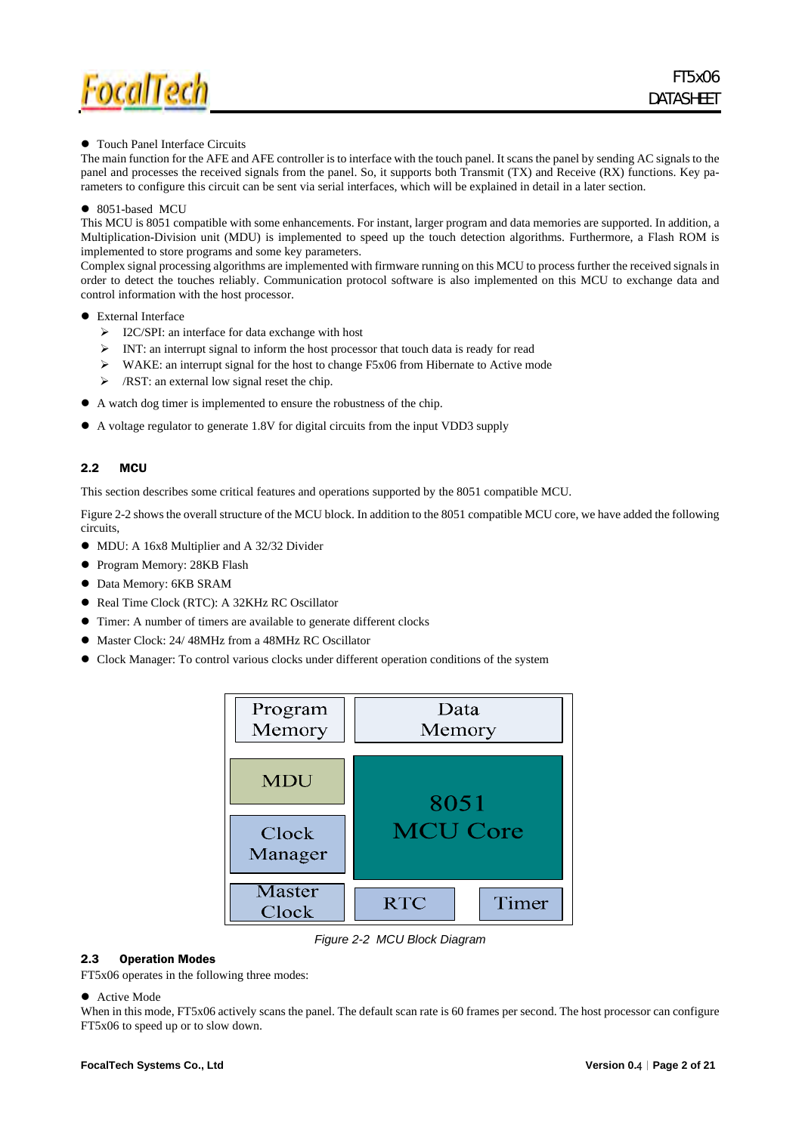

#### • Touch Panel Interface Circuits

The main function for the AFE and AFE controller is to interface with the touch panel. It scans the panel by sending AC signals to the panel and processes the received signals from the panel. So, it supports both Transmit (TX) and Receive (RX) functions. Key parameters to configure this circuit can be sent via serial interfaces, which will be explained in detail in a later section.

#### $\bullet$  8051-based MCU

This MCU is 8051 compatible with some enhancements. For instant, larger program and data memories are supported. In addition, a Multiplication-Division unit (MDU) is implemented to speed up the touch detection algorithms. Furthermore, a Flash ROM is implemented to store programs and some key parameters.

Complex signal processing algorithms are implemented with firmware running on this MCU to process further the received signals in order to detect the touches reliably. Communication protocol software is also implemented on this MCU to exchange data and control information with the host processor.

#### External Interface

- $\triangleright$  I2C/SPI: an interface for data exchange with host
- ¾ INT: an interrupt signal to inform the host processor that touch data is ready for read
- $\triangleright$  WAKE: an interrupt signal for the host to change F5x06 from Hibernate to Active mode
- $\triangleright$  /RST: an external low signal reset the chip.
- A watch dog timer is implemented to ensure the robustness of the chip.
- A voltage regulator to generate 1.8V for digital circuits from the input VDD3 supply

#### 2.2 MCU

This section describes some critical features and operations supported by the 8051 compatible MCU.

Figure 2-2 shows the overall structure of the MCU block. In addition to the 8051 compatible MCU core, we have added the following circuits,

- MDU: A 16x8 Multiplier and A 32/32 Divider
- **•** Program Memory: 28KB Flash
- $\bullet$  Data Memory: 6KB SRAM
- Real Time Clock (RTC): A 32KHz RC Oscillator
- Timer: A number of timers are available to generate different clocks
- $\bullet$  Master Clock: 24/ 48MHz from a 48MHz RC Oscillator
- Clock Manager: To control various clocks under different operation conditions of the system



*Figure 2-2 MCU Block Diagram* 

#### 2.3 Operation Modes

FT5x06 operates in the following three modes:

#### $\bullet$  Active Mode

When in this mode, FT5x06 actively scans the panel. The default scan rate is 60 frames per second. The host processor can configure FT5x06 to speed up or to slow down.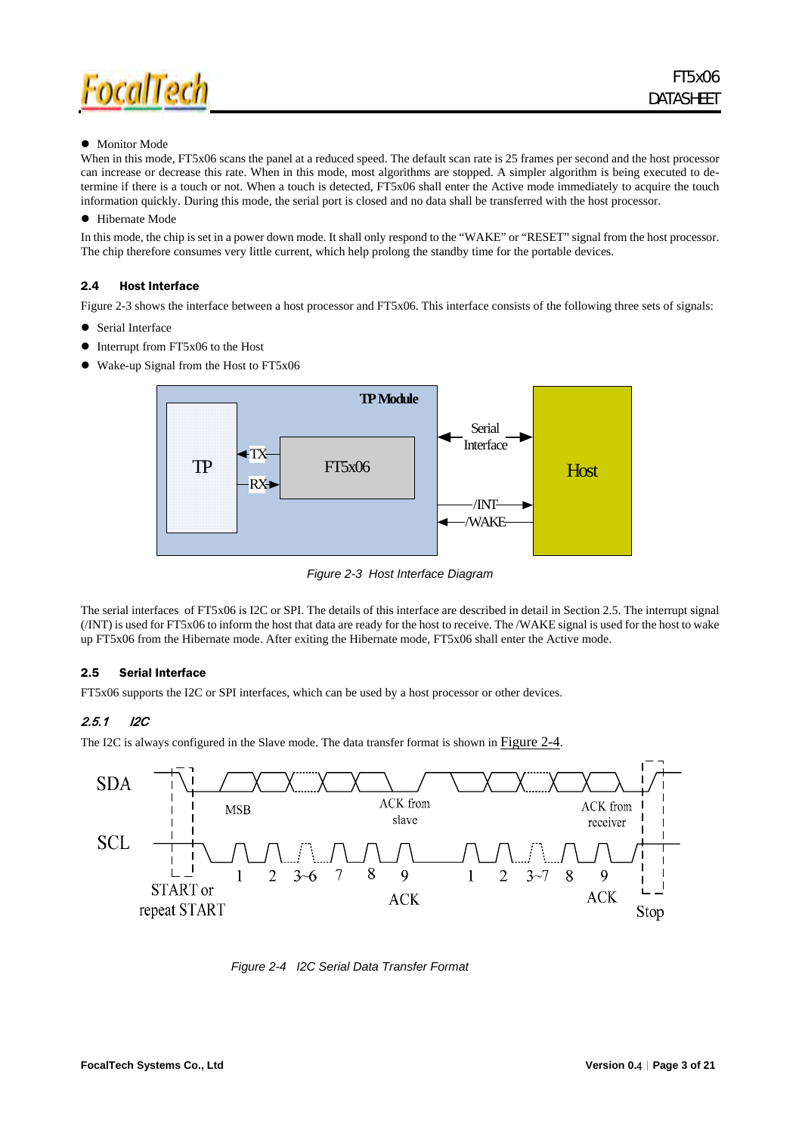

#### $\bullet$  Monitor Mode

When in this mode, FT5x06 scans the panel at a reduced speed. The default scan rate is 25 frames per second and the host processor can increase or decrease this rate. When in this mode, most algorithms are stopped. A simpler algorithm is being executed to determine if there is a touch or not. When a touch is detected, FT5x06 shall enter the Active mode immediately to acquire the touch information quickly. During this mode, the serial port is closed and no data shall be transferred with the host processor.

#### $\bullet$  Hibernate Mode

In this mode, the chip is set in a power down mode. It shall only respond to the "WAKE" or "RESET" signal from the host processor. The chip therefore consumes very little current, which help prolong the standby time for the portable devices.

#### 2.4 Host Interface

Figure 2-3 shows the interface between a host processor and FT5x06. This interface consists of the following three sets of signals:

- Serial Interface
- Interrupt from FT5x06 to the Host
- Wake-up Signal from the Host to FT5x06



*Figure 2-3 Host Interface Diagram* 

The serial interfaces of FT5x06 is I2C or SPI. The details of this interface are described in detail in Section 2.5. The interrupt signal (/INT) is used for FT5x06 to inform the host that data are ready for the host to receive. The /WAKE signal is used for the host to wake up FT5x06 from the Hibernate mode. After exiting the Hibernate mode, FT5x06 shall enter the Active mode.

#### 2.5 Serial Interface

FT5x06 supports the I2C or SPI interfaces, which can be used by a host processor or other devices.

### 2.5.1 I2C

The I2C is always configured in the Slave mode. The data transfer format is shown in Figure 2-4.



*Figure 2-4 I2C Serial Data Transfer Format*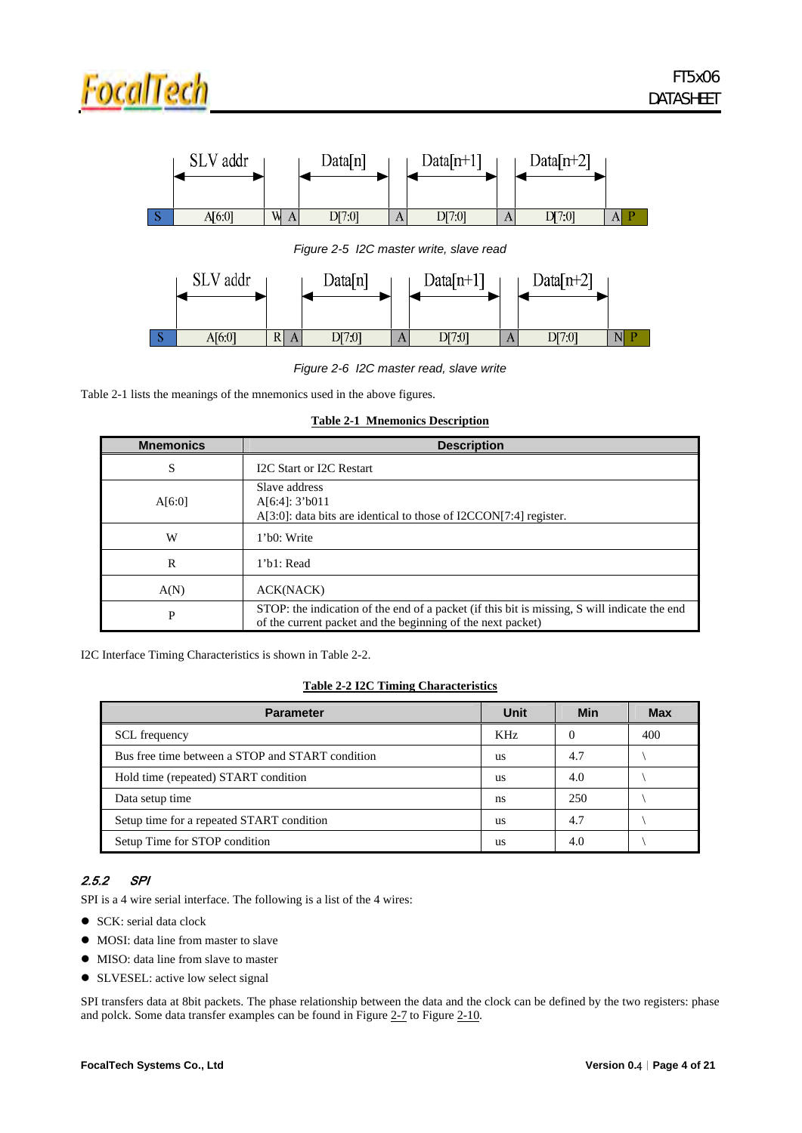

*Figure 2-6 I2C master read, slave write* 

Table 2-1 lists the meanings of the mnemonics used in the above figures.

|  | <b>Table 2-1 Mnemonics Description</b> |
|--|----------------------------------------|
|  |                                        |

| <b>Mnemonics</b> | <b>Description</b>                                                                                                                                          |
|------------------|-------------------------------------------------------------------------------------------------------------------------------------------------------------|
| S                | I2C Start or I2C Restart                                                                                                                                    |
| A[6:0]           | Slave address<br>A[6:4]: 3'b011<br>A[3:0]: data bits are identical to those of I2CCON[7:4] register.                                                        |
| W                | 1'b0: Write                                                                                                                                                 |
| R                | 1'b1: Read                                                                                                                                                  |
| A(N)             | ACK(NACK)                                                                                                                                                   |
| P                | STOP: the indication of the end of a packet (if this bit is missing, S will indicate the end<br>of the current packet and the beginning of the next packet) |

I2C Interface Timing Characteristics is shown in Table 2-2.

#### **Table 2-2 I2C Timing Characteristics**

| <b>Parameter</b>                                 | Unit | Min | <b>Max</b> |
|--------------------------------------------------|------|-----|------------|
| <b>SCL</b> frequency                             | KHz  | 0   | 400        |
| Bus free time between a STOP and START condition | us   | 4.7 |            |
| Hold time (repeated) START condition             | us   | 4.0 |            |
| Data setup time                                  | ns   | 250 |            |
| Setup time for a repeated START condition        | us   | 4.7 |            |
| Setup Time for STOP condition                    | us   | 4.0 |            |

### 2.5.2 SPI

SPI is a 4 wire serial interface. The following is a list of the 4 wires:

- $\bullet$  SCK: serial data clock
- MOSI: data line from master to slave
- MISO: data line from slave to master
- SLVESEL: active low select signal

SPI transfers data at 8bit packets. The phase relationship between the data and the clock can be defined by the two registers: phase and polck. Some data transfer examples can be found in Figure 2-7 to Figure 2-10.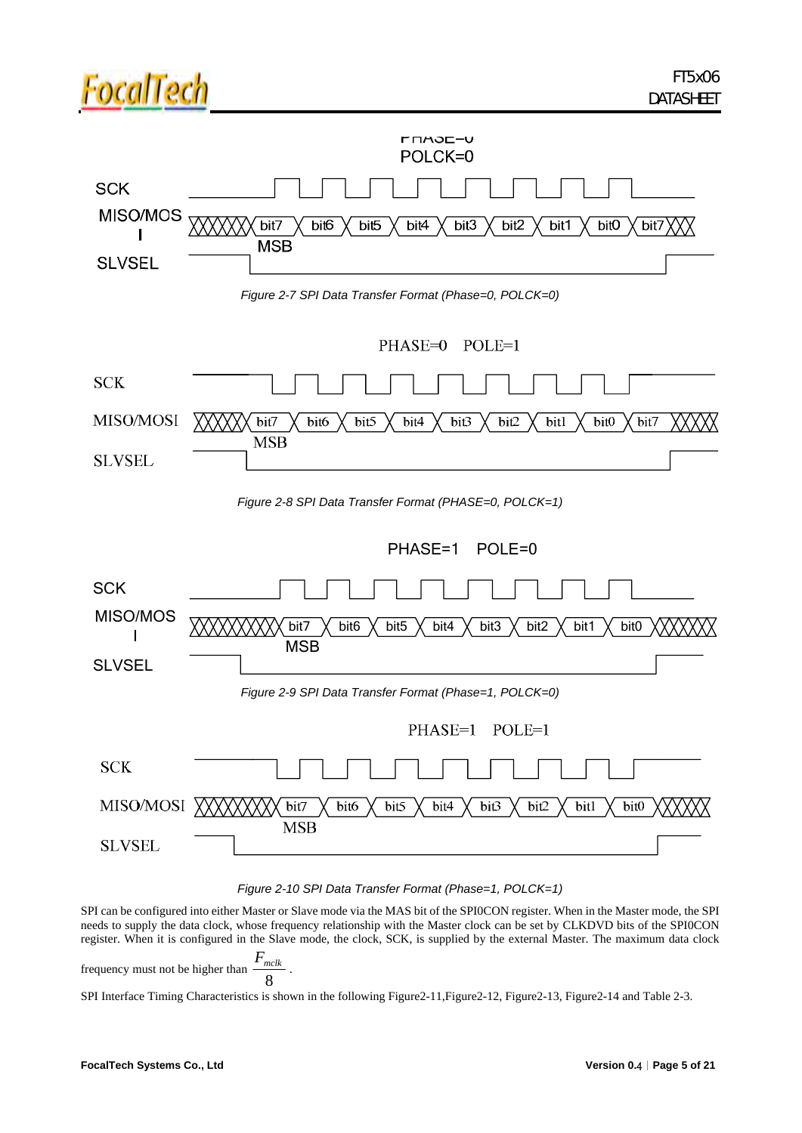

*Figure 2-10 SPI Data Transfer Format (Phase=1, POLCK=1)* 

SPI can be configured into either Master or Slave mode via the MAS bit of the SPI0CON register. When in the Master mode, the SPI needs to supply the data clock, whose frequency relationship with the Master clock can be set by CLKDVD bits of the SPI0CON register. When it is configured in the Slave mode, the clock, SCK, is supplied by the external Master. The maximum data clock  $\frac{F_{mclk}}{2}$  .

frequency must not be higher than  $\frac{m}{8}$ 

SPI Interface Timing Characteristics is shown in the following Figure2-11,Figure2-12, Figure2-13, Figure2-14 and Table 2-3.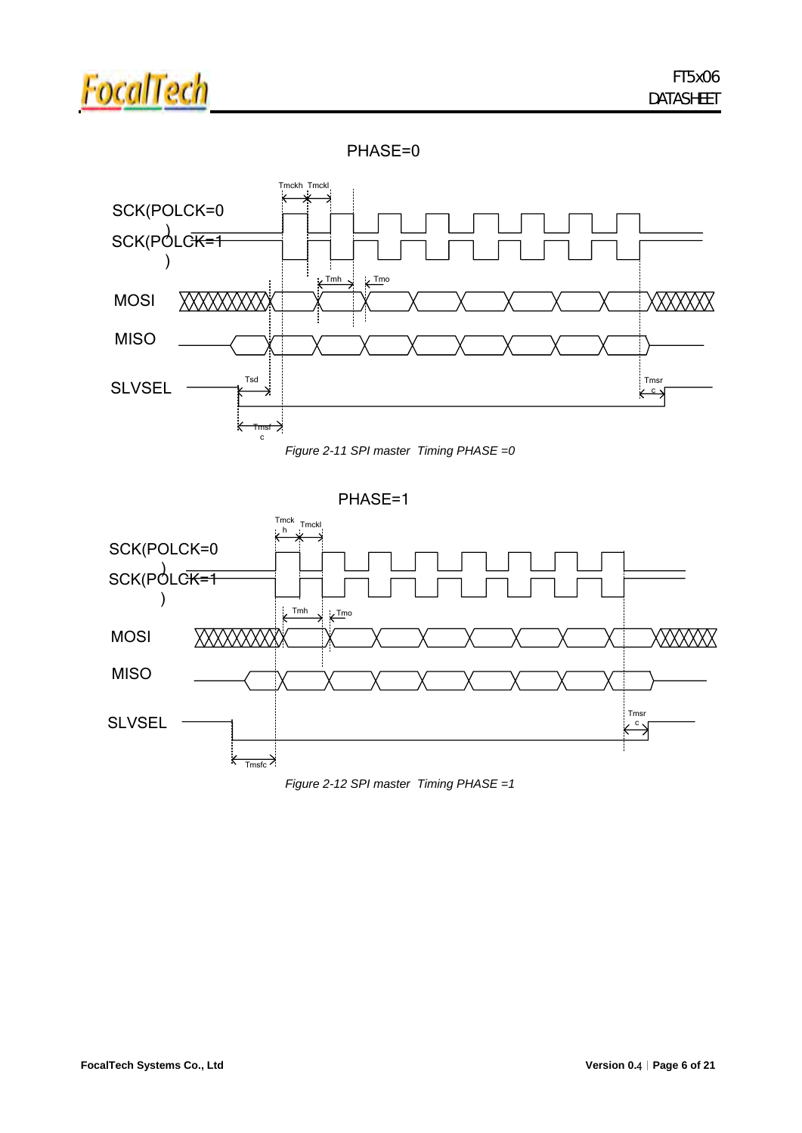

### PHASE=0





PHASE=1



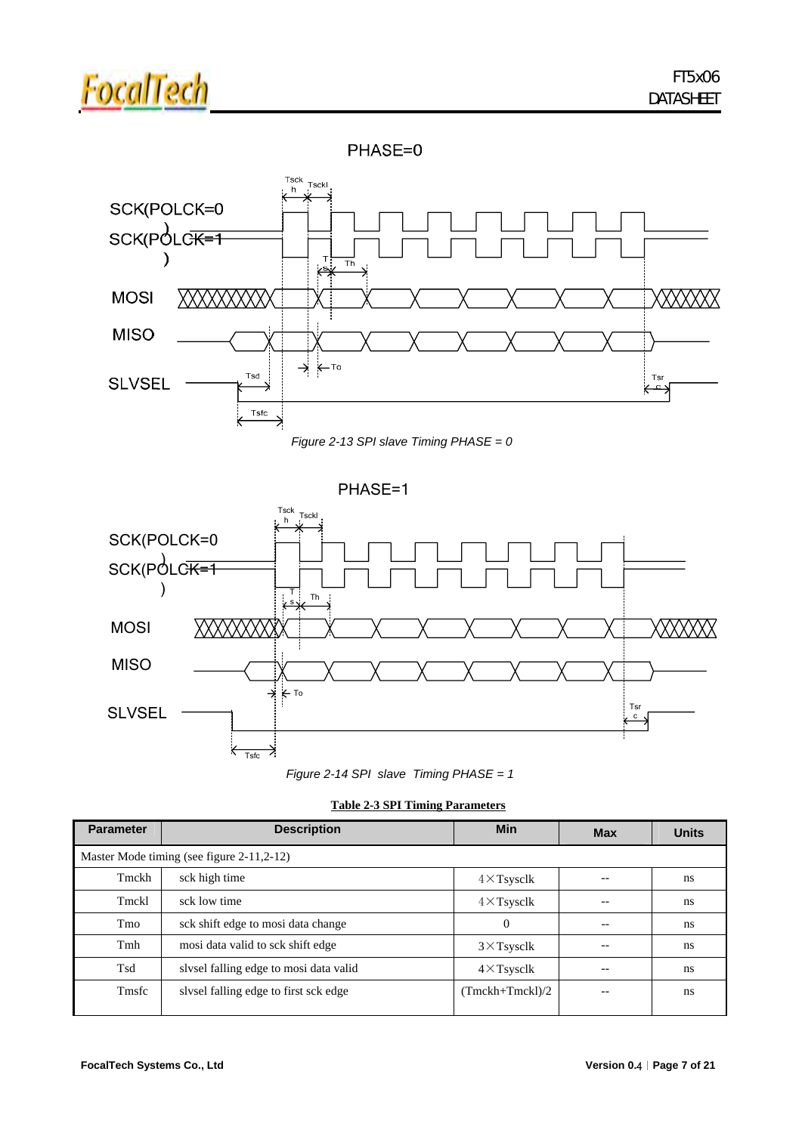

### PHASE=0





PHASE=1





|  |  | <b>Table 2-3 SPI Timing Parameters</b> |
|--|--|----------------------------------------|
|  |  |                                        |

| <b>Parameter</b>                          | <b>Description</b>                     | <b>Min</b>         | <b>Max</b> | <b>Units</b> |  |  |  |  |
|-------------------------------------------|----------------------------------------|--------------------|------------|--------------|--|--|--|--|
| Master Mode timing (see figure 2-11,2-12) |                                        |                    |            |              |  |  |  |  |
| Tmckh                                     | sck high time                          | $4 \times$ Tsysclk |            | ns           |  |  |  |  |
| Tmckl                                     | sck low time                           | $4 \times$ Tsysclk |            | ns           |  |  |  |  |
| Tmo                                       | sck shift edge to mosi data change     | $\theta$           |            | ns           |  |  |  |  |
| Tmh                                       | mosi data valid to sck shift edge      | $3 \times$ Tsysclk |            | ns           |  |  |  |  |
| Tsd                                       | slysel falling edge to mosi data valid | $4 \times$ Tsysclk |            | ns           |  |  |  |  |
| Tmsfc                                     | slysel falling edge to first sck edge  | $(Tmckh+Tmckl)/2$  |            | ns           |  |  |  |  |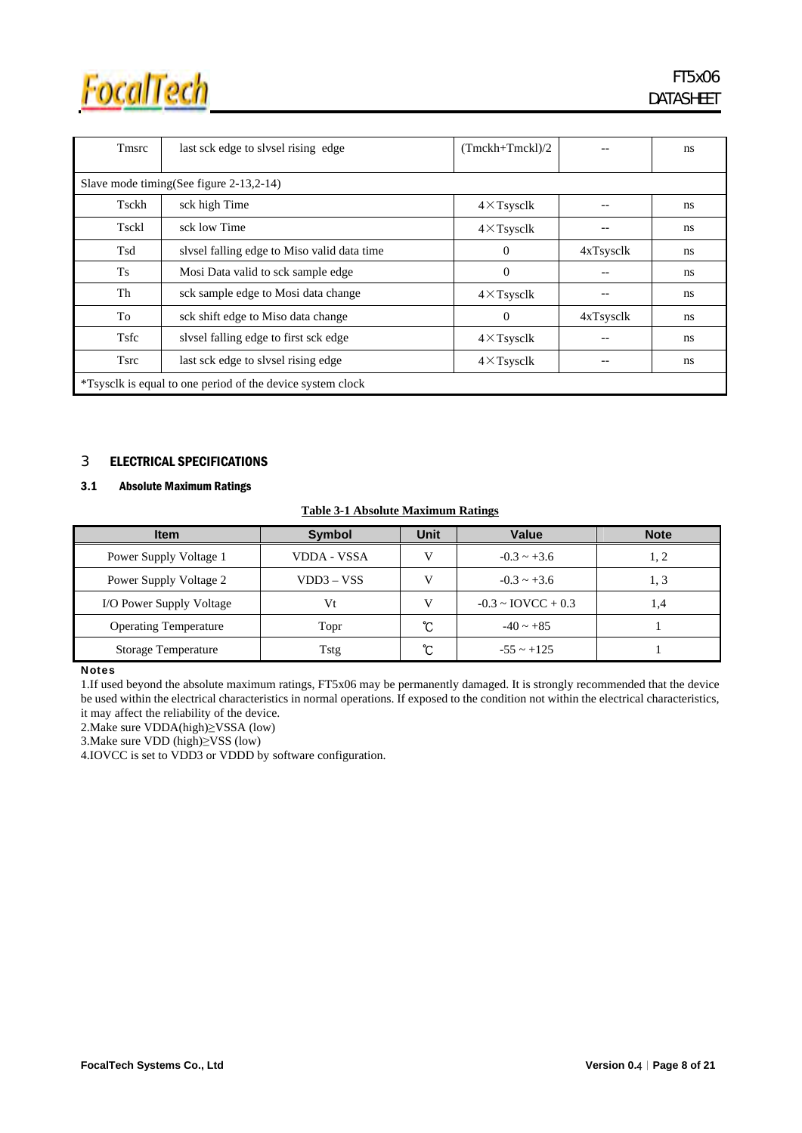

| Tmsrc       | last sck edge to slysel rising edge                        | $(Tmckh+Tmckl)/2$  |                       | ns |  |  |  |  |  |
|-------------|------------------------------------------------------------|--------------------|-----------------------|----|--|--|--|--|--|
|             | Slave mode timing(See figure 2-13,2-14)                    |                    |                       |    |  |  |  |  |  |
| Tsckh       | sck high Time                                              | $4 \times$ Tsysclk |                       | ns |  |  |  |  |  |
| Tsckl       | sck low Time                                               | $4 \times$ Tsysclk |                       | ns |  |  |  |  |  |
| Tsd         | slysel falling edge to Miso valid data time                | $\Omega$           | 4xT <sub>sysclk</sub> | ns |  |  |  |  |  |
| Ts          | Mosi Data valid to sck sample edge                         | $\overline{0}$     |                       | ns |  |  |  |  |  |
| Th          | sck sample edge to Mosi data change                        | $4 \times$ Tsysclk |                       | ns |  |  |  |  |  |
| To          | sck shift edge to Miso data change                         | $\Omega$           | 4xT <sub>svsc</sub>   | ns |  |  |  |  |  |
| <b>Tsfc</b> | slysel falling edge to first sck edge                      | $4 \times$ Tsysclk |                       | ns |  |  |  |  |  |
| <b>Tsrc</b> | last sck edge to slysel rising edge                        | $4 \times$ Tsysclk |                       | ns |  |  |  |  |  |
|             | *Tsysclk is equal to one period of the device system clock |                    |                       |    |  |  |  |  |  |

### 3 ELECTRICAL SPECIFICATIONS

#### 3.1 Absolute Maximum Ratings

|  | <b>Table 3-1 Absolute Maximum Ratings</b> |  |
|--|-------------------------------------------|--|
|  |                                           |  |

| <b>Item</b>                  | <b>Symbol</b> | Unit | Value                          | <b>Note</b> |
|------------------------------|---------------|------|--------------------------------|-------------|
| Power Supply Voltage 1       | VDDA - VSSA   |      | $-0.3 \sim +3.6$               | 1, 2        |
| Power Supply Voltage 2       | VDD3 – VSS    |      | $-0.3 \sim +3.6$               | 1, 3        |
| I/O Power Supply Voltage     | Vt            |      | $-0.3 \sim \text{IOVCC} + 0.3$ | $\cdot$ 4   |
| <b>Operating Temperature</b> | Topr          | ∽    | $-40 \sim +85$                 |             |
| <b>Storage Temperature</b>   | Tstg          | ົ    | $-55 \sim +125$                |             |

#### **Notes**

1.If used beyond the absolute maximum ratings, FT5x06 may be permanently damaged. It is strongly recommended that the device be used within the electrical characteristics in normal operations. If exposed to the condition not within the electrical characteristics, it may affect the reliability of the device.

2.Make sure VDDA(high)≥VSSA (low)

3.Make sure VDD (high)≥VSS (low)

4.IOVCC is set to VDD3 or VDDD by software configuration.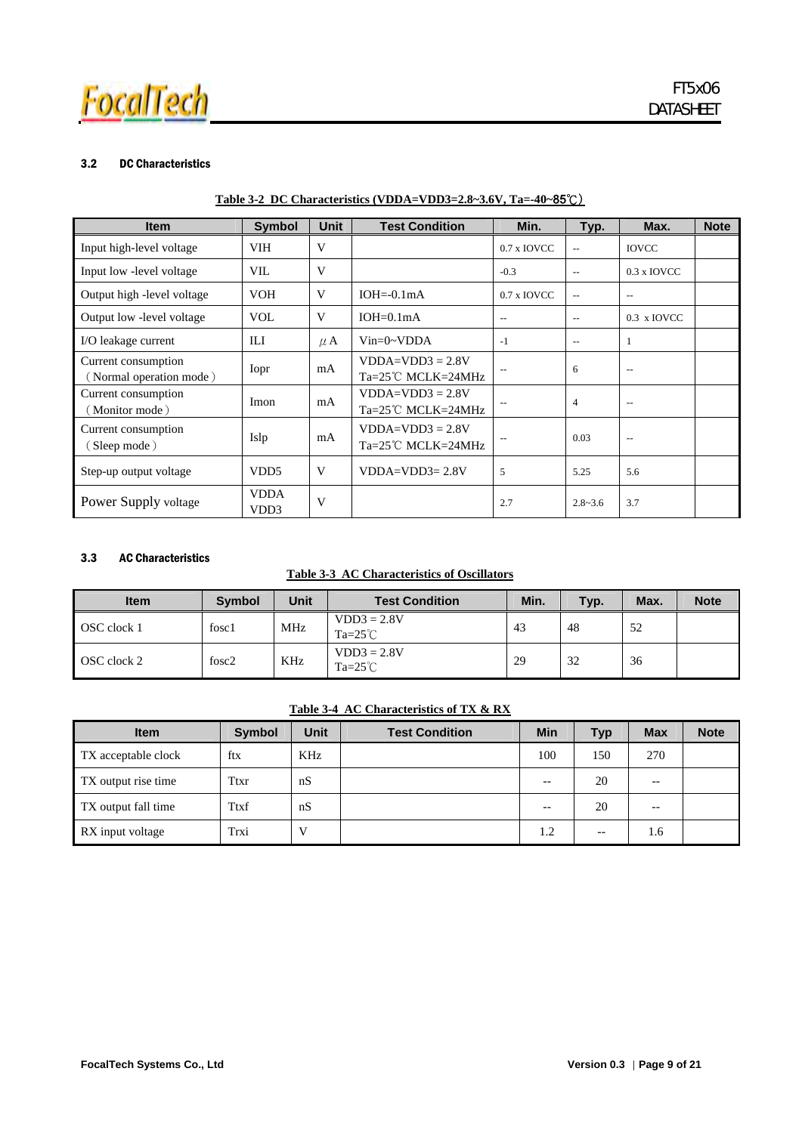

#### 3.2 DC Characteristics

| <b>Item</b>                                    | <b>Symbol</b>                    | <b>Unit</b> | <b>Test Condition</b>                              | Min.                     | Typ.                     | Max.                     | <b>Note</b> |
|------------------------------------------------|----------------------------------|-------------|----------------------------------------------------|--------------------------|--------------------------|--------------------------|-------------|
| Input high-level voltage                       | <b>VIH</b>                       | V           |                                                    | $0.7$ x IOVCC            | $\overline{\phantom{a}}$ | <b>IOVCC</b>             |             |
| Input low - level voltage                      | VII.                             | V           |                                                    | $-0.3$                   | $\overline{\phantom{a}}$ | 0.3 x IOVCC              |             |
| Output high - level voltage                    | <b>VOH</b>                       | V           | $IOH = 0.1mA$                                      | $0.7$ x IOVCC            | $\mathbf{u}$             | $- -$                    |             |
| Output low - level voltage                     | <b>VOL</b>                       | V           | $IOH=0.1mA$                                        | $\overline{\phantom{m}}$ | $- -$                    | 0.3 x IOVCC              |             |
| I/O leakage current                            | ILI                              | $\mu$ A     | $Vin=0~VDDA$                                       | $-1$                     | $\overline{\phantom{a}}$ | 1                        |             |
| Current consumption<br>(Normal operation mode) | Iopr                             | mA          | $VDDA=VDD3 = 2.8V$<br>$Ta=25^{\circ}$ C MCLK=24MHz |                          | 6                        | $\overline{\phantom{m}}$ |             |
| Current consumption<br>(Monitor mode)          | Imon                             | mA          | $VDDA=VDD3 = 2.8V$<br>$Ta=25^{\circ}$ C MCLK=24MHz |                          | $\overline{4}$           | $\overline{\phantom{m}}$ |             |
| Current consumption<br>(Sleep mode)            | Islp                             | mA          | $VDDA=VDD3 = 2.8V$<br>$Ta=25^{\circ}$ C MCLK=24MHz |                          | 0.03                     | $- -$                    |             |
| Step-up output voltage                         | VD <sub>D5</sub>                 | V           | $VDDA=VDD3=2.8V$                                   | 5                        | 5.25                     | 5.6                      |             |
| Power Supply voltage                           | <b>VDDA</b><br>VD <sub>D</sub> 3 | V           |                                                    | 2.7                      | $2.8 - 3.6$              | 3.7                      |             |

### 3.3 AC Characteristics

#### **Table 3-3 AC Characteristics of Oscillators**

| <b>Item</b> | <b>Symbol</b> | <b>Unit</b> | <b>Test Condition</b>             | Min. | Typ. | Max. | <b>Note</b> |
|-------------|---------------|-------------|-----------------------------------|------|------|------|-------------|
| OSC clock 1 | fosc1         | <b>MHz</b>  | $VDD3 = 2.8V$<br>$Ta=25^{\circ}C$ | 43   | 48   | 52   |             |
| OSC clock 2 | fosc2         | KHz         | $VDD3 = 2.8V$<br>$Ta=25^{\circ}C$ | 29   | 32   | 36   |             |

#### **Table 3-4 AC Characteristics of TX & RX**

| <b>Item</b>         | <b>Symbol</b> | Unit | <b>Test Condition</b> | <b>Min</b> | <b>Typ</b>               | <b>Max</b> | <b>Note</b> |
|---------------------|---------------|------|-----------------------|------------|--------------------------|------------|-------------|
| TX acceptable clock | ftx           | KHz  |                       | 100        | 150                      | 270        |             |
| TX output rise time | Ttxr          | nS   |                       | --         | 20                       | $- -$      |             |
| TX output fall time | Ttxf          | nS   |                       | --         | 20                       | $- -$      |             |
| RX input voltage    | Trxi          |      |                       | 1.2        | $\overline{\phantom{m}}$ | 1.6        |             |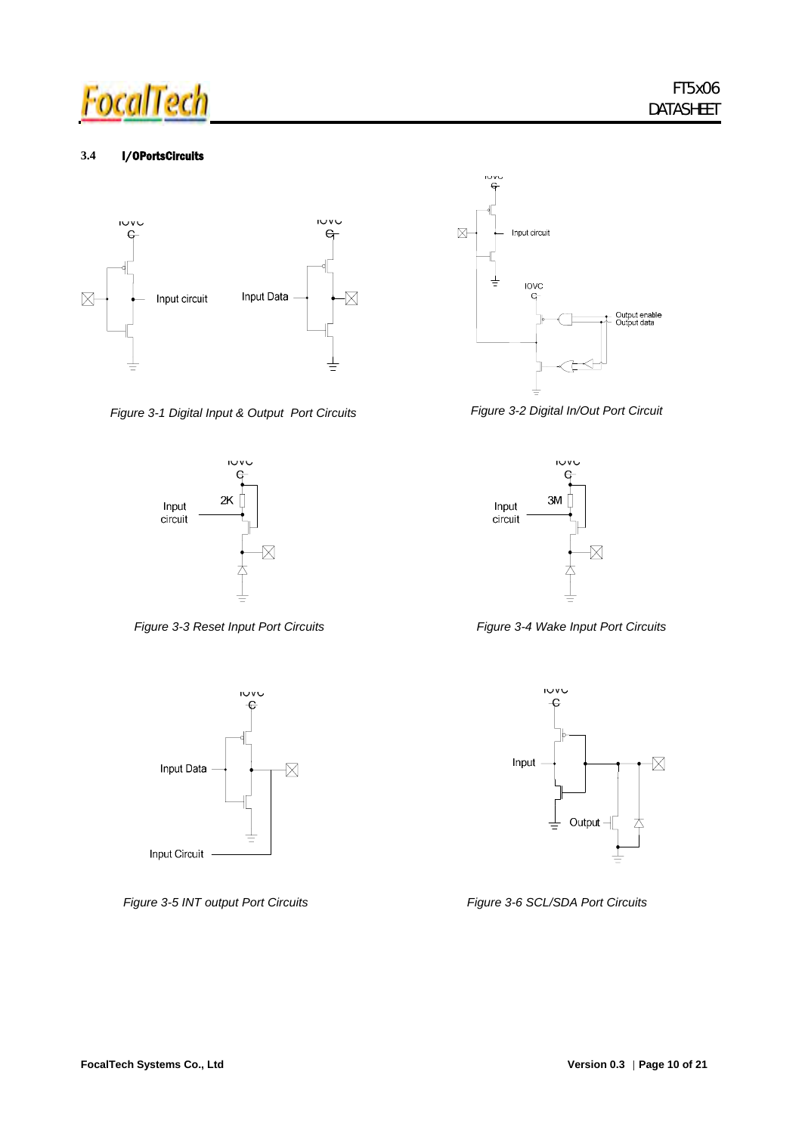

#### **3.4** I/OPortsCircuits



*Figure 3-1 Digital Input & Output Port Circuits* 









*Figure 3-2 Digital In/Out Port Circuit*





*Figure 3-5 INT output Port Circuits Figure 3-6 SCL/SDA Port Circuits*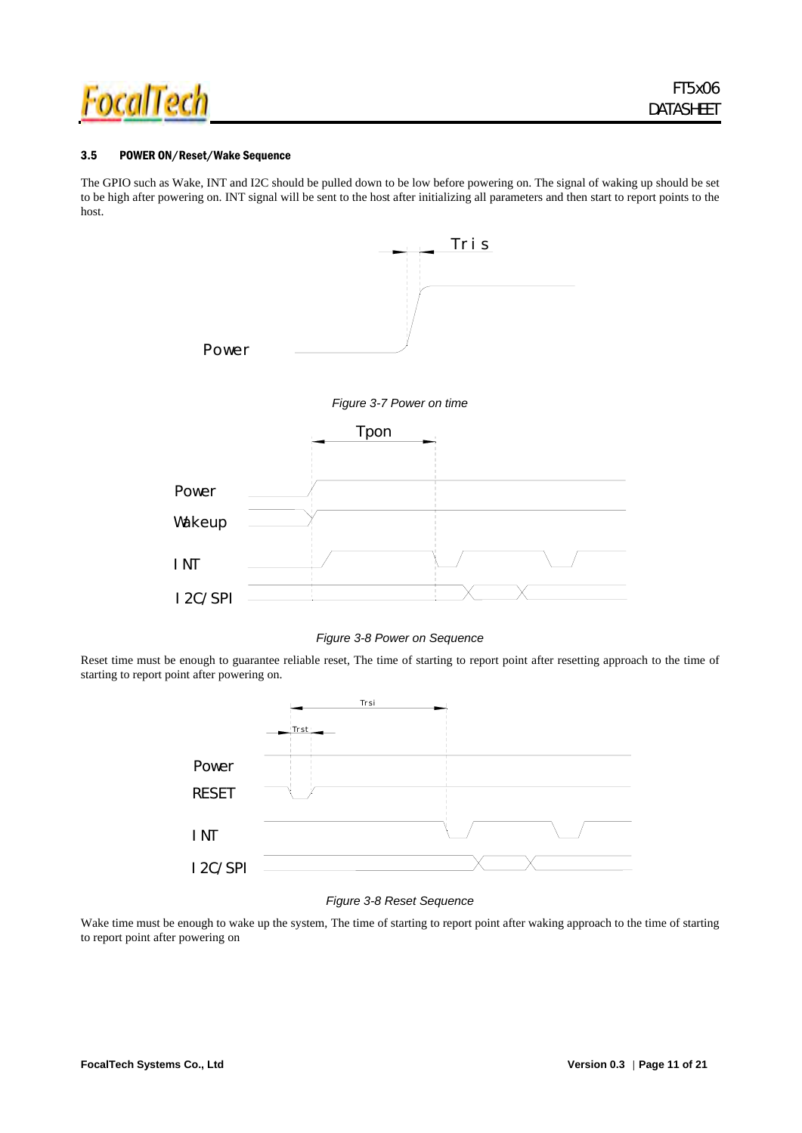

#### 3.5 POWER ON/Reset/Wake Sequence

I 2C/ SPI

The GPIO such as Wake, INT and I2C should be pulled down to be low before powering on. The signal of waking up should be set to be high after powering on. INT signal will be sent to the host after initializing all parameters and then start to report points to the host.





*Figure 3-8 Power on Sequence* 

Reset time must be enough to guarantee reliable reset, The time of starting to report point after resetting approach to the time of starting to report point after powering on.

![](_page_12_Figure_8.jpeg)

#### *Figure 3-8 Reset Sequence*

Wake time must be enough to wake up the system, The time of starting to report point after waking approach to the time of starting to report point after powering on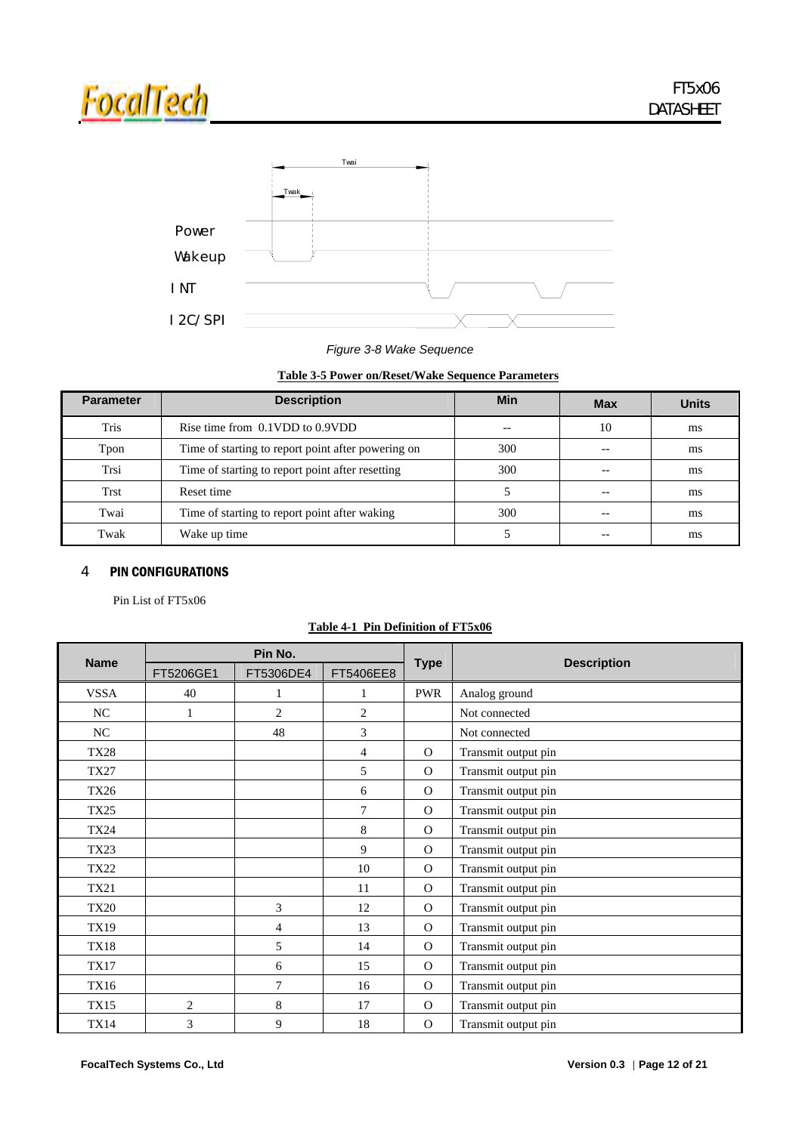![](_page_13_Picture_0.jpeg)

![](_page_13_Figure_2.jpeg)

### *Figure 3-8 Wake Sequence*

### **Table 3-5 Power on/Reset/Wake Sequence Parameters**

| <b>Parameter</b> | <b>Description</b>                                 | Min | <b>Max</b> | <b>Units</b> |
|------------------|----------------------------------------------------|-----|------------|--------------|
| Tris             | Rise time from 0.1VDD to 0.9VDD                    |     | 10         | ms           |
| Tpon             | Time of starting to report point after powering on | 300 |            | ms           |
| Trsi             | Time of starting to report point after resetting   | 300 |            | ms           |
| <b>Trst</b>      | Reset time                                         |     |            | ms           |
| Twai             | Time of starting to report point after waking      | 300 |            | ms           |
| Twak             | Wake up time                                       |     |            | ms           |

### 4 PIN CONFIGURATIONS

Pin List of FT5x06

| <b>Name</b> |                | Pin No.        |                |              | <b>Description</b>  |
|-------------|----------------|----------------|----------------|--------------|---------------------|
|             | FT5206GE1      | FT5306DE4      | FT5406EE8      | <b>Type</b>  |                     |
| <b>VSSA</b> | 40             | 1              | 1              | <b>PWR</b>   | Analog ground       |
| NC          | 1              | 2              | 2              |              | Not connected       |
| NC          |                | 48             | 3              |              | Not connected       |
| <b>TX28</b> |                |                | $\overline{4}$ | $\Omega$     | Transmit output pin |
| <b>TX27</b> |                |                | 5              | $\Omega$     | Transmit output pin |
| <b>TX26</b> |                |                | 6              | $\Omega$     | Transmit output pin |
| <b>TX25</b> |                |                | 7              | $\Omega$     | Transmit output pin |
| <b>TX24</b> |                |                | 8              | $\Omega$     | Transmit output pin |
| <b>TX23</b> |                |                | 9              | $\Omega$     | Transmit output pin |
| <b>TX22</b> |                |                | 10             | $\Omega$     | Transmit output pin |
| <b>TX21</b> |                |                | 11             | $\Omega$     | Transmit output pin |
| <b>TX20</b> |                | 3              | 12             | $\Omega$     | Transmit output pin |
| <b>TX19</b> |                | $\overline{4}$ | 13             | $\Omega$     | Transmit output pin |
| <b>TX18</b> |                | 5              | 14             | $\Omega$     | Transmit output pin |
| <b>TX17</b> |                | 6              | 15             | $\Omega$     | Transmit output pin |
| <b>TX16</b> |                | $\overline{7}$ | 16             | $\Omega$     | Transmit output pin |
| <b>TX15</b> | $\overline{c}$ | 8              | 17             | $\Omega$     | Transmit output pin |
| <b>TX14</b> | 3              | 9              | 18             | $\mathbf{O}$ | Transmit output pin |

#### **Table 4-1 Pin Definition of FT5x06**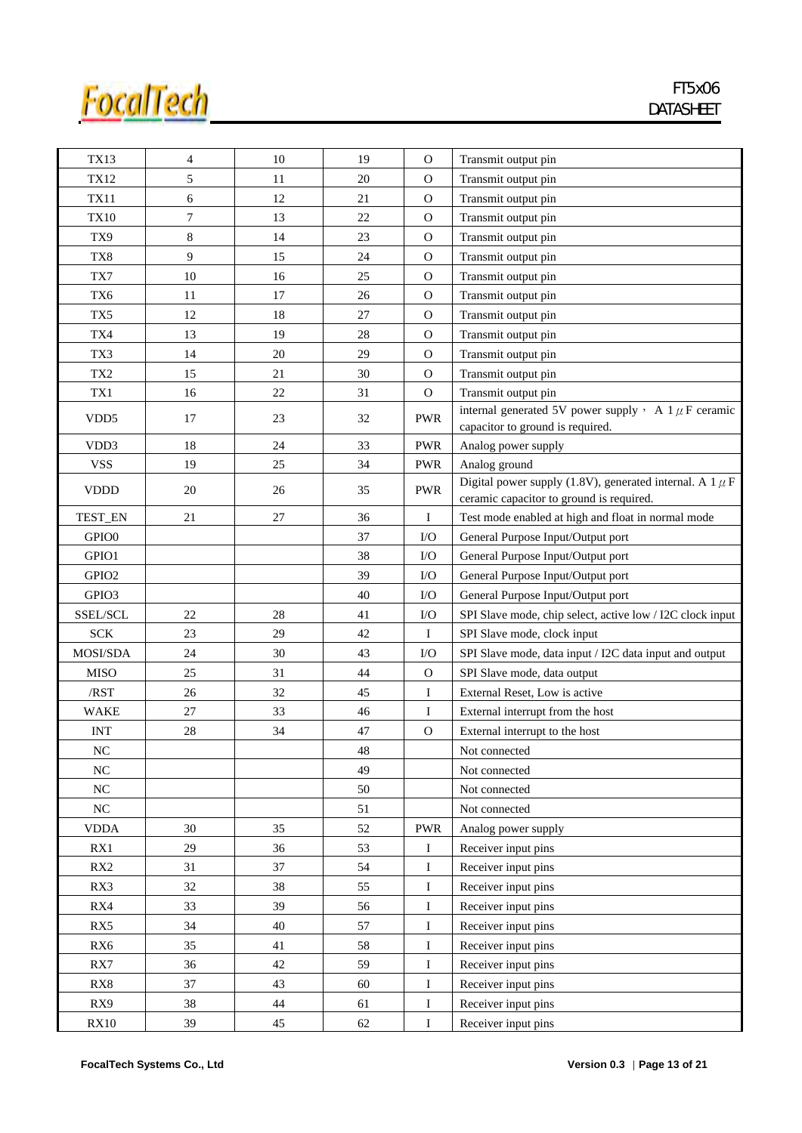![](_page_14_Picture_0.jpeg)

| <b>TX13</b>       | $\overline{4}$ | 10     | 19     | $\mathcal{O}$ | Transmit output pin                                                                                      |
|-------------------|----------------|--------|--------|---------------|----------------------------------------------------------------------------------------------------------|
| TX12              | 5              | 11     | 20     | $\Omega$      | Transmit output pin                                                                                      |
| <b>TX11</b>       | 6              | 12     | 21     | $\mathbf{O}$  | Transmit output pin                                                                                      |
| <b>TX10</b>       | 7              | 13     | 22     | $\Omega$      | Transmit output pin                                                                                      |
| TX9               | 8              | 14     | 23     | $\Omega$      | Transmit output pin                                                                                      |
| TX8               | 9              | 15     | 24     | $\Omega$      | Transmit output pin                                                                                      |
| TX7               | 10             | 16     | $25\,$ | $\mathbf{O}$  | Transmit output pin                                                                                      |
| TX6               | 11             | 17     | 26     | $\Omega$      | Transmit output pin                                                                                      |
| TX5               | 12             | 18     | 27     | $\Omega$      | Transmit output pin                                                                                      |
| TX4               | 13             | 19     | 28     | $\mathbf{O}$  | Transmit output pin                                                                                      |
| TX3               | 14             | 20     | 29     | $\Omega$      | Transmit output pin                                                                                      |
| TX <sub>2</sub>   | 15             | $21\,$ | 30     | $\Omega$      | Transmit output pin                                                                                      |
| TX1               | 16             | 22     | 31     | $\mathcal{O}$ | Transmit output pin                                                                                      |
| VDD <sub>5</sub>  | 17             | 23     | 32     | <b>PWR</b>    | internal generated 5V power supply $\cdot$ A 1 $\mu$ F ceramic<br>capacitor to ground is required.       |
| VD <sub>D</sub> 3 | 18             | 24     | 33     | <b>PWR</b>    | Analog power supply                                                                                      |
| <b>VSS</b>        | 19             | 25     | 34     | <b>PWR</b>    | Analog ground                                                                                            |
| <b>VDDD</b>       | 20             | 26     | 35     | <b>PWR</b>    | Digital power supply (1.8V), generated internal. A 1 $\mu$ F<br>ceramic capacitor to ground is required. |
| TEST_EN           | 21             | 27     | 36     | Ι             | Test mode enabled at high and float in normal mode                                                       |
| GPIO <sub>0</sub> |                |        | 37     | $\rm LO$      | General Purpose Input/Output port                                                                        |
| GPIO1             |                |        | 38     | $\rm LO$      | General Purpose Input/Output port                                                                        |
| GPIO <sub>2</sub> |                |        | 39     | $\rm LO$      | General Purpose Input/Output port                                                                        |
| GPIO3             |                |        | 40     | I/O           | General Purpose Input/Output port                                                                        |
| SSEL/SCL          | 22             | 28     | 41     | $\rm LO$      | SPI Slave mode, chip select, active low / I2C clock input                                                |
| <b>SCK</b>        | 23             | 29     | 42     | Ι             | SPI Slave mode, clock input                                                                              |
| MOSI/SDA          | 24             | 30     | 43     | I/O           | SPI Slave mode, data input / I2C data input and output                                                   |
| <b>MISO</b>       | 25             | 31     | 44     | 0             | SPI Slave mode, data output                                                                              |
| /RST              | 26             | 32     | 45     | I             | External Reset, Low is active                                                                            |
| <b>WAKE</b>       | $27\,$         | 33     | 46     | I             | External interrupt from the host                                                                         |
| <b>INT</b>        | 28             | 34     | $47\,$ | $\mathbf{O}$  | External interrupt to the host                                                                           |
| $_{\mathrm{NC}}$  |                |        | 48     |               | Not connected                                                                                            |
| NC                |                |        | 49     |               | Not connected                                                                                            |
| $\rm NC$          |                |        | 50     |               | Not connected                                                                                            |
| $\rm NC$          |                |        | 51     |               | Not connected                                                                                            |
| <b>VDDA</b>       | 30             | 35     | 52     | <b>PWR</b>    | Analog power supply                                                                                      |
| RX1               | 29             | 36     | 53     | Ι             | Receiver input pins                                                                                      |
| RX <sub>2</sub>   | 31             | 37     | 54     | Ι             | Receiver input pins                                                                                      |
| RX3               | 32             | 38     | 55     | Ι             | Receiver input pins                                                                                      |
| RX4               | 33             | 39     | 56     | I             | Receiver input pins                                                                                      |
| RX5               | 34             | 40     | 57     | $\bf{I}$      | Receiver input pins                                                                                      |
| RX6               | 35             | 41     | 58     | I             | Receiver input pins                                                                                      |
| RX7               | 36             | 42     | 59     | Ι             | Receiver input pins                                                                                      |
| RX8               | 37             | 43     | 60     | $\bf{I}$      | Receiver input pins                                                                                      |
| RX9               | 38             | 44     | 61     | I             | Receiver input pins                                                                                      |
| RX10              | 39             | 45     | 62     | $\bf{I}$      | Receiver input pins                                                                                      |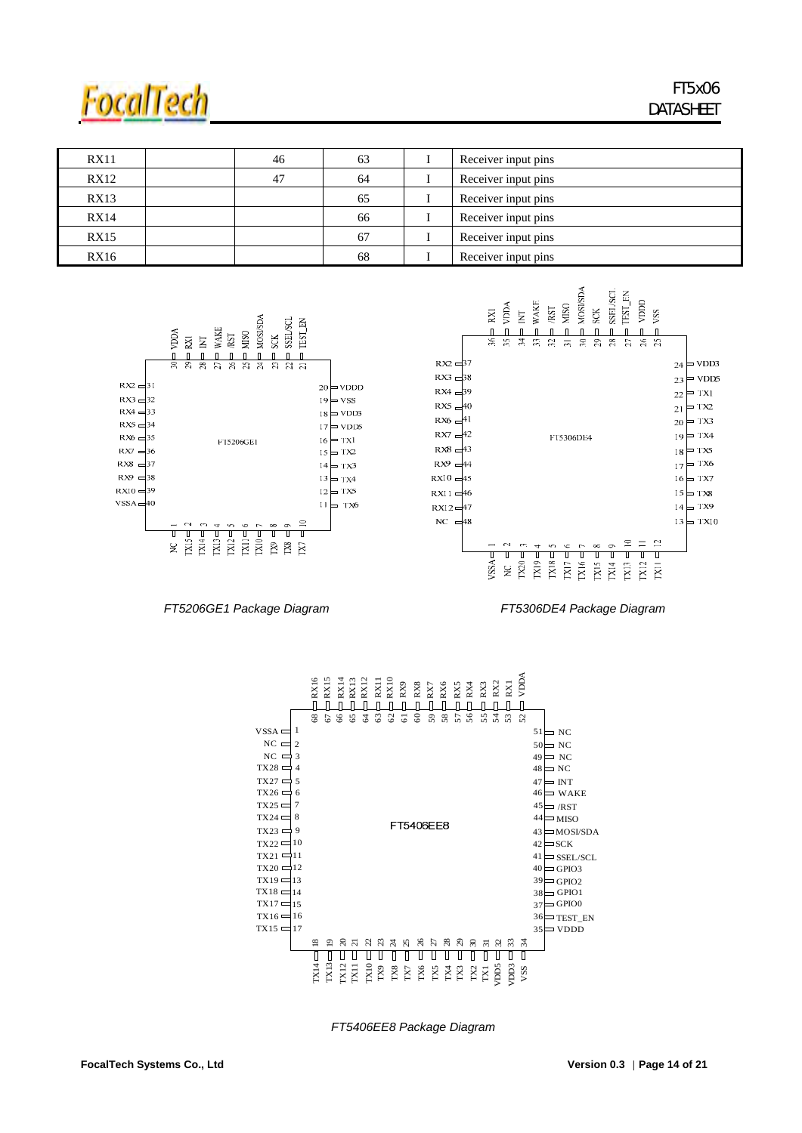![](_page_15_Picture_0.jpeg)

| <b>RX11</b> | 46 | 63 | Receiver input pins |
|-------------|----|----|---------------------|
| RX12        | 47 | 64 | Receiver input pins |
| RX13        |    | 65 | Receiver input pins |
| <b>RX14</b> |    | 66 | Receiver input pins |
| RX15        |    | 67 | Receiver input pins |
| <b>RX16</b> |    | 68 | Receiver input pins |

![](_page_15_Figure_3.jpeg)

 *FT5206GE1 Package Diagram FT5306DE4 Package Diagram* 

![](_page_15_Figure_6.jpeg)

*FT5406EE8 Package Diagram*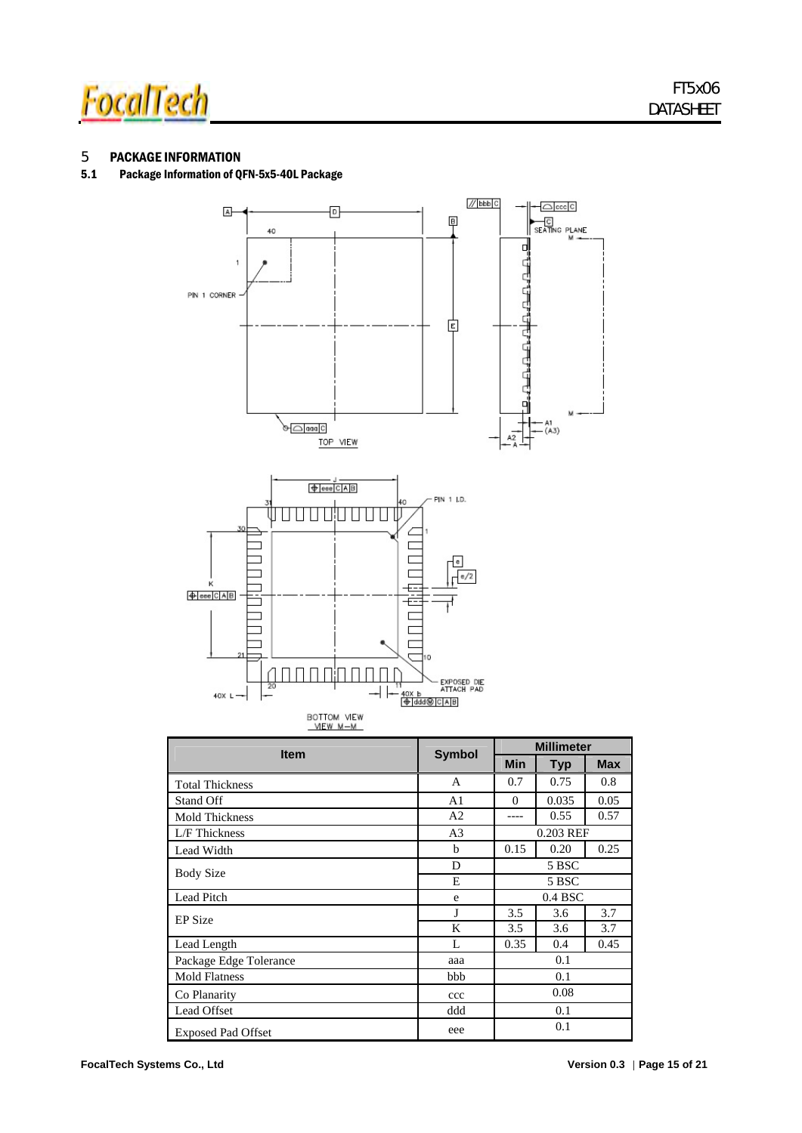![](_page_16_Picture_0.jpeg)

### 5 PACKAGE INFORMATION

#### 5.1 Package Information of QFN-5x5-40L Package

![](_page_16_Figure_4.jpeg)

| <b>Item</b>                 | <b>Symbol</b>  | <b>Millimeter</b> |            |            |  |
|-----------------------------|----------------|-------------------|------------|------------|--|
|                             |                | <b>Min</b>        | <b>Typ</b> | <b>Max</b> |  |
| <b>Total Thickness</b>      | A              | 0.7               | 0.75       | 0.8        |  |
| Stand Off                   | A <sub>1</sub> | $\theta$          | 0.035      | 0.05       |  |
| <b>Mold Thickness</b>       | A2             |                   | 0.55       | 0.57       |  |
| L/F Thickness               | A <sub>3</sub> |                   | 0.203 REF  |            |  |
| Lead Width                  | b              | 0.15              | 0.20       | 0.25       |  |
| <b>Body Size</b>            | D              | 5 BSC             |            |            |  |
|                             | Е              | 5 BSC             |            |            |  |
| Lead Pitch                  | e              | $0.4$ BSC         |            |            |  |
| <b>EP</b> Size              | J              | 3.5               | 3.6        | 3.7        |  |
|                             | K              | 3.5               | 3.6        | 3.7        |  |
| Lead Length                 | L              | 0.35              | 0.4        | 0.45       |  |
| Package Edge Tolerance      | aaa            |                   | 0.1        |            |  |
| <b>Mold Flatness</b><br>bbb |                | 0.1               |            |            |  |
| Co Planarity                | ccc            |                   | 0.08       |            |  |
| Lead Offset                 | ddd            |                   | 0.1        |            |  |
| <b>Exposed Pad Offset</b>   | eee            |                   | 0.1        |            |  |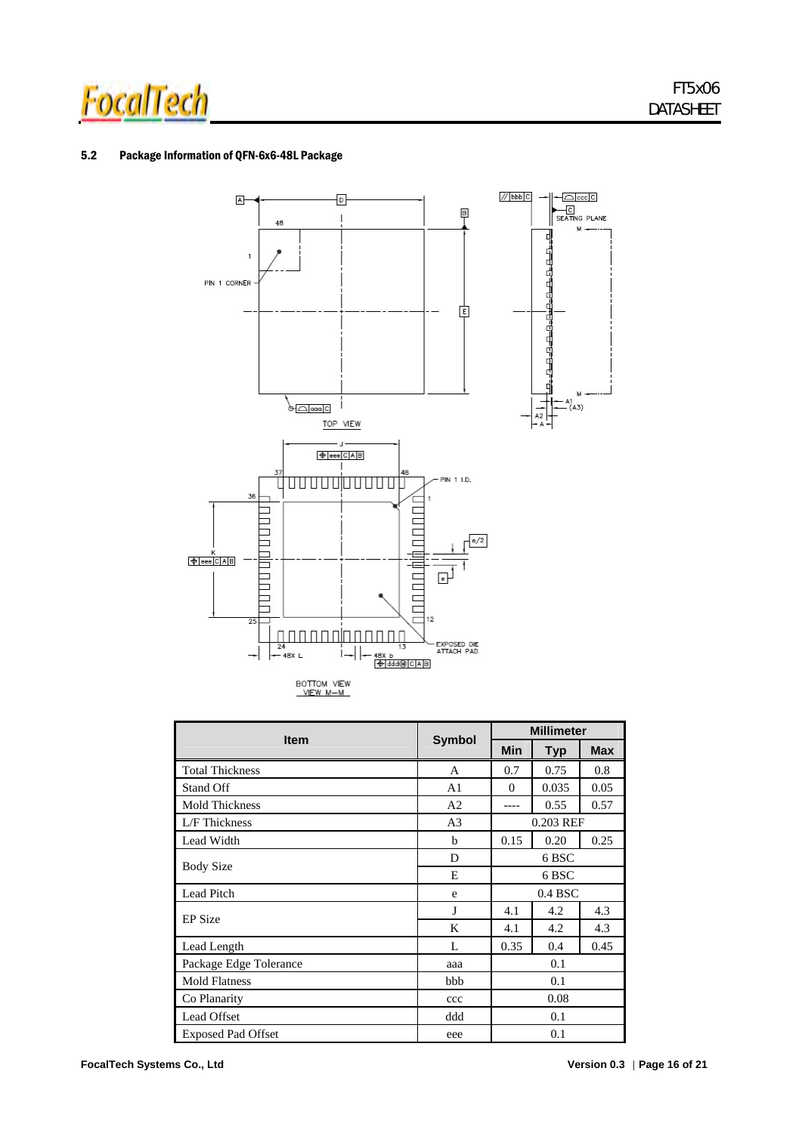![](_page_17_Picture_0.jpeg)

#### 5.2 Package Information of QFN-6x6-48L Package

![](_page_17_Figure_3.jpeg)

|                           |                | <b>Millimeter</b> |            |            |  |
|---------------------------|----------------|-------------------|------------|------------|--|
| <b>Item</b>               | <b>Symbol</b>  | Min               | <b>Typ</b> | <b>Max</b> |  |
| <b>Total Thickness</b>    | A              | 0.7               | 0.75       | 0.8        |  |
| Stand Off                 | A1             | $\Omega$          | 0.035      | 0.05       |  |
| <b>Mold Thickness</b>     | A <sub>2</sub> |                   | 0.55       | 0.57       |  |
| L/F Thickness             | A <sub>3</sub> |                   | 0.203 REF  |            |  |
| Lead Width                | b              | 0.15              | 0.20       | 0.25       |  |
|                           | D              | 6 BSC             |            |            |  |
| <b>Body Size</b>          | E              | 6 BSC             |            |            |  |
| Lead Pitch                | e              |                   | $0.4$ BSC  |            |  |
| <b>EP</b> Size            | J              | 4.1               | 4.2        | 4.3        |  |
|                           | K              | 4.1               | 4.2        | 4.3        |  |
| Lead Length               | L              | 0.35              | 0.4        | 0.45       |  |
| Package Edge Tolerance    | aaa            |                   | 0.1        |            |  |
| <b>Mold Flatness</b>      | bbb            |                   | 0.1        |            |  |
| Co Planarity              | ccc            |                   | 0.08       |            |  |
| Lead Offset               | ddd            |                   | 0.1        |            |  |
| <b>Exposed Pad Offset</b> | eee            |                   | 0.1        |            |  |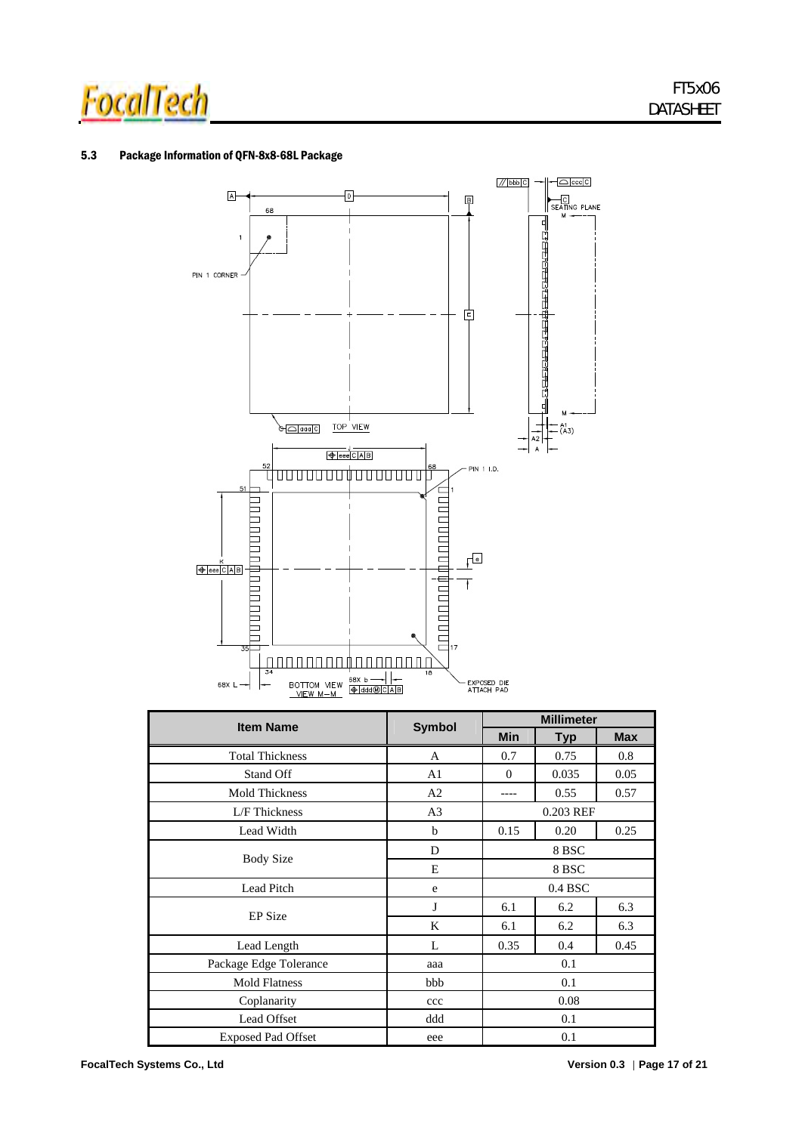![](_page_18_Picture_0.jpeg)

#### 5.3 Package Information of QFN-8x8-68L Package

![](_page_18_Figure_3.jpeg)

| <b>Item Name</b>          | <b>Symbol</b>  | <b>Millimeter</b> |            |            |  |
|---------------------------|----------------|-------------------|------------|------------|--|
|                           |                | <b>Min</b>        | <b>Typ</b> | <b>Max</b> |  |
| <b>Total Thickness</b>    | A              | 0.7               | 0.75       | 0.8        |  |
| Stand Off                 | A1             | $\Omega$          | 0.035      | 0.05       |  |
| <b>Mold Thickness</b>     | A <sub>2</sub> |                   | 0.55       | 0.57       |  |
| L/F Thickness             | A <sub>3</sub> |                   | 0.203 REF  |            |  |
| Lead Width                | b              | 0.15              | 0.20       | 0.25       |  |
|                           | D              | 8 BSC             |            |            |  |
| <b>Body Size</b>          | E              | 8 BSC             |            |            |  |
| Lead Pitch                | e              | $0.4$ BSC         |            |            |  |
|                           | J              | 6.1               | 6.2        | 6.3        |  |
| <b>EP</b> Size            | K              | 6.1               | 6.2        | 6.3        |  |
| Lead Length               | L              | 0.35              | 0.4        | 0.45       |  |
| Package Edge Tolerance    | aaa            | 0.1               |            |            |  |
| <b>Mold Flatness</b>      | bbb            | 0.1               |            |            |  |
| Coplanarity               | ccc            | 0.08              |            |            |  |
| <b>Lead Offset</b>        | ddd            |                   | 0.1        |            |  |
| <b>Exposed Pad Offset</b> | eee            |                   | 0.1        |            |  |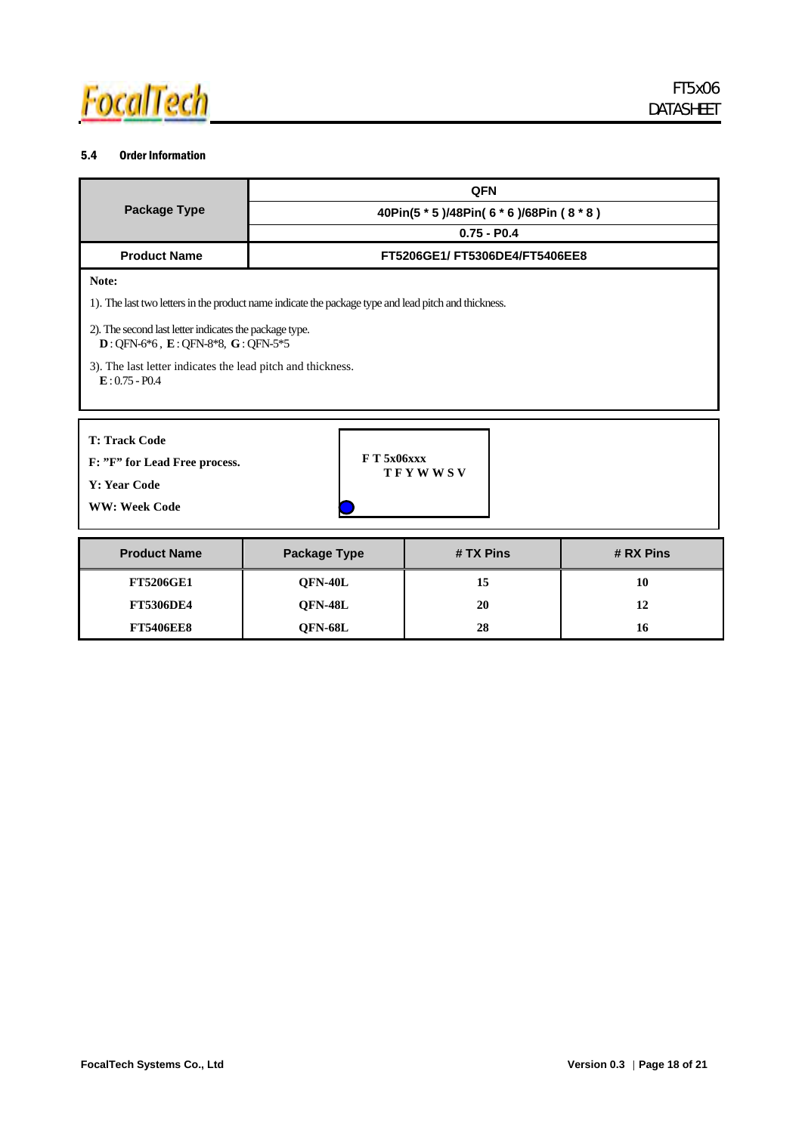![](_page_19_Picture_0.jpeg)

### 5.4 Order Information

|                                                                                                                                      | <b>QFN</b>                                                                                           |  |  |  |  |
|--------------------------------------------------------------------------------------------------------------------------------------|------------------------------------------------------------------------------------------------------|--|--|--|--|
| <b>Package Type</b>                                                                                                                  | 40Pin(5 * 5 )/48Pin( 6 * 6 )/68Pin ( 8 * 8 )                                                         |  |  |  |  |
|                                                                                                                                      | $0.75 - P0.4$                                                                                        |  |  |  |  |
| <b>Product Name</b>                                                                                                                  | FT5206GE1/FT5306DE4/FT5406EE8                                                                        |  |  |  |  |
| Note:                                                                                                                                |                                                                                                      |  |  |  |  |
|                                                                                                                                      | 1). The last two letters in the product name indicate the package type and lead pitch and thickness. |  |  |  |  |
| 2). The second last letter indicates the package type.<br>$D:$ OFN-6 <sup>*</sup> 6, E: OFN-8 <sup>*8</sup> , G: OFN-5 <sup>*5</sup> |                                                                                                      |  |  |  |  |
| 3). The last letter indicates the lead pitch and thickness.<br>$E: 0.75 - P0.4$                                                      |                                                                                                      |  |  |  |  |

| <b>T: Track Code</b> |  |
|----------------------|--|
|----------------------|--|

**F: "F" for Lead Free process.**

**Y: Year Code** 

**WW: Week Code** 

| <b>Product Name</b> | <b>Package Type</b> | # TX Pins | # RX Pins |
|---------------------|---------------------|-----------|-----------|
| <b>FT5206GE1</b>    | OFN-40L             | 15        | 10        |
| <b>FT5306DE4</b>    | OFN-48L             | 20        | 12        |
| <b>FT5406EE8</b>    | OFN-68L             | 28        | 16        |

**F T 5x06xxx** 

**T F Y W W S V**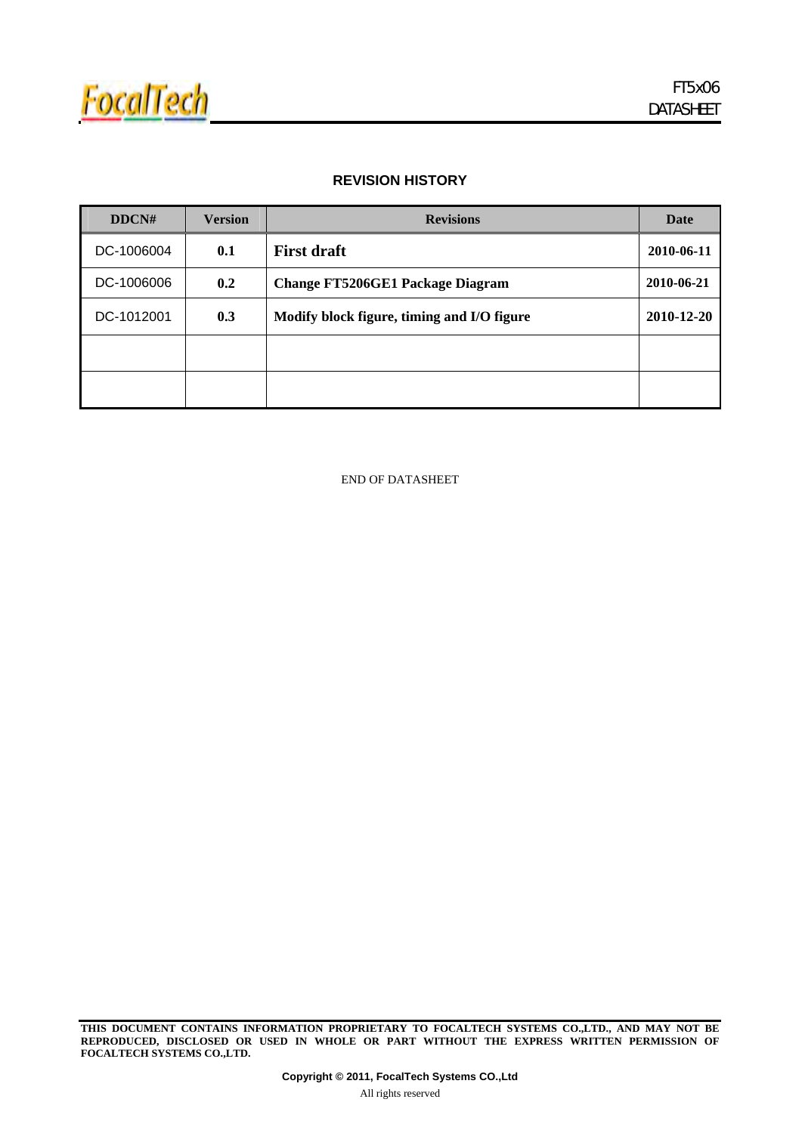![](_page_20_Picture_0.jpeg)

### **REVISION HISTORY**

| DDCN#      | <b>Version</b> | <b>Revisions</b>                           | Date       |
|------------|----------------|--------------------------------------------|------------|
| DC-1006004 | 0.1            | <b>First draft</b>                         | 2010-06-11 |
| DC-1006006 | 0.2            | <b>Change FT5206GE1 Package Diagram</b>    | 2010-06-21 |
| DC-1012001 | 0.3            | Modify block figure, timing and I/O figure | 2010-12-20 |
|            |                |                                            |            |
|            |                |                                            |            |

END OF DATASHEET

**THIS DOCUMENT CONTAINS INFORMATION PROPRIETARY TO FOCALTECH SYSTEMS CO.,LTD., AND MAY NOT BE REPRODUCED, DISCLOSED OR USED IN WHOLE OR PART WITHOUT THE EXPRESS WRITTEN PERMISSION OF FOCALTECH SYSTEMS CO.,LTD.**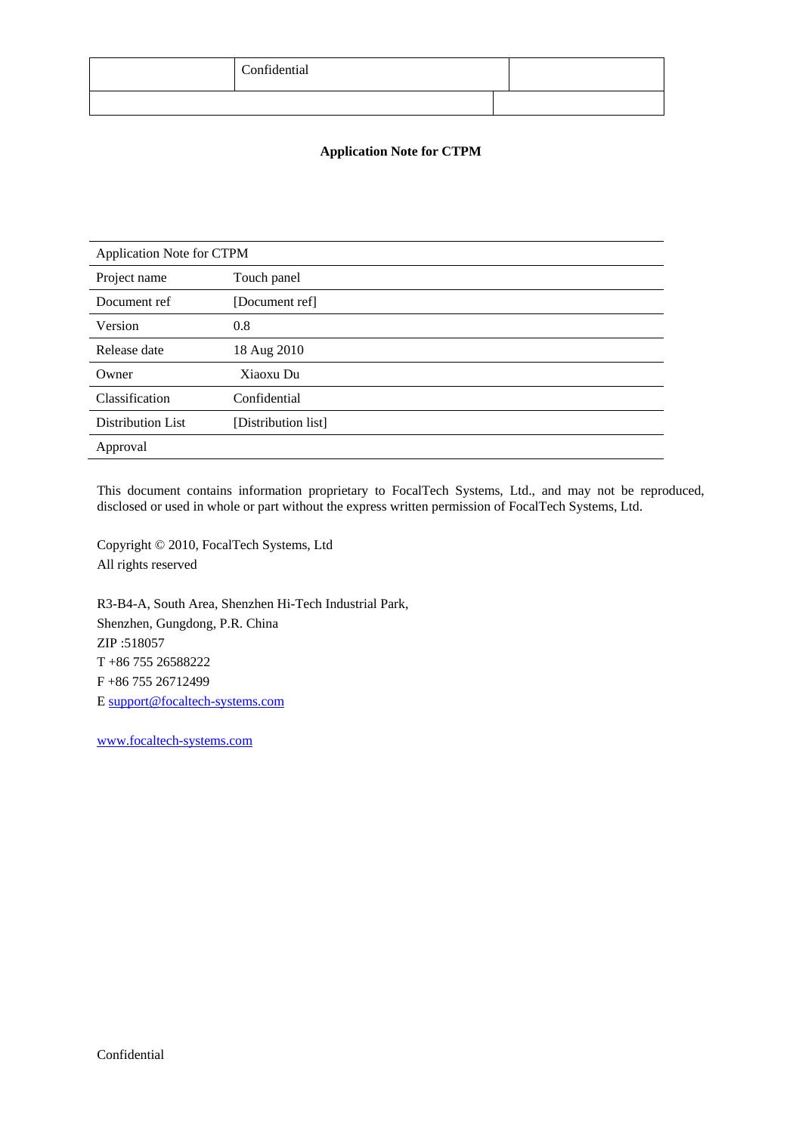| Confidential |  |
|--------------|--|
|              |  |

### **Application Note for CTPM**

| Application Note for CTPM |                     |  |  |  |  |  |  |  |  |
|---------------------------|---------------------|--|--|--|--|--|--|--|--|
| Project name              | Touch panel         |  |  |  |  |  |  |  |  |
| Document ref              | [Document ref]      |  |  |  |  |  |  |  |  |
| Version                   | 0.8                 |  |  |  |  |  |  |  |  |
| Release date              | 18 Aug 2010         |  |  |  |  |  |  |  |  |
| Owner                     | Xiaoxu Du           |  |  |  |  |  |  |  |  |
| Classification            | Confidential        |  |  |  |  |  |  |  |  |
| <b>Distribution List</b>  | [Distribution list] |  |  |  |  |  |  |  |  |
| Approval                  |                     |  |  |  |  |  |  |  |  |

This document contains information proprietary to FocalTech Systems, Ltd., and may not be reproduced, disclosed or used in whole or part without the express written permission of FocalTech Systems, Ltd.

Copyright © 2010, FocalTech Systems, Ltd All rights reserved

R3-B4-A, South Area, Shenzhen Hi-Tech Industrial Park, Shenzhen, Gungdong, P.R. China ZIP :518057 T +86 755 26588222 F +86 755 26712499 E support@focaltech-systems.com

www.focaltech-systems.com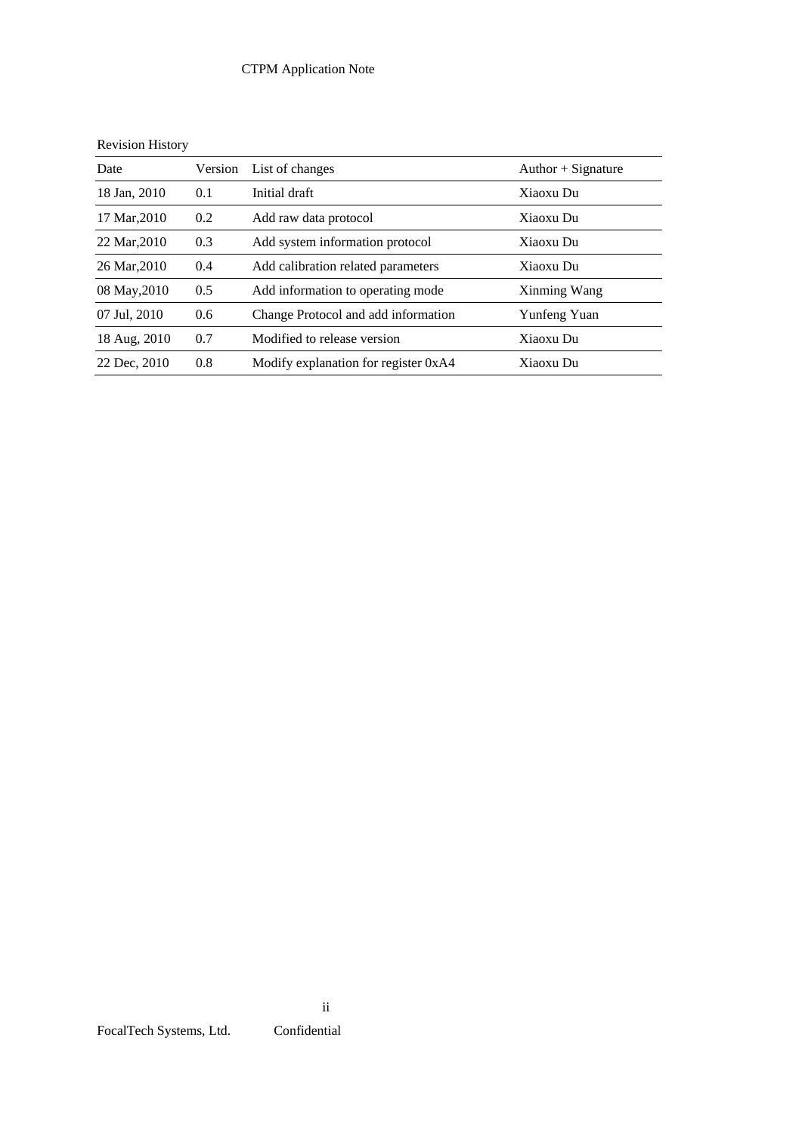# CTPM Application Note

|  | <b>Revision History</b> |
|--|-------------------------|
|  |                         |

| Date         | Version | List of changes                      | Author $+$ Signature |
|--------------|---------|--------------------------------------|----------------------|
| 18 Jan, 2010 | 0.1     | Initial draft                        | Xiaoxu Du            |
| 17 Mar, 2010 | 0.2     | Add raw data protocol                | Xiaoxu Du            |
| 22 Mar, 2010 | 0.3     | Add system information protocol      | Xiaoxu Du            |
| 26 Mar, 2010 | 0.4     | Add calibration related parameters   | Xiaoxu Du            |
| 08 May, 2010 | 0.5     | Add information to operating mode    | Xinming Wang         |
| 07 Jul, 2010 | 0.6     | Change Protocol and add information  | Yunfeng Yuan         |
| 18 Aug, 2010 | 0.7     | Modified to release version          | Xiaoxu Du            |
| 22 Dec, 2010 | 0.8     | Modify explanation for register 0xA4 | Xiaoxu Du            |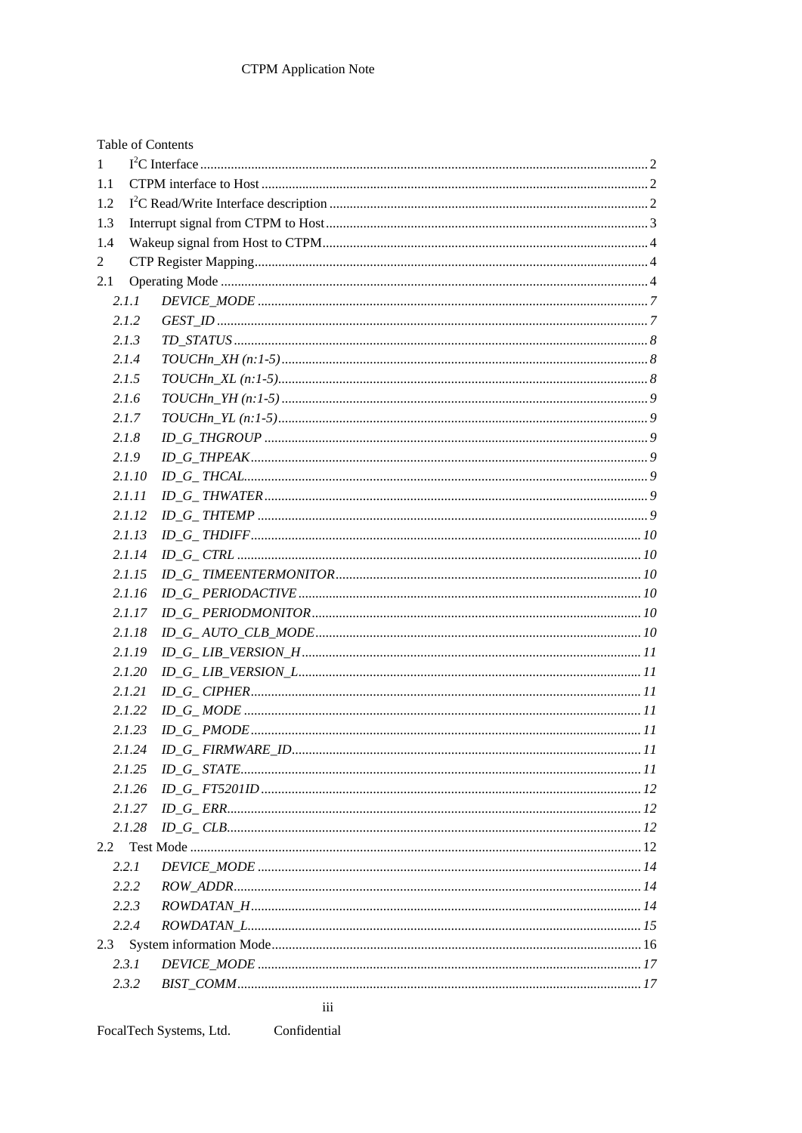|     |        | Table of Contents |  |
|-----|--------|-------------------|--|
| 1   |        |                   |  |
| 1.1 |        |                   |  |
| 1.2 |        |                   |  |
| 1.3 |        |                   |  |
| 1.4 |        |                   |  |
| 2   |        |                   |  |
| 2.1 |        |                   |  |
|     | 2.1.1  |                   |  |
|     | 2.1.2  |                   |  |
|     | 2.1.3  |                   |  |
|     | 2.1.4  |                   |  |
|     | 2.1.5  |                   |  |
|     | 2.1.6  |                   |  |
|     | 2.1.7  |                   |  |
|     | 2.1.8  |                   |  |
|     | 2.1.9  |                   |  |
|     | 2.1.10 |                   |  |
|     | 2.1.11 |                   |  |
|     | 2.1.12 |                   |  |
|     | 2.1.13 |                   |  |
|     | 2.1.14 |                   |  |
|     | 2.1.15 |                   |  |
|     | 2.1.16 |                   |  |
|     | 2.1.17 |                   |  |
|     | 2.1.18 |                   |  |
|     | 2.1.19 |                   |  |
|     | 2.1.20 |                   |  |
|     | 2.1.21 |                   |  |
|     | 2.1.22 |                   |  |
|     | 2.1.23 |                   |  |
|     | 2.1.24 |                   |  |
|     | 2.1.25 |                   |  |
|     | 2.1.26 |                   |  |
|     | 2.1.27 |                   |  |
|     | 2.1.28 |                   |  |
| 2.2 |        |                   |  |
|     | 2.2.1  |                   |  |
|     | 2.2.2  |                   |  |
|     | 2.2.3  |                   |  |
|     | 2.2.4  |                   |  |
|     |        |                   |  |
|     | 2.3.1  |                   |  |
|     | 2.3.2  |                   |  |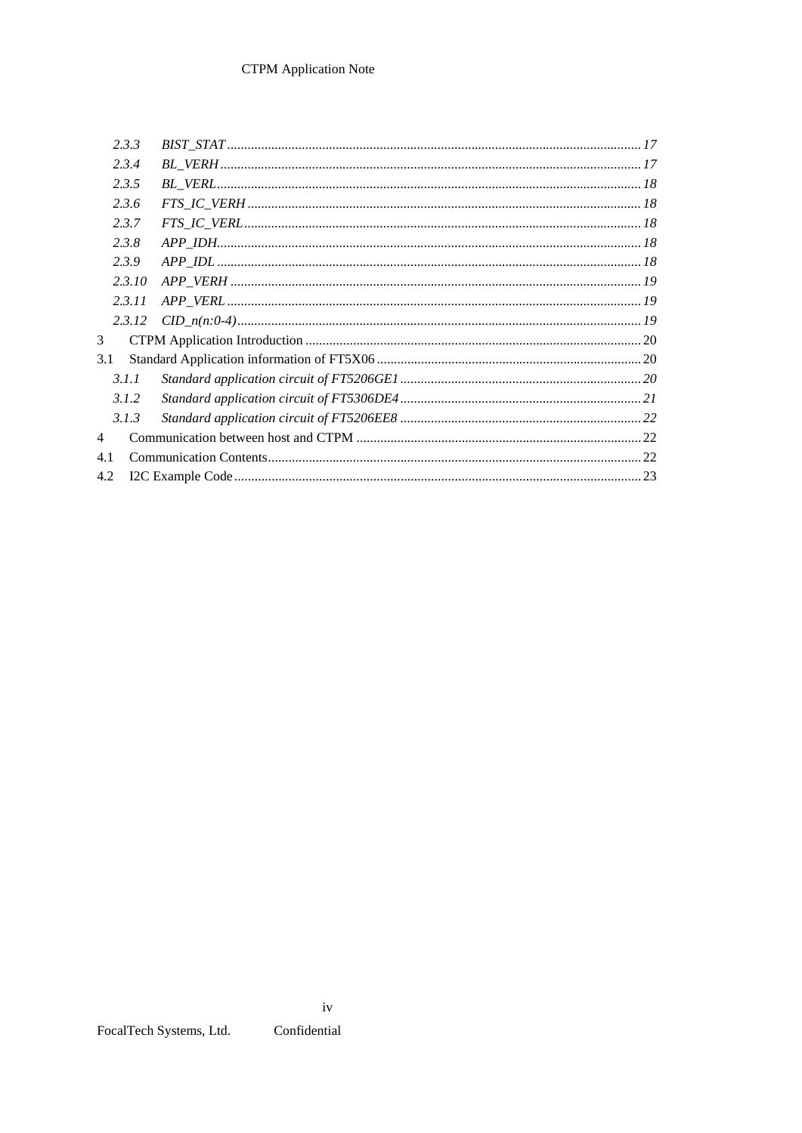| 2.3.3  |  |
|--------|--|
| 2.3.4  |  |
| 2.3.5  |  |
| 2.3.6  |  |
| 2.3.7  |  |
| 2.3.8  |  |
| 2.3.9  |  |
| 2.3.10 |  |
| 2.3.11 |  |
| 2.3.12 |  |
| 3      |  |
| 3.1    |  |
| 3.1.1  |  |
| 3.1.2  |  |
| 3.1.3  |  |
| 4      |  |
| 4.1    |  |
| 4.2    |  |

Confidential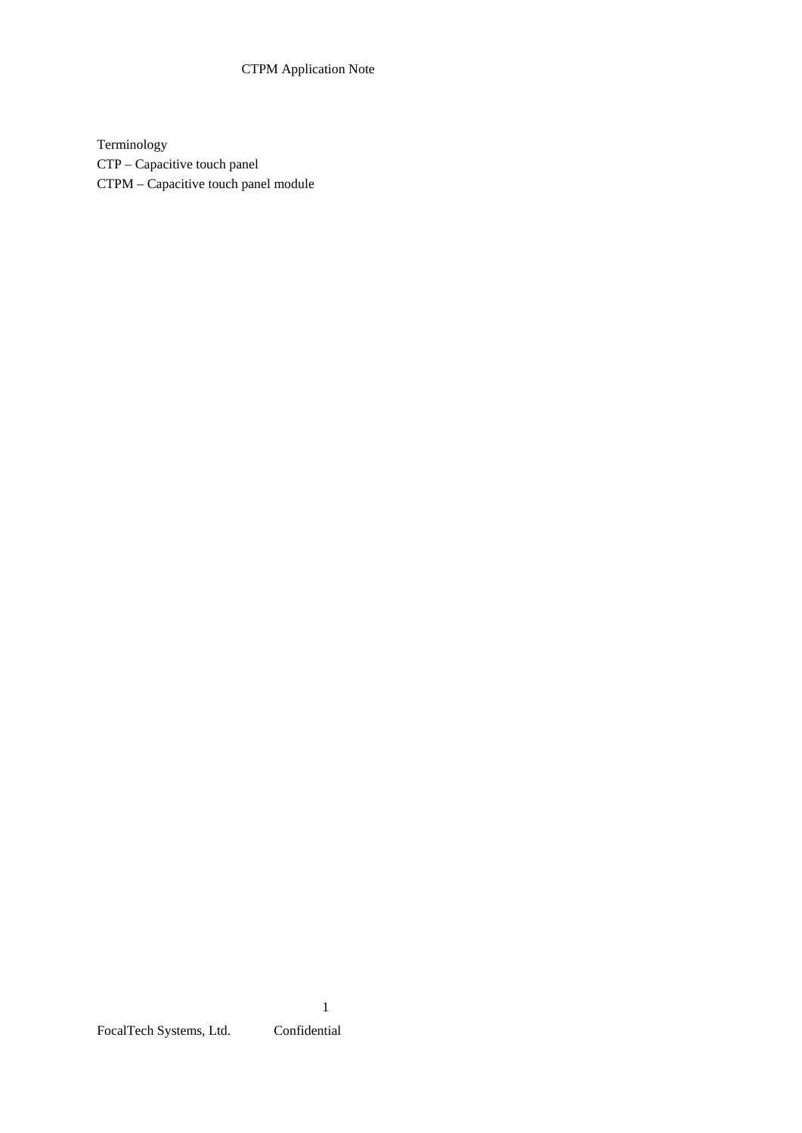# CTPM Application Note

Terminology CTP – Capacitive touch panel CTPM – Capacitive touch panel module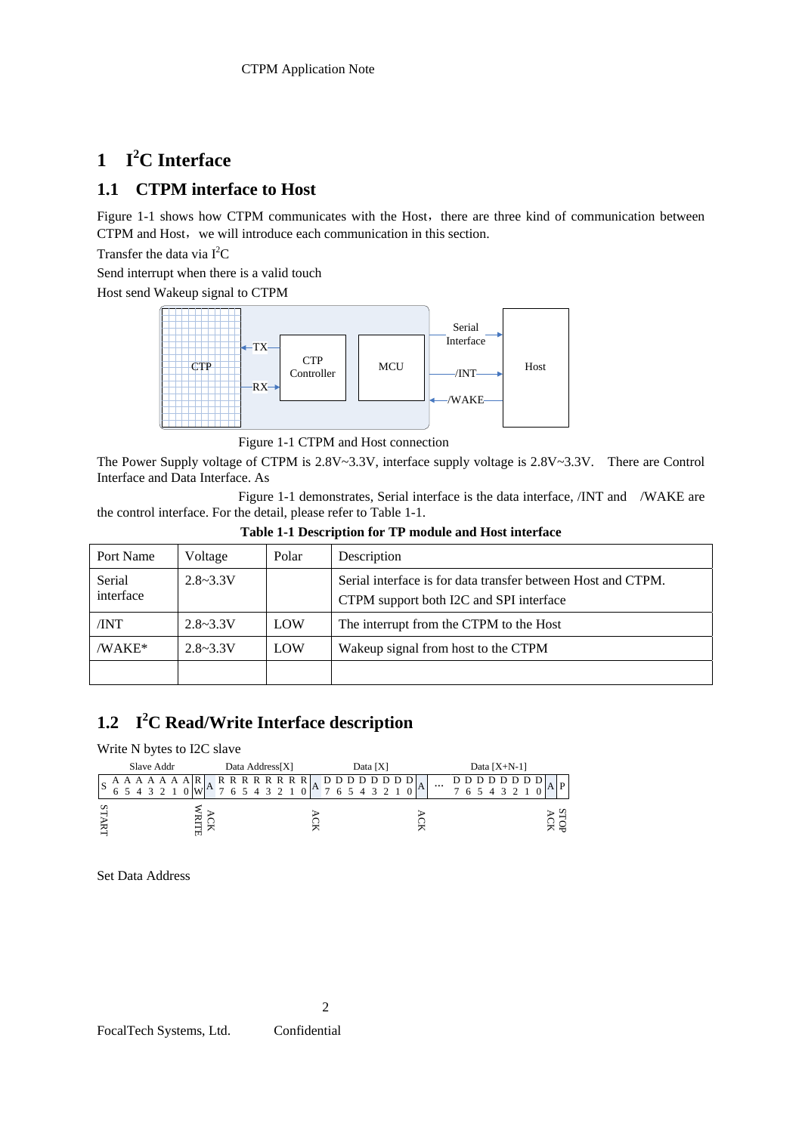#### **1 I 2 C Interface**

# **1.1 CTPM interface to Host**

Figure 1-1 shows how CTPM communicates with the Host, there are three kind of communication between CTPM and Host, we will introduce each communication in this section.

Transfer the data via  $I^2C$ 

Send interrupt when there is a valid touch

Host send Wakeup signal to CTPM

![](_page_26_Figure_7.jpeg)

Figure 1-1 CTPM and Host connection

The Power Supply voltage of CTPM is 2.8V~3.3V, interface supply voltage is 2.8V~3.3V. There are Control Interface and Data Interface. As

 Figure 1-1 demonstrates, Serial interface is the data interface, /INT and /WAKE are the control interface. For the detail, please refer to Table 1-1.

| Port Name           | Voltage      | Polar | Description                                                                                             |
|---------------------|--------------|-------|---------------------------------------------------------------------------------------------------------|
| Serial<br>interface | $2.8 - 3.3V$ |       | Serial interface is for data transfer between Host and CTPM.<br>CTPM support both I2C and SPI interface |
| /INT                | $2.8 - 3.3V$ | LOW   | The interrupt from the CTPM to the Host                                                                 |
| /WAKE*              | $2.8 - 3.3V$ | LOW   | Wakeup signal from host to the CTPM                                                                     |
|                     |              |       |                                                                                                         |

#### **Table 1-1 Description for TP module and Host interface**

#### **1.2 I 2 C Read/Write Interface description**

Write N bytes to I2C slave

![](_page_26_Figure_15.jpeg)

Set Data Address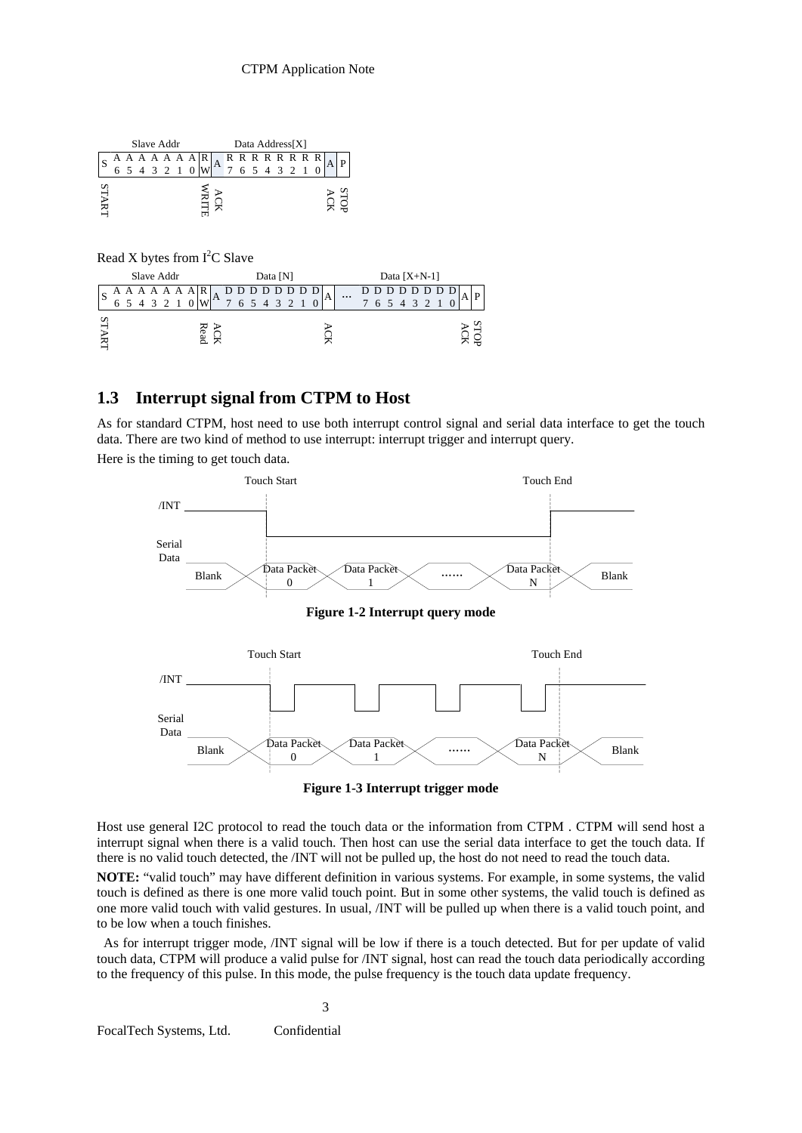| Slave Addr |  |             |  |  |  |  |  |  |                                             | Data Address[X] |  |  |  |  |  |             |  |  |  |
|------------|--|-------------|--|--|--|--|--|--|---------------------------------------------|-----------------|--|--|--|--|--|-------------|--|--|--|
| S          |  |             |  |  |  |  |  |  | $A A A A A A  R$<br>$A R R R R R R R R R R$ |                 |  |  |  |  |  |             |  |  |  |
|            |  | 5 4 3 2 1 0 |  |  |  |  |  |  |                                             |                 |  |  |  |  |  | 6 5 4 3 2 1 |  |  |  |
| STA        |  |             |  |  |  |  |  |  |                                             |                 |  |  |  |  |  |             |  |  |  |
|            |  |             |  |  |  |  |  |  |                                             |                 |  |  |  |  |  |             |  |  |  |

Read X bytes from  $I<sup>2</sup>C$  Slave

| Slave Addr |   |  |  |  |  |  |  | Data [N]     |               |   |  |  |  |             |  | Data $[X+N-1]$ |   |          |  |  |  |             |  |  |  |  |  |
|------------|---|--|--|--|--|--|--|--------------|---------------|---|--|--|--|-------------|--|----------------|---|----------|--|--|--|-------------|--|--|--|--|--|
| S          |   |  |  |  |  |  |  | $^{\circ}$ A |               | D |  |  |  |             |  |                | A | $\cdots$ |  |  |  | D D D D D   |  |  |  |  |  |
|            | 6 |  |  |  |  |  |  |              | $\mathcal{I}$ |   |  |  |  | 6 5 4 3 2 1 |  |                |   |          |  |  |  | 6 5 4 3 2 1 |  |  |  |  |  |
|            |   |  |  |  |  |  |  |              |               |   |  |  |  |             |  |                |   |          |  |  |  |             |  |  |  |  |  |
|            |   |  |  |  |  |  |  |              |               |   |  |  |  |             |  |                |   |          |  |  |  |             |  |  |  |  |  |

### **1.3 Interrupt signal from CTPM to Host**

As for standard CTPM, host need to use both interrupt control signal and serial data interface to get the touch data. There are two kind of method to use interrupt: interrupt trigger and interrupt query. Here is the timing to get touch data.

![](_page_27_Figure_6.jpeg)

**Figure 1-3 Interrupt trigger mode** 

Host use general I2C protocol to read the touch data or the information from CTPM . CTPM will send host a interrupt signal when there is a valid touch. Then host can use the serial data interface to get the touch data. If there is no valid touch detected, the /INT will not be pulled up, the host do not need to read the touch data.

**NOTE:** "valid touch" may have different definition in various systems. For example, in some systems, the valid touch is defined as there is one more valid touch point. But in some other systems, the valid touch is defined as one more valid touch with valid gestures. In usual, /INT will be pulled up when there is a valid touch point, and to be low when a touch finishes.

 As for interrupt trigger mode, /INT signal will be low if there is a touch detected. But for per update of valid touch data, CTPM will produce a valid pulse for /INT signal, host can read the touch data periodically according to the frequency of this pulse. In this mode, the pulse frequency is the touch data update frequency.

3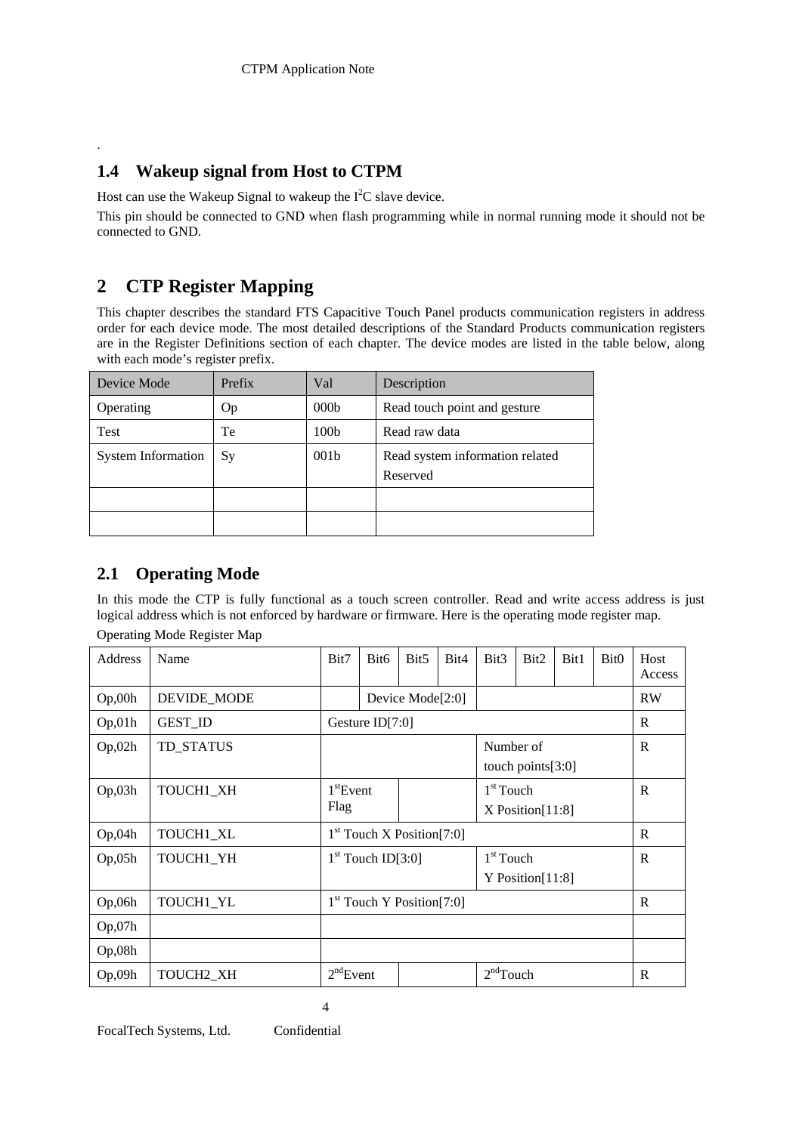# **1.4 Wakeup signal from Host to CTPM**

Host can use the Wakeup Signal to wakeup the  $I<sup>2</sup>C$  slave device.

This pin should be connected to GND when flash programming while in normal running mode it should not be connected to GND.

# **2 CTP Register Mapping**

.

This chapter describes the standard FTS Capacitive Touch Panel products communication registers in address order for each device mode. The most detailed descriptions of the Standard Products communication registers are in the Register Definitions section of each chapter. The device modes are listed in the table below, along with each mode's register prefix.

| Device Mode               | Prefix    | Val              | Description                                 |
|---------------------------|-----------|------------------|---------------------------------------------|
| Operating                 | Op        | 000 <sub>b</sub> | Read touch point and gesture                |
| Test                      | Te        | 100 <sub>b</sub> | Read raw data                               |
| <b>System Information</b> | <b>Sy</b> | 001 <sub>b</sub> | Read system information related<br>Reserved |
|                           |           |                  |                                             |
|                           |           |                  |                                             |

# **2.1 Operating Mode**

In this mode the CTP is fully functional as a touch screen controller. Read and write access address is just logical address which is not enforced by hardware or firmware. Here is the operating mode register map. Operating Mode Register Map

| Address            | Name                  | Bit7                          | Bit <sub>6</sub>            | Bit5                | Bit4 | Bit <sub>3</sub>                     | Bit2                 | Bit1 | Bit <sub>0</sub> | Host<br>Access |
|--------------------|-----------------------|-------------------------------|-----------------------------|---------------------|------|--------------------------------------|----------------------|------|------------------|----------------|
| Op,00h             | DEVIDE_MODE           |                               |                             | Device Mode $[2:0]$ |      |                                      |                      |      |                  | <b>RW</b>      |
| Op,01h             | <b>GEST_ID</b>        |                               | Gesture $ID[7:0]$           |                     |      |                                      |                      |      |                  | R              |
| Op,02h             | TD STATUS             |                               |                             |                     |      | Number of                            | touch points $[3:0]$ |      |                  | R              |
| Op,03h             | TOUCH1_XH             | 1 <sup>st</sup> Event<br>Flag |                             |                     |      | $1st$ Touch<br>$X$ Position $[11:8]$ | R                    |      |                  |                |
| Op <sub>0</sub> 4h | TOUCH1_XL             |                               | $1st$ Touch X Position[7:0] |                     |      |                                      |                      |      |                  | R              |
| Op,05h             | TOUCH1_YH             |                               | $1st$ Touch ID[3:0]         |                     |      | $1st$ Touch                          | Y Position $[11:8]$  |      |                  | R              |
| Op,06h             | TOUCH1_YL             |                               | $1st$ Touch Y Position[7:0] |                     |      |                                      |                      |      |                  | R              |
| Op,07h             |                       |                               |                             |                     |      |                                      |                      |      |                  |                |
| Op,08h             |                       |                               |                             |                     |      |                                      |                      |      |                  |                |
| Op,09h             | TOUCH <sub>2</sub> XH | 2 <sup>nd</sup> Event         |                             |                     |      | $2nd$ Touch                          | R                    |      |                  |                |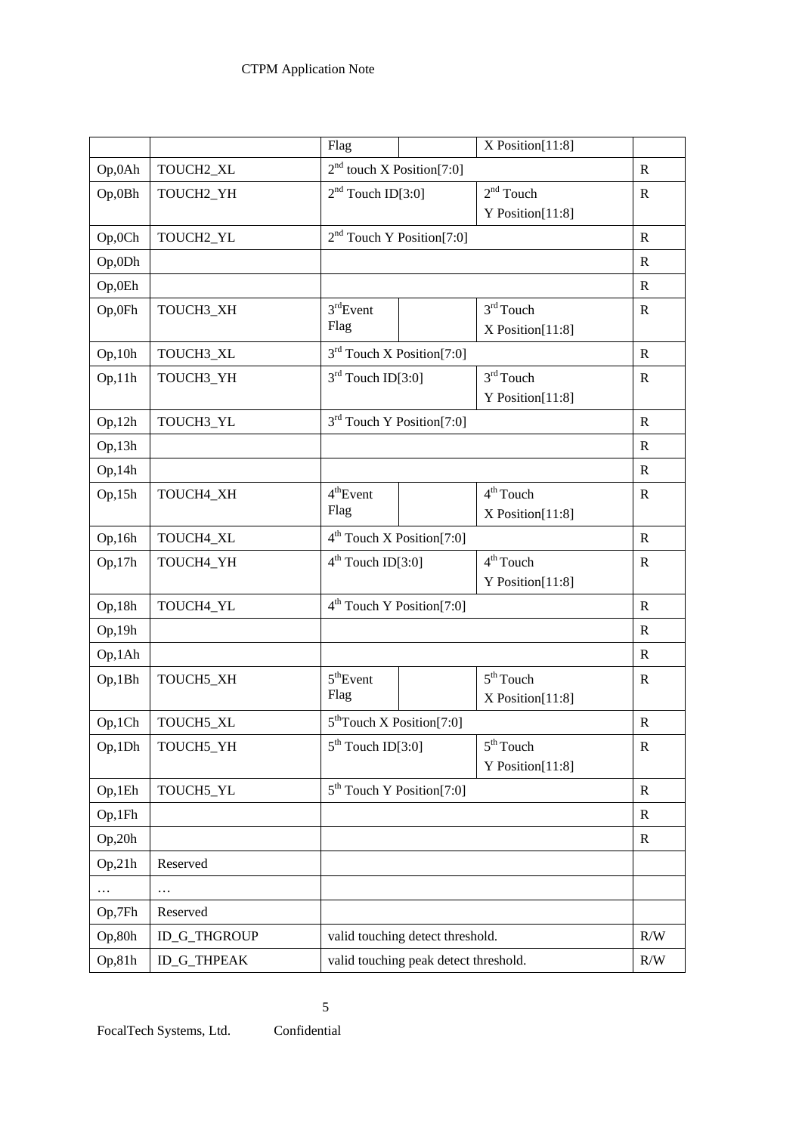|          |                     | Flag                             | X Position[11:8]                      |              |
|----------|---------------------|----------------------------------|---------------------------------------|--------------|
| Op,0Ah   | TOUCH2_XL           | $2nd$ touch X Position[7:0]      |                                       | $\mathbb{R}$ |
| Op,0Bh   | TOUCH2_YH           | $2nd$ Touch ID[3:0]              | $2nd$ Touch                           | R            |
|          |                     |                                  | Y Position[11:8]                      |              |
| Op,0Ch   | TOUCH2_YL           | $2nd$ Touch Y Position[7:0]      |                                       | $\mathbf R$  |
| Op,0Dh   |                     |                                  |                                       | $\mathbf R$  |
| Op,0Eh   |                     |                                  |                                       | $\mathbf R$  |
| Op,0Fh   | TOUCH3_XH           | 3 <sup>rd</sup> Event            | $3rd$ Touch                           | $\mathbf R$  |
|          |                     | Flag                             | X Position[11:8]                      |              |
| Op, 10h  | TOUCH3_XL           | $3rd$ Touch X Position[7:0]      |                                       | $\mathbb{R}$ |
| Op,11h   | TOUCH3_YH           | $3rd$ Touch ID[3:0]              | $3rd$ Touch                           | $\mathbf R$  |
|          |                     |                                  | Y Position[11:8]                      |              |
| Op, 12h  | TOUCH3_YL           | $3rd$ Touch Y Position[7:0]      |                                       | ${\bf R}$    |
| Op, 13h  |                     |                                  |                                       | $\mathbf R$  |
| Op,14h   |                     |                                  |                                       | ${\bf R}$    |
| Op,15h   | TOUCH4_XH           | 4 <sup>th</sup> Event            | $4th$ Touch                           | $\mathbf R$  |
|          |                     | Flag                             | $X$ Position $[11:8]$                 |              |
| Op,16h   | TOUCH4_XL           | $4th$ Touch X Position[7:0]      |                                       | ${\bf R}$    |
| Op,17h   | TOUCH4_YH           | $4th$ Touch ID[3:0]              | 4 <sup>th</sup> Touch                 | $\mathbb{R}$ |
|          |                     |                                  | Y Position[11:8]                      |              |
| Op,18h   | TOUCH4_YL           | $4th$ Touch Y Position[7:0]      |                                       | $\mathbb{R}$ |
| Op,19h   |                     |                                  |                                       | $\mathbf R$  |
| Op,1Ah   |                     |                                  |                                       | $\mathbf R$  |
| Op,1Bh   | TOUCH5_XH           | 5 <sup>th</sup> Event            | $5th$ Touch                           | ${\bf R}$    |
|          |                     | Flag                             | X Position[11:8]                      |              |
| Op,1Ch   | TOUCH5_XL           | $5th$ Touch X Position[7:0]      |                                       | $\mathbf R$  |
| Op,1Dh   | TOUCH5_YH           | $5th$ Touch ID[3:0]              | $5th$ Touch                           | $\mathbb{R}$ |
|          |                     |                                  | Y Position[11:8]                      |              |
| Op,1Eh   | TOUCH5_YL           | $5th$ Touch Y Position[7:0]      |                                       | $\mathbf R$  |
| Op,1Fh   |                     |                                  |                                       | $\mathbf R$  |
| Op, 20h  |                     |                                  |                                       | $\mathbf R$  |
| Op, 21h  | Reserved            |                                  |                                       |              |
| $\cdots$ | .                   |                                  |                                       |              |
| Op,7Fh   | Reserved            |                                  |                                       |              |
| Op,80h   | <b>ID_G_THGROUP</b> | valid touching detect threshold. |                                       | R/W          |
| Op,81h   | ID_G_THPEAK         |                                  | valid touching peak detect threshold. |              |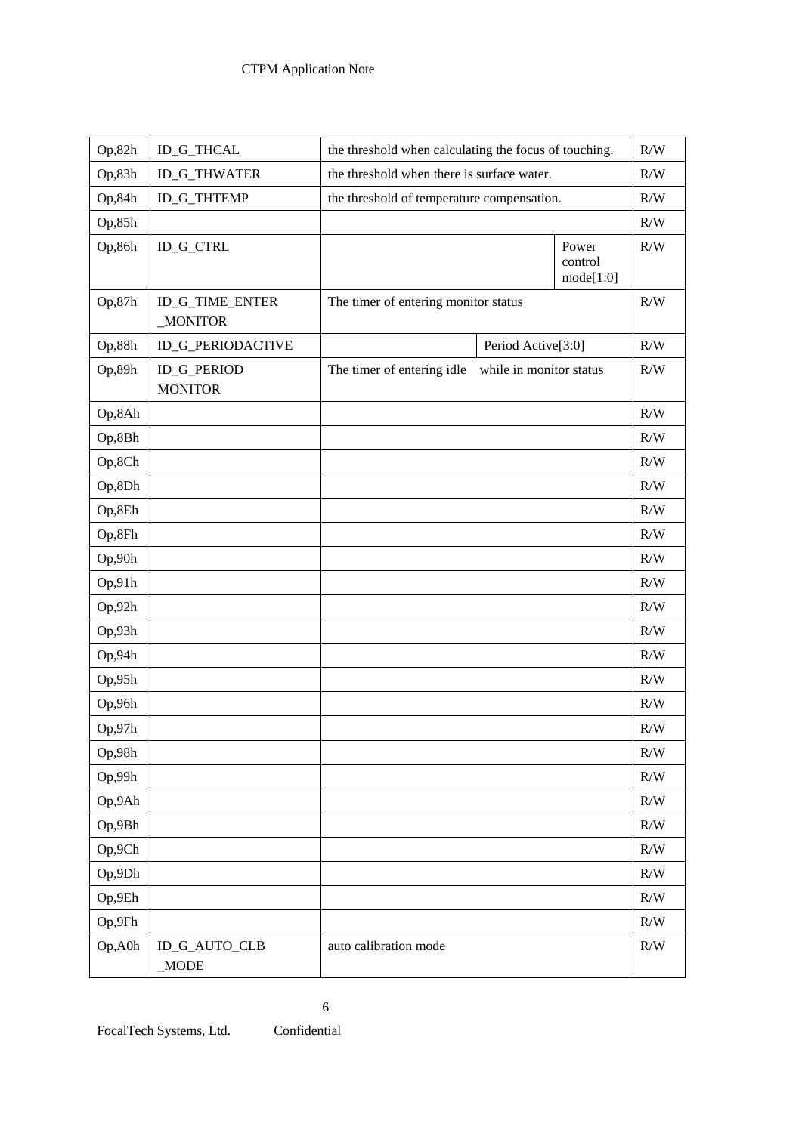| Op, 82h | ID_G_THCAL                           | the threshold when calculating the focus of touching. |                         |                               | R/W       |
|---------|--------------------------------------|-------------------------------------------------------|-------------------------|-------------------------------|-----------|
| Op,83h  | <b>ID_G_THWATER</b>                  | the threshold when there is surface water.            |                         |                               | R/W       |
| Op,84h  | ID_G_THTEMP                          | the threshold of temperature compensation.            |                         |                               | R/W       |
| Op, 85h |                                      |                                                       |                         |                               | R/W       |
| Op,86h  | <b>ID_G_CTRL</b>                     |                                                       |                         | Power<br>control<br>mode[1:0] | R/W       |
| Op,87h  | ID_G_TIME_ENTER<br><b>MONITOR</b>    | The timer of entering monitor status                  |                         |                               | R/W       |
| Op,88h  | ID_G_PERIODACTIVE                    |                                                       | Period Active[3:0]      |                               | R/W       |
| Op,89h  | <b>ID_G_PERIOD</b><br><b>MONITOR</b> | The timer of entering idle                            | while in monitor status |                               | R/W       |
| Op,8Ah  |                                      |                                                       |                         |                               | R/W       |
| Op,8Bh  |                                      |                                                       |                         |                               | R/W       |
| Op,8Ch  |                                      |                                                       |                         |                               | R/W       |
| Op,8Dh  |                                      |                                                       |                         |                               | R/W       |
| Op,8Eh  |                                      |                                                       |                         |                               | R/W       |
| Op,8Fh  |                                      |                                                       |                         |                               | R/W       |
| Op,90h  |                                      |                                                       |                         |                               | R/W       |
| Op,91h  |                                      |                                                       |                         |                               | R/W       |
| Op, 92h |                                      |                                                       |                         |                               | R/W       |
| Op,93h  |                                      |                                                       |                         |                               | R/W       |
| Op,94h  |                                      |                                                       |                         |                               | R/W       |
| Op,95h  |                                      |                                                       |                         |                               | R/W       |
| Op,96h  |                                      |                                                       |                         |                               | R/W       |
| Op,97h  |                                      |                                                       |                         |                               | R/W       |
| Op,98h  |                                      |                                                       |                         |                               | $\rm R/W$ |
| Op,99h  |                                      |                                                       |                         |                               | R/W       |
| Op,9Ah  |                                      |                                                       |                         |                               | $\rm R/W$ |
| Op,9Bh  |                                      |                                                       |                         |                               | $\rm R/W$ |
| Op,9Ch  |                                      |                                                       |                         |                               | $\rm R/W$ |
| Op,9Dh  |                                      |                                                       |                         |                               | R/W       |
| Op,9Eh  |                                      |                                                       |                         |                               | $\rm R/W$ |
| Op,9Fh  |                                      |                                                       |                         |                               | $\rm R/W$ |
| Op, A0h | ID_G_AUTO_CLB<br>_MODE               | auto calibration mode                                 |                         |                               | $\rm R/W$ |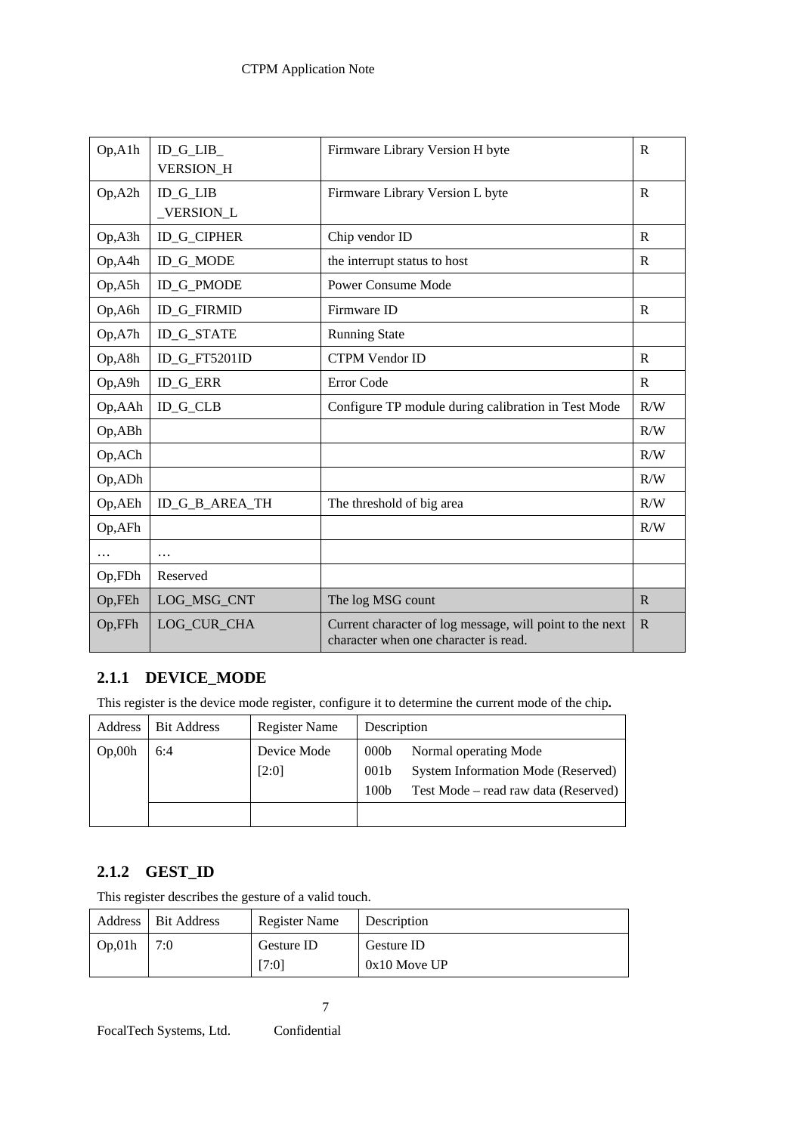| Op <sub>A1h</sub>  | ID_G_LIB_          | Firmware Library Version H byte                                                                   | $\mathbf{R}$ |
|--------------------|--------------------|---------------------------------------------------------------------------------------------------|--------------|
|                    | <b>VERSION H</b>   |                                                                                                   |              |
| Op, A2h            | $ID_G_LIB$         | Firmware Library Version L byte                                                                   | $\mathbb{R}$ |
|                    | _VERSION_L         |                                                                                                   |              |
| Op <sub>A3h</sub>  | <b>ID_G_CIPHER</b> | Chip vendor ID                                                                                    | R            |
| Op, A4h            | ID_G_MODE          | the interrupt status to host                                                                      | R            |
| Op, A5h            | <b>ID_G_PMODE</b>  | Power Consume Mode                                                                                |              |
| Op, A6h            | <b>ID_G_FIRMID</b> | Firmware ID                                                                                       | $\mathbb{R}$ |
| Op <sub>A</sub> 7h | <b>ID_G_STATE</b>  | <b>Running State</b>                                                                              |              |
| Op, A8h            | ID_G_FT5201ID      | <b>CTPM Vendor ID</b>                                                                             | $\mathbb{R}$ |
| Op, A9h            | <b>ID_G_ERR</b>    | Error Code                                                                                        | $\mathbb{R}$ |
| Op, AAh            | <b>ID_G_CLB</b>    | Configure TP module during calibration in Test Mode                                               | R/W          |
| Op, ABh            |                    |                                                                                                   | R/W          |
| Op, ACh            |                    |                                                                                                   | R/W          |
| Op, ADh            |                    |                                                                                                   | R/W          |
| Op, AEh            | ID_G_B_AREA_TH     | The threshold of big area                                                                         | R/W          |
| Op, AFh            |                    |                                                                                                   | R/W          |
| $\cdots$           | $\ddots$           |                                                                                                   |              |
| Op,FDh             | Reserved           |                                                                                                   |              |
| Op,FEh             | LOG_MSG_CNT        | The log MSG count                                                                                 | $\mathbf R$  |
| Op,FFh             | LOG CUR CHA        | Current character of log message, will point to the next<br>character when one character is read. | $\mathbb{R}$ |

# **2.1.1 DEVICE\_MODE**

This register is the device mode register, configure it to determine the current mode of the chip**.** 

| Address | <b>Bit Address</b> | <b>Register Name</b> | Description                                              |                                                                                                     |
|---------|--------------------|----------------------|----------------------------------------------------------|-----------------------------------------------------------------------------------------------------|
| Op,00h  | 6:4                | Device Mode<br>[2:0] | 000 <sub>b</sub><br>001 <sub>b</sub><br>100 <sub>b</sub> | Normal operating Mode<br>System Information Mode (Reserved)<br>Test Mode – read raw data (Reserved) |
|         |                    |                      |                                                          |                                                                                                     |

# **2.1.2 GEST\_ID**

This register describes the gesture of a valid touch.

|            | Address   Bit Address | Register Name | Description    |
|------------|-----------------------|---------------|----------------|
| $\log 01h$ | 7:0                   | Gesture ID    | Gesture ID     |
|            |                       | $7:0$ ]       | $0x10$ Move UP |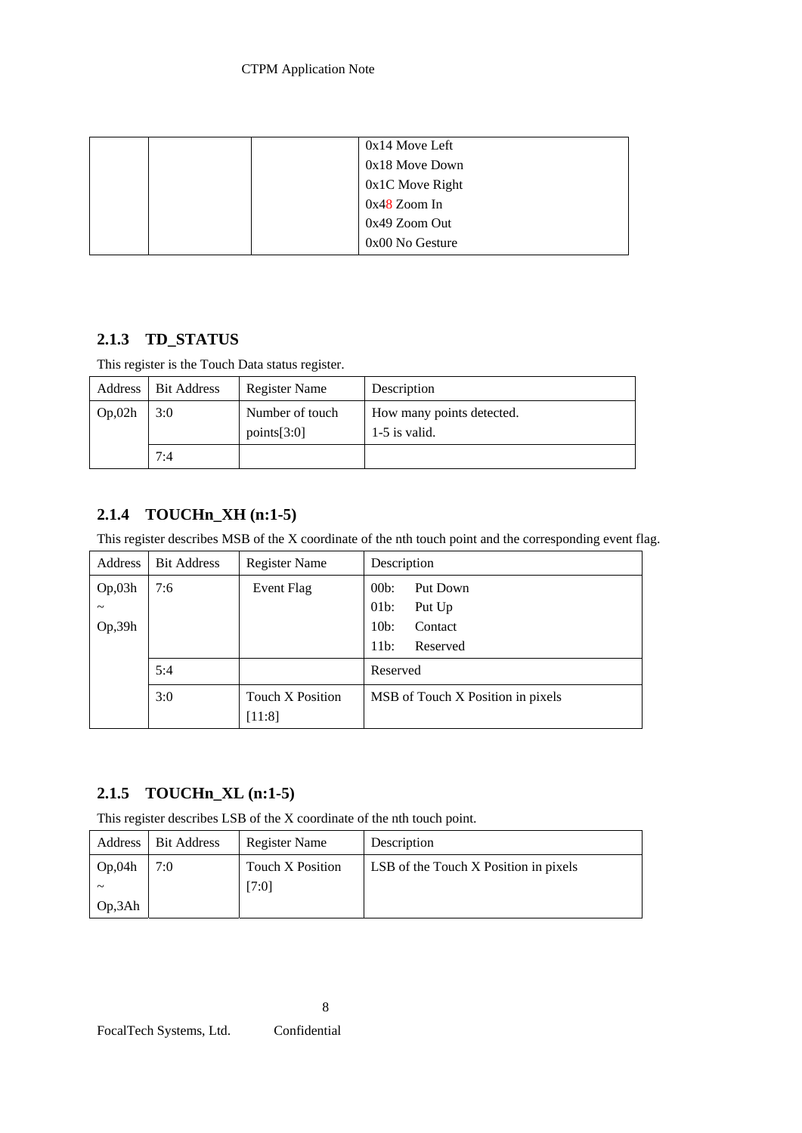|  | $0x14$ Move Left  |
|--|-------------------|
|  | 0x18 Move Down    |
|  | $0x1C$ Move Right |
|  | $0x48$ Zoom In    |
|  | $0x49$ Zoom Out   |
|  | $0x00$ No Gesture |

# **2.1.3 TD\_STATUS**

This register is the Touch Data status register.

|         | Address   Bit Address | <b>Register Name</b>           | Description                                  |
|---------|-----------------------|--------------------------------|----------------------------------------------|
| Op, 02h | 3:0                   | Number of touch<br>points[3:0] | How many points detected.<br>$1-5$ is valid. |
|         | 7:4                   |                                |                                              |

# **2.1.4 TOUCHn\_XH (n:1-5)**

This register describes MSB of the X coordinate of the nth touch point and the corresponding event flag.

| Address               | <b>Bit Address</b> | <b>Register Name</b>              | Description                       |
|-----------------------|--------------------|-----------------------------------|-----------------------------------|
| Op,03h                | 7:6                | Event Flag                        | 00 <sub>b</sub><br>Put Down       |
| $\tilde{\phantom{a}}$ |                    |                                   | $01b$ :<br>Put Up                 |
| Op, 39h               |                    |                                   | $10b$ :<br>Contact                |
|                       |                    |                                   | $11b$ :<br>Reserved               |
|                       | 5:4                |                                   | Reserved                          |
|                       | 3:0                | <b>Touch X Position</b><br>[11:8] | MSB of Touch X Position in pixels |

# **2.1.5 TOUCHn\_XL (n:1-5)**

This register describes LSB of the X coordinate of the nth touch point.

| Address      | <b>Bit Address</b> | Register Name    | Description                                  |
|--------------|--------------------|------------------|----------------------------------------------|
| $\log 0.04h$ | 7:0                | Touch X Position | <b>LSB</b> of the Touch X Position in pixels |
| ~            |                    | [7:0]            |                                              |
| $\log 3Ah$   |                    |                  |                                              |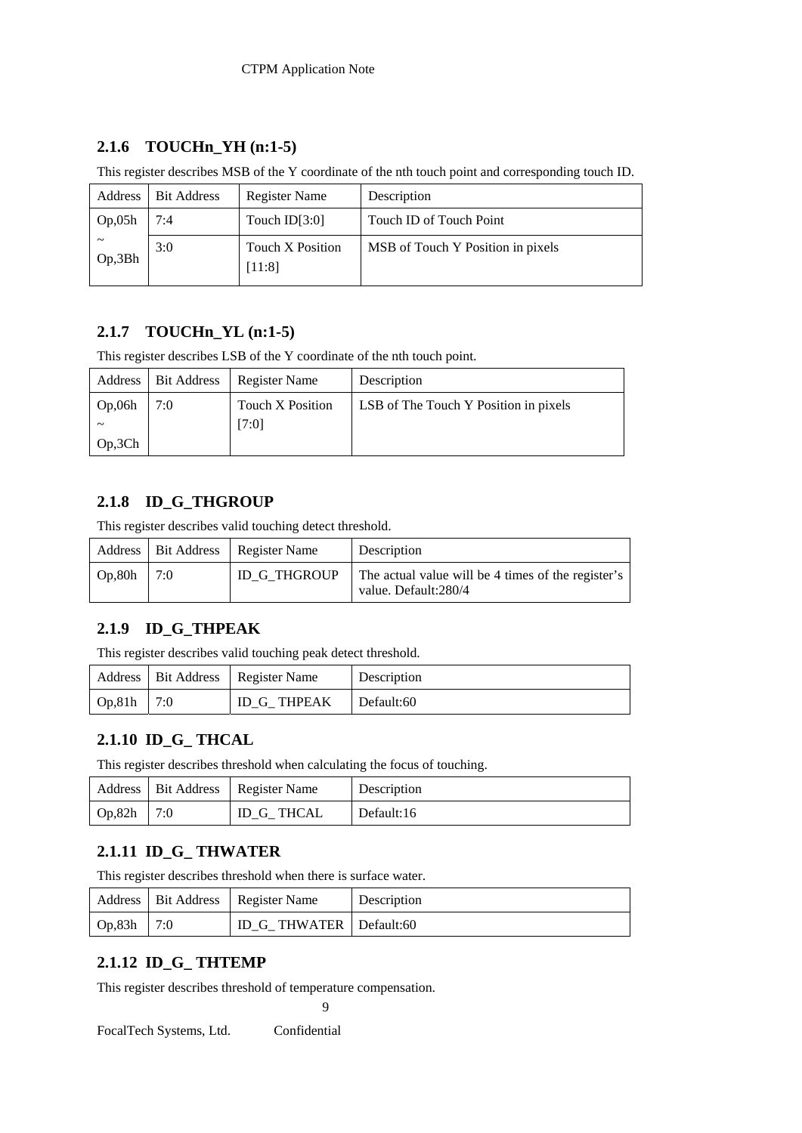# **2.1.6 TOUCHn\_YH (n:1-5)**

This register describes MSB of the Y coordinate of the nth touch point and corresponding touch ID.

| Address                         | <b>Bit Address</b> | <b>Register Name</b>       | Description                       |
|---------------------------------|--------------------|----------------------------|-----------------------------------|
| Op,05h                          | 7:4                | Touch $ID[3:0]$            | Touch ID of Touch Point           |
| $\tilde{\phantom{a}}$<br>Op,3Bh | 3:0                | Touch X Position<br>[11:8] | MSB of Touch Y Position in pixels |

# **2.1.7 TOUCHn\_YL (n:1-5)**

This register describes LSB of the Y coordinate of the nth touch point.

|         | Address   Bit Address | Register Name           | Description                           |
|---------|-----------------------|-------------------------|---------------------------------------|
| Op,06h  | 7:0                   | <b>Touch X Position</b> | LSB of The Touch Y Position in pixels |
|         |                       | [7:0]                   |                                       |
| Op, 3Ch |                       |                         |                                       |

# **2.1.8 ID\_G\_THGROUP**

This register describes valid touching detect threshold.

|         |     | Address   Bit Address   Register Name | Description                                                                |
|---------|-----|---------------------------------------|----------------------------------------------------------------------------|
| Op, 80h | 7:0 | <b>ID G THGROUP</b>                   | The actual value will be 4 times of the register's<br>value. Default:280/4 |

# **2.1.9 ID\_G\_THPEAK**

This register describes valid touching peak detect threshold.

|         |     | Address   Bit Address   Register Name | Description |
|---------|-----|---------------------------------------|-------------|
| Op, 81h | 7:0 | <b>ID G THPEAK</b>                    | Default:60  |

### **2.1.10 ID\_G\_ THCAL**

This register describes threshold when calculating the focus of touching.

|         |     | Address   Bit Address   Register Name | Description |
|---------|-----|---------------------------------------|-------------|
| Op, 82h | 7:0 | ID G THCAL                            | Default:16  |

# **2.1.11 ID\_G\_ THWATER**

This register describes threshold when there is surface water.

|         |     | Address   Bit Address   Register Name | Description |
|---------|-----|---------------------------------------|-------------|
| Op, 83h | 7:0 | <b>ID G THWATER   Default:60</b>      |             |

# **2.1.12 ID\_G\_ THTEMP**

This register describes threshold of temperature compensation.

9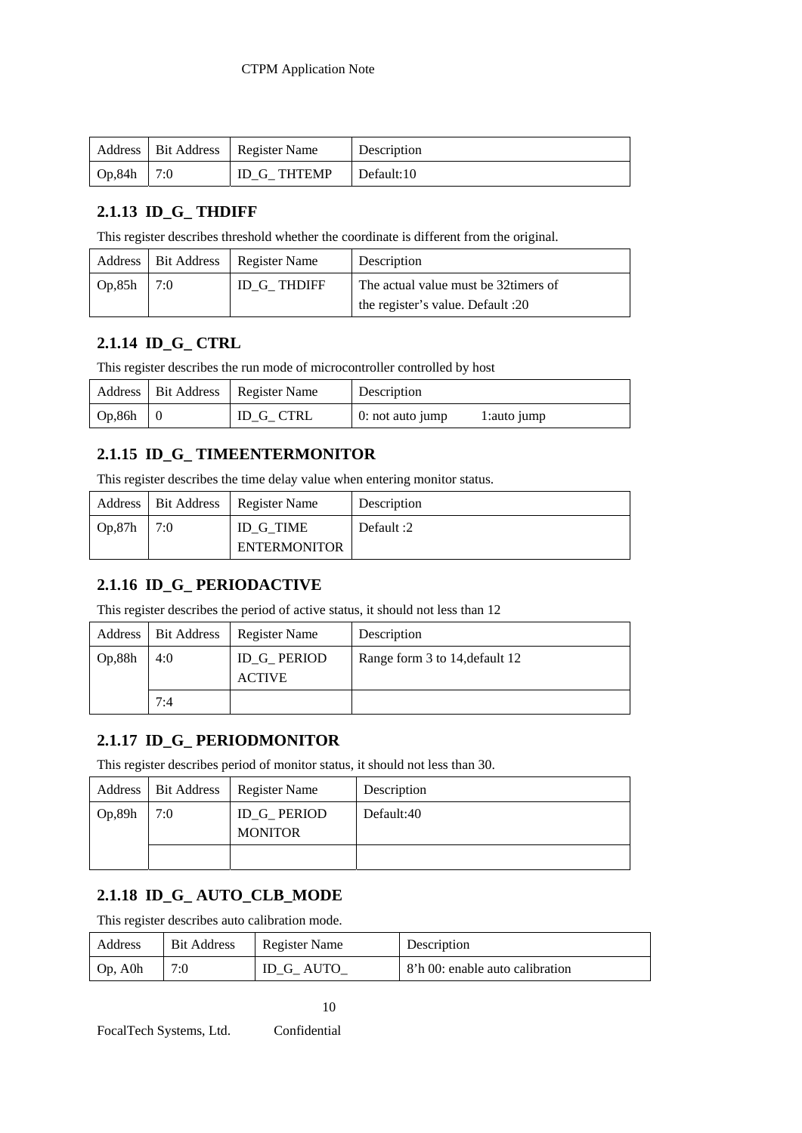|         |     | Address   Bit Address   Register Name | Description |
|---------|-----|---------------------------------------|-------------|
| Op, 84h | 7:0 | ID G THTEMP                           | Default:10  |

# **2.1.13 ID\_G\_ THDIFF**

This register describes threshold whether the coordinate is different from the original.

|        |     | Address   Bit Address   Register Name | Description                                                                |
|--------|-----|---------------------------------------|----------------------------------------------------------------------------|
| Op,85h | 7:0 | ID G THDIFF                           | The actual value must be 32 timers of<br>the register's value. Default :20 |

# **2.1.14 ID\_G\_ CTRL**

This register describes the run mode of microcontroller controlled by host

|        | Address   Bit Address   Register Name | Description      |             |
|--------|---------------------------------------|------------------|-------------|
| Op,86h | ID G CTRL                             | 0: not auto jump | 1:auto jump |

# **2.1.15 ID\_G\_ TIMEENTERMONITOR**

This register describes the time delay value when entering monitor status.

|                   | Address   Bit Address   Register Name | Description |
|-------------------|---------------------------------------|-------------|
| $\log 87h$<br>7:0 | ID G TIME<br><b>ENTERMONITOR</b>      | Default :2  |

# **2.1.16 ID\_G\_ PERIODACTIVE**

This register describes the period of active status, it should not less than 12

|         | Address   Bit Address | Register Name                 | Description                    |
|---------|-----------------------|-------------------------------|--------------------------------|
| Op, 88h | 4:0                   | ID_G_ PERIOD<br><b>ACTIVE</b> | Range form 3 to 14, default 12 |
|         | 7:4                   |                               |                                |

### **2.1.17 ID\_G\_ PERIODMONITOR**

This register describes period of monitor status, it should not less than 30.

|         |     | Address   Bit Address   Register Name | Description |
|---------|-----|---------------------------------------|-------------|
| Op, 89h | 7:0 | <b>ID_G_PERIOD</b><br><b>MONITOR</b>  | Default:40  |
|         |     |                                       |             |

# **2.1.18 ID\_G\_ AUTO\_CLB\_MODE**

This register describes auto calibration mode.

| Address    | <b>Bit Address</b> | Register Name | Description                     |
|------------|--------------------|---------------|---------------------------------|
| $Op$ , A0h | 7:0                | ID G AUTO     | 8'h 00: enable auto calibration |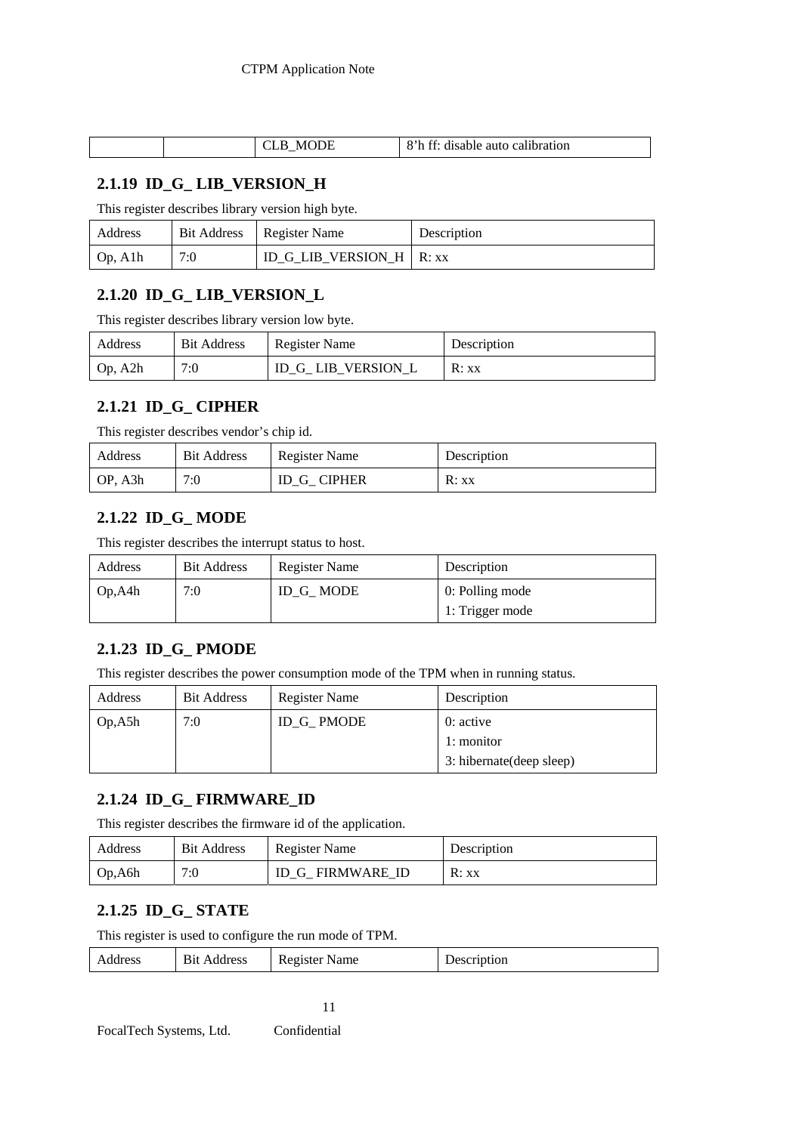|  |  | __ | O <sub>21</sub><br>$\sim$<br>$++$<br>calibration<br>disable.<br>ашс |
|--|--|----|---------------------------------------------------------------------|
|--|--|----|---------------------------------------------------------------------|

### **2.1.19 ID\_G\_ LIB\_VERSION\_H**

This register describes library version high byte.

| Address |     | Bit Address   Register Name | Description |
|---------|-----|-----------------------------|-------------|
| Op, A1h | 7:0 | ID G LIB VERSION H   R: xx  |             |

# **2.1.20 ID\_G\_ LIB\_VERSION\_L**

This register describes library version low byte.

| Address | <b>Bit Address</b> | <b>Register Name</b> | Description |
|---------|--------------------|----------------------|-------------|
| Op, A2h | 7:0                | ID_G_ LIB_VERSION_L  | R: xx       |

### **2.1.21 ID\_G\_ CIPHER**

This register describes vendor's chip id.

| Address | <b>Bit Address</b> | Register Name | Description |
|---------|--------------------|---------------|-------------|
| OP, A3h | 7:0                | ID G CIPHER   | R: xx       |

# **2.1.22 ID\_G\_ MODE**

This register describes the interrupt status to host.

| Address | <b>Bit Address</b> | Register Name | Description     |
|---------|--------------------|---------------|-----------------|
| Op, A4h | 7:0                | ID G MODE     | 0: Polling mode |
|         |                    |               | 1: Trigger mode |

### **2.1.23 ID\_G\_ PMODE**

This register describes the power consumption mode of the TPM when in running status.

| Address | <b>Bit Address</b> | <b>Register Name</b> | Description               |
|---------|--------------------|----------------------|---------------------------|
| Op, A5h | 7:0                | ID G PMODE           | 0: active                 |
|         |                    |                      | 1: monitor                |
|         |                    |                      | 3: hibernate (deep sleep) |

### **2.1.24 ID\_G\_ FIRMWARE\_ID**

This register describes the firmware id of the application.

| Address | <b>Bit Address</b> | <b>Register Name</b> | Description |
|---------|--------------------|----------------------|-------------|
| Op, A6h | 7:0                | ID G FIRMWARE ID     | R:xx        |

### **2.1.25 ID\_G\_ STATE**

This register is used to configure the run mode of TPM.

|  | Address | <b>Bit</b><br>Address | $\mathbf{r}$<br><b>Register Name</b> | Description |
|--|---------|-----------------------|--------------------------------------|-------------|
|--|---------|-----------------------|--------------------------------------|-------------|

11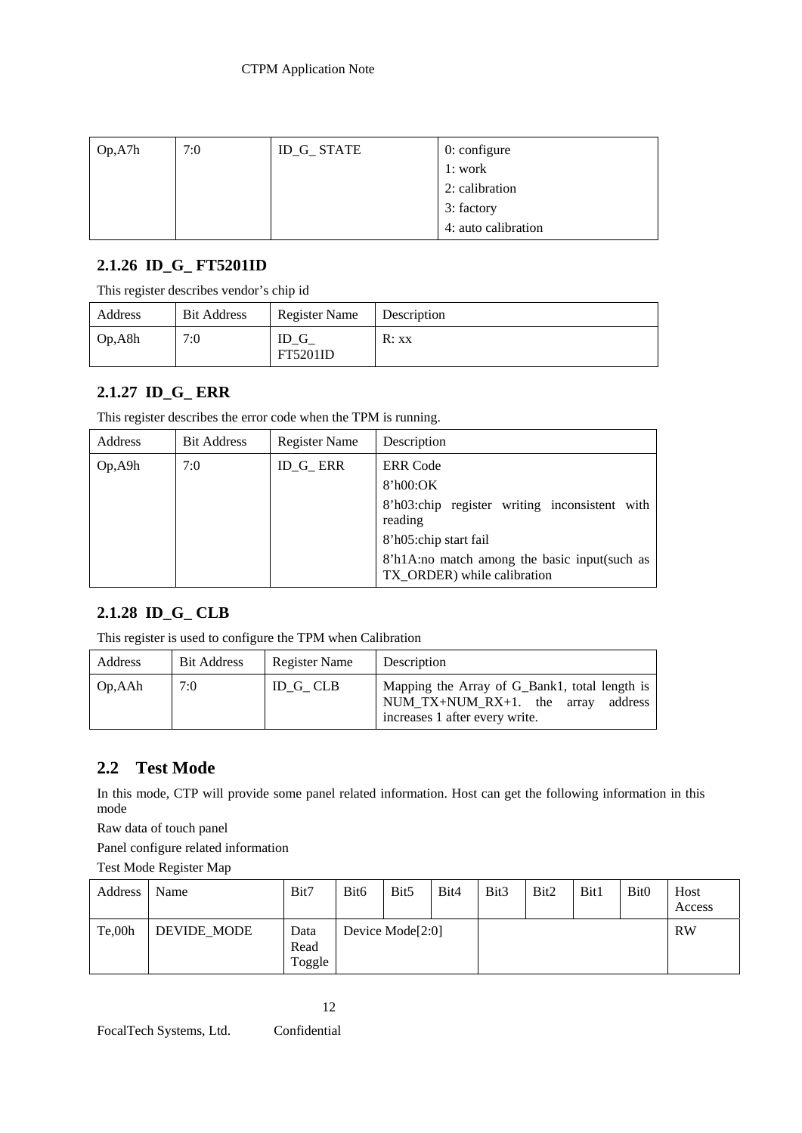| Op <sub>2</sub> A7h | 7:0 | <b>ID_G_ STATE</b> | $0$ : configure     |
|---------------------|-----|--------------------|---------------------|
|                     |     |                    | 1: work             |
|                     |     |                    | 2: calibration      |
|                     |     |                    | 3: factory          |
|                     |     |                    | 4: auto calibration |

# **2.1.26 ID\_G\_ FT5201ID**

This register describes vendor's chip id

| Address | <b>Bit Address</b> | Register Name           | Description |
|---------|--------------------|-------------------------|-------------|
| Op, A8h | 7:0                | ID G<br><b>FT5201ID</b> | R:xx        |

### **2.1.27 ID\_G\_ ERR**

This register describes the error code when the TPM is running.

| Address | <b>Bit Address</b> | <b>Register Name</b> | Description                                                                                                                                                                                     |
|---------|--------------------|----------------------|-------------------------------------------------------------------------------------------------------------------------------------------------------------------------------------------------|
| Op, A9h | 7:0                | ID_G_ ERR            | <b>ERR</b> Code<br>8'h00:OK<br>8'h03:chip register writing inconsistent with<br>reading<br>8'h05:chip start fail<br>8'h1A:no match among the basic input(such as<br>TX ORDER) while calibration |

### **2.1.28 ID\_G\_ CLB**

This register is used to configure the TPM when Calibration

| Address | <b>Bit Address</b> | Register Name | Description                                                                                                           |
|---------|--------------------|---------------|-----------------------------------------------------------------------------------------------------------------------|
| Op, AAh | 7:0                | ID G CLB      | Mapping the Array of G_Bank1, total length is<br>NUM_TX+NUM_RX+1. the array address<br>increases 1 after every write. |

# **2.2 Test Mode**

In this mode, CTP will provide some panel related information. Host can get the following information in this mode

Raw data of touch panel

Panel configure related information

Test Mode Register Map

| Address | Name        | Bit7                   | Bit <sub>6</sub> | Bit <sub>5</sub>             | Bit4 | Bit <sub>3</sub> | Bit2 | Bit1 | Bit <sub>0</sub> | Host<br>Access |
|---------|-------------|------------------------|------------------|------------------------------|------|------------------|------|------|------------------|----------------|
| Te.00h  | DEVIDE MODE | Data<br>Read<br>Toggle |                  | Device Mode <sup>[2:0]</sup> |      |                  |      |      |                  | <b>RW</b>      |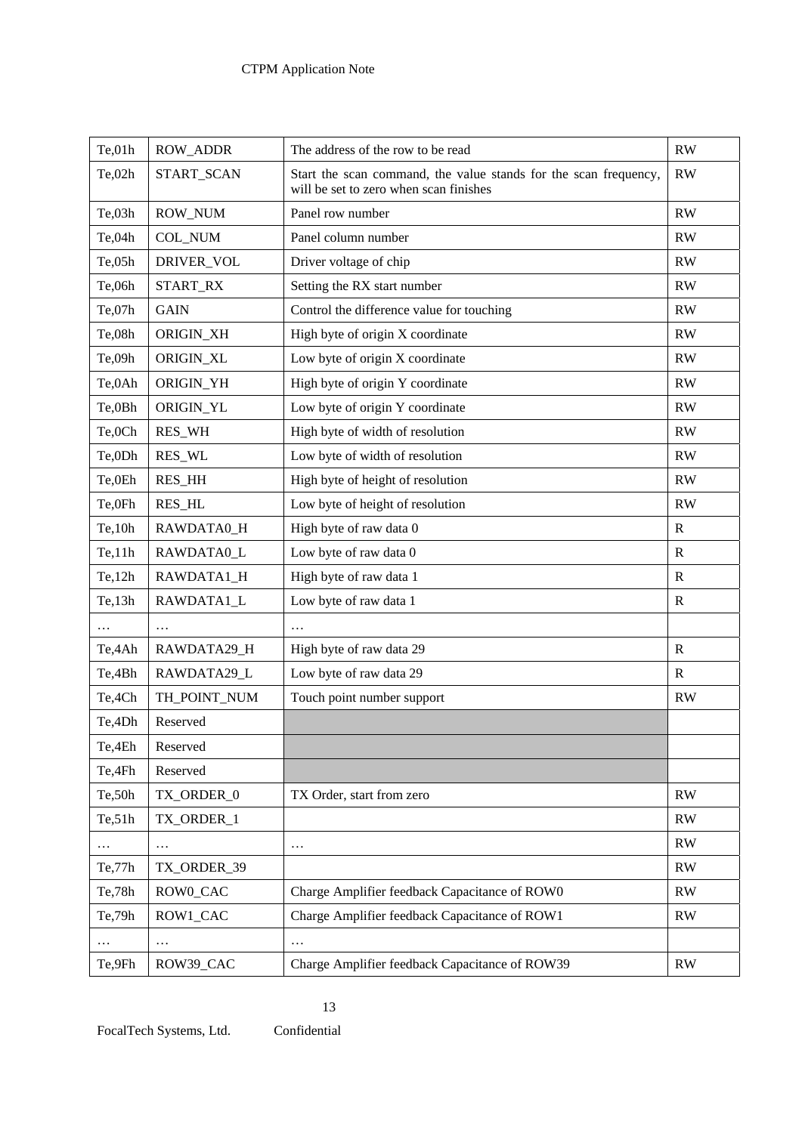| Te, 01h | <b>ROW_ADDR</b> | The address of the row to be read                                                                          | RW            |
|---------|-----------------|------------------------------------------------------------------------------------------------------------|---------------|
| Te,02h  | START_SCAN      | Start the scan command, the value stands for the scan frequency,<br>will be set to zero when scan finishes | RW            |
| Te, 03h | <b>ROW_NUM</b>  | Panel row number                                                                                           | RW            |
| Te,04h  | COL_NUM         | Panel column number                                                                                        | RW            |
| Te,05h  | DRIVER_VOL      | Driver voltage of chip                                                                                     | RW            |
| Te,06h  | START_RX        | Setting the RX start number                                                                                | RW            |
| Te,07h  | <b>GAIN</b>     | Control the difference value for touching                                                                  | RW            |
| Te,08h  | ORIGIN_XH       | High byte of origin X coordinate                                                                           | RW            |
| Te,09h  | ORIGIN_XL       | Low byte of origin X coordinate                                                                            | RW            |
| Te,0Ah  | ORIGIN_YH       | High byte of origin Y coordinate                                                                           | RW            |
| Te,0Bh  | ORIGIN_YL       | Low byte of origin Y coordinate                                                                            | RW            |
| Te,0Ch  | RES_WH          | High byte of width of resolution                                                                           | RW            |
| Te,0Dh  | RES_WL          | Low byte of width of resolution                                                                            | RW            |
| Te,0Eh  | RES_HH          | High byte of height of resolution                                                                          | RW            |
| Te,0Fh  | <b>RES_HL</b>   | Low byte of height of resolution                                                                           | RW            |
| Te, 10h | RAWDATA0_H      | High byte of raw data 0                                                                                    | $\mathbf R$   |
| Te, 11h | RAWDATA0_L      | Low byte of raw data 0                                                                                     | $\mathbb{R}$  |
| Te, 12h | RAWDATA1_H      | High byte of raw data 1                                                                                    | $\mathbb{R}$  |
| Te, 13h | RAWDATA1_L      | Low byte of raw data 1                                                                                     | $\mathbb{R}$  |
|         | .               |                                                                                                            |               |
| Te,4Ah  | RAWDATA29_H     | High byte of raw data 29                                                                                   | $\mathbf R$   |
| Te,4Bh  | RAWDATA29 L     | Low byte of raw data 29                                                                                    | $\mathbb{R}$  |
| Te,4Ch  | TH_POINT_NUM    | Touch point number support                                                                                 | RW            |
| Te,4Dh  | Reserved        |                                                                                                            |               |
| Te,4Eh  | Reserved        |                                                                                                            |               |
| Te,4Fh  | Reserved        |                                                                                                            |               |
| Te, 50h | TX_ORDER_0      | TX Order, start from zero                                                                                  | RW            |
| Te, 51h | TX_ORDER_1      |                                                                                                            | RW            |
|         | $\cdots$        | .                                                                                                          | RW            |
| Te,77h  | TX_ORDER_39     |                                                                                                            | $\mathbf{RW}$ |
| Te,78h  | ROW0_CAC        | Charge Amplifier feedback Capacitance of ROW0                                                              | RW            |
| Te,79h  | ROW1_CAC        | Charge Amplifier feedback Capacitance of ROW1                                                              | RW            |
|         | $\cdots$        |                                                                                                            |               |
| Te,9Fh  | ROW39_CAC       | Charge Amplifier feedback Capacitance of ROW39                                                             | $\mathbf{RW}$ |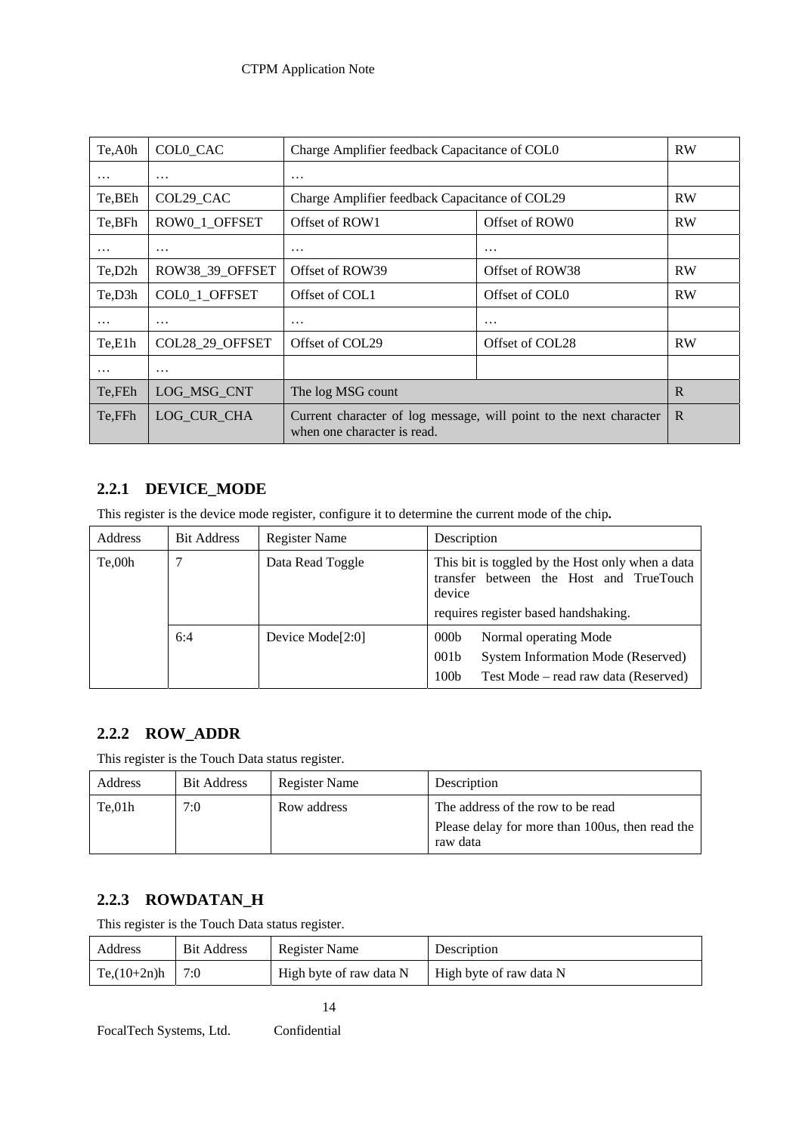| Te, A0h  | COLO CAC        |                                                                                                   | Charge Amplifier feedback Capacitance of COL0 |           |  |
|----------|-----------------|---------------------------------------------------------------------------------------------------|-----------------------------------------------|-----------|--|
| $\cdots$ | $\cdots$        | $\cdots$                                                                                          |                                               |           |  |
| Te, BEh  | COL29_CAC       | Charge Amplifier feedback Capacitance of COL29                                                    |                                               | <b>RW</b> |  |
| Te,BFh   | ROW0_1_OFFSET   | Offset of ROW1                                                                                    | Offset of ROW0                                | <b>RW</b> |  |
| $\cdots$ | $\cdots$        | $\cdots$                                                                                          | $\cdots$                                      |           |  |
| Te,D2h   | ROW38 39 OFFSET | Offset of ROW39<br>Offset of ROW38                                                                |                                               | <b>RW</b> |  |
| Te,D3h   | COL0 1 OFFSET   | Offset of COL1<br>Offset of COL <sub>0</sub>                                                      |                                               | <b>RW</b> |  |
| $\cdots$ | $\cdots$        | $\cdots$<br>$\cdots$                                                                              |                                               |           |  |
| Te,E1h   | COL28 29 OFFSET | Offset of COL29                                                                                   | Offset of COL28                               |           |  |
| $\cdots$ | $\cdots$        |                                                                                                   |                                               |           |  |
| Te, FEh  | LOG MSG CNT     | The log MSG count                                                                                 | R                                             |           |  |
| Te, FFh  | LOG CUR CHA     | Current character of log message, will point to the next character<br>when one character is read. | $\mathbb{R}$                                  |           |  |

# **2.2.1 DEVICE\_MODE**

This register is the device mode register, configure it to determine the current mode of the chip**.** 

| Address | <b>Bit Address</b> | Register Name    | Description                                                                                                                                                     |
|---------|--------------------|------------------|-----------------------------------------------------------------------------------------------------------------------------------------------------------------|
| Te,00h  |                    | Data Read Toggle | This bit is toggled by the Host only when a data<br>transfer between the Host and TrueTouch<br>device<br>requires register based handshaking.                   |
|         | 6:4                | Device Mode[2:0] | Normal operating Mode<br>000 <sub>b</sub><br>001 <sub>b</sub><br>System Information Mode (Reserved)<br>100 <sub>b</sub><br>Test Mode – read raw data (Reserved) |

### **2.2.2 ROW\_ADDR**

This register is the Touch Data status register.

| Address | <b>Bit Address</b> | Register Name | Description                                                                                       |
|---------|--------------------|---------------|---------------------------------------------------------------------------------------------------|
| Te.01h  | 7:0                | Row address   | The address of the row to be read<br>Please delay for more than 100 us, then read the<br>raw data |

### **2.2.3 ROWDATAN\_H**

This register is the Touch Data status register.

| Address          | <b>Bit Address</b> | Register Name           | Description             |
|------------------|--------------------|-------------------------|-------------------------|
| $Te(10+2n)h$ 7:0 |                    | High byte of raw data N | High byte of raw data N |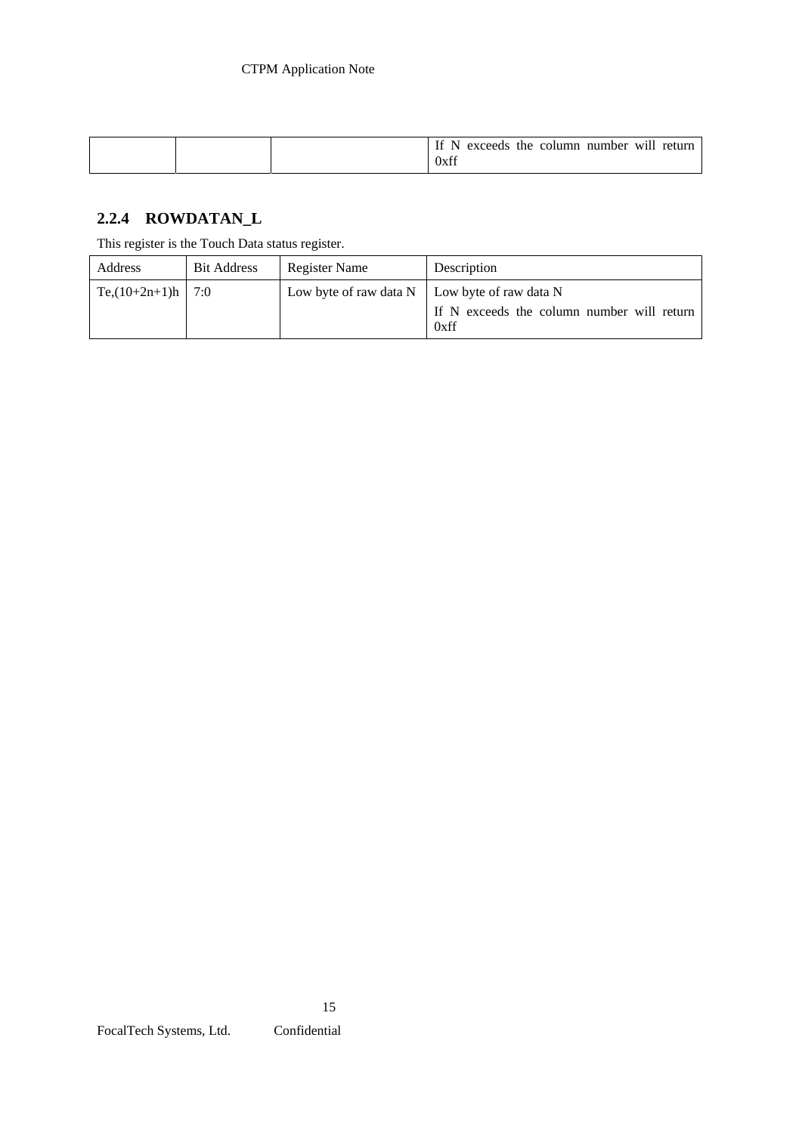|  |  | number will return<br>If N<br>exceeds the column<br>0xff |
|--|--|----------------------------------------------------------|
|--|--|----------------------------------------------------------|

# **2.2.4 ROWDATAN\_L**

This register is the Touch Data status register.

| Address                 | <b>Bit Address</b> | Register Name                                        | Description                                        |
|-------------------------|--------------------|------------------------------------------------------|----------------------------------------------------|
| Te, $(10+2n+1)$ h   7:0 |                    | Low byte of raw data $N \mid$ Low byte of raw data N | If N exceeds the column number will return<br>0xff |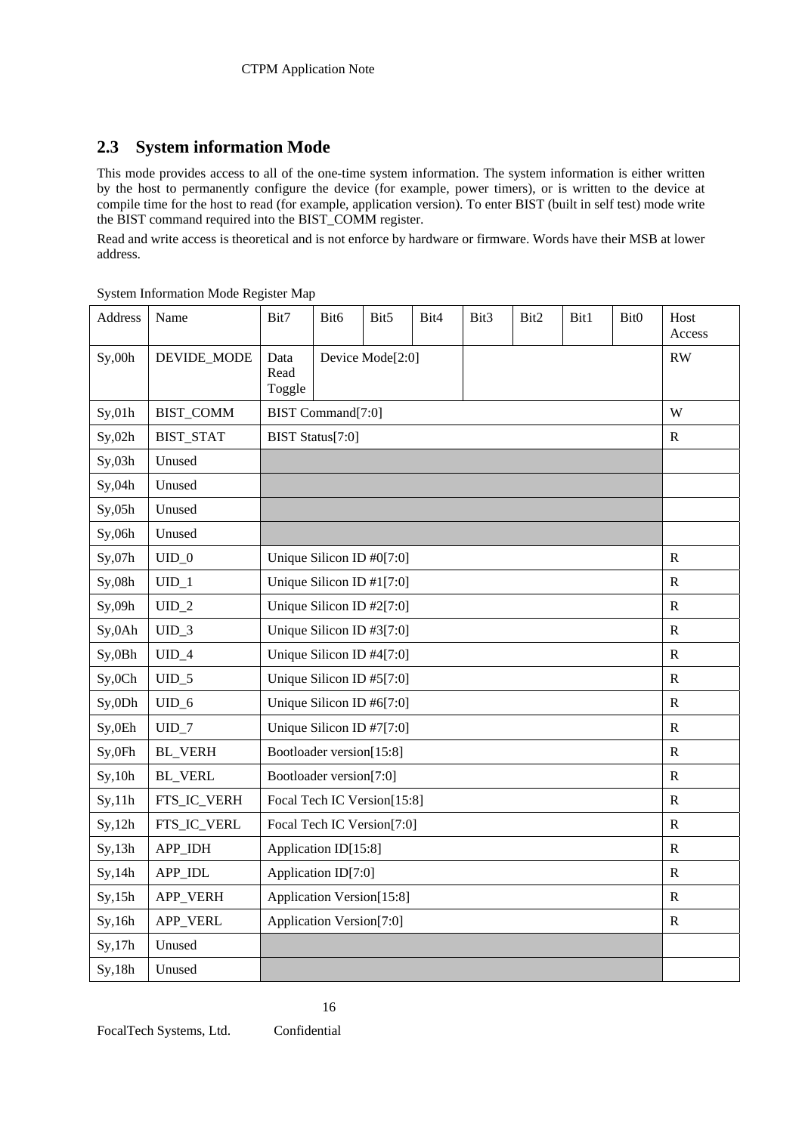# **2.3 System information Mode**

This mode provides access to all of the one-time system information. The system information is either written by the host to permanently configure the device (for example, power timers), or is written to the device at compile time for the host to read (for example, application version). To enter BIST (built in self test) mode write the BIST command required into the BIST\_COMM register.

Read and write access is theoretical and is not enforce by hardware or firmware. Words have their MSB at lower address.

| Address | Name             | Bit7                        | Bit <sub>6</sub> | Bit5                        | Bit4        | Bit <sub>3</sub> | Bit2 | Bit1 | Bit0 | Host<br>Access |
|---------|------------------|-----------------------------|------------------|-----------------------------|-------------|------------------|------|------|------|----------------|
| Sy,00h  | DEVIDE_MODE      | Data<br>Read<br>Toggle      |                  | Device Mode[2:0]            |             |                  |      |      |      | <b>RW</b>      |
| Sy, 01h | <b>BIST_COMM</b> | BIST Command[7:0]           |                  |                             |             |                  |      |      |      | W              |
| Sy, 02h | <b>BIST_STAT</b> | BIST Status[7:0]            |                  |                             |             |                  |      |      |      | $\mathbf R$    |
| Sy, 03h | Unused           |                             |                  |                             |             |                  |      |      |      |                |
| Sy,04h  | Unused           |                             |                  |                             |             |                  |      |      |      |                |
| Sy,05h  | Unused           |                             |                  |                             |             |                  |      |      |      |                |
| Sy,06h  | Unused           |                             |                  |                             |             |                  |      |      |      |                |
| Sy,07h  | $UID_0$          | Unique Silicon ID #0[7:0]   |                  |                             |             | R                |      |      |      |                |
| Sy, 08h | $UID_1$          | Unique Silicon ID #1[7:0]   |                  |                             |             | R                |      |      |      |                |
| Sy,09h  | $UID_2$          | Unique Silicon ID $#2[7:0]$ |                  |                             | R           |                  |      |      |      |                |
| Sy,0Ah  | $UID_3$          | Unique Silicon ID #3[7:0]   |                  |                             |             | $\mathbf R$      |      |      |      |                |
| Sy,0Bh  | $UID_4$          | Unique Silicon ID #4[7:0]   |                  |                             | $\mathbf R$ |                  |      |      |      |                |
| Sy,0Ch  | $UID_5$          | Unique Silicon ID #5[7:0]   |                  |                             | R           |                  |      |      |      |                |
| Sy,0Dh  | $UID_6$          | Unique Silicon ID #6[7:0]   |                  |                             | ${\bf R}$   |                  |      |      |      |                |
| Sy,0Eh  | $UID_7$          | Unique Silicon ID #7[7:0]   |                  |                             |             | ${\bf R}$        |      |      |      |                |
| Sy, 0Fh | <b>BL_VERH</b>   | Bootloader version[15:8]    |                  |                             | R           |                  |      |      |      |                |
| Sy, 10h | <b>BL_VERL</b>   | Bootloader version[7:0]     |                  |                             |             |                  |      |      |      | $\mathbf R$    |
| Sy, 11h | FTS_IC_VERH      |                             |                  | Focal Tech IC Version[15:8] |             |                  |      |      |      | ${\bf R}$      |
| Sy, 12h | FTS_IC_VERL      |                             |                  | Focal Tech IC Version[7:0]  |             |                  |      |      |      | R              |
| Sy, 13h | APP_IDH          | Application ID[15:8]        |                  |                             |             |                  |      |      |      | $\mathbf R$    |
| Sy, 14h | APP_IDL          | Application ID[7:0]         |                  |                             | $\mathbf R$ |                  |      |      |      |                |
| Sy, 15h | APP_VERH         | Application Version[15:8]   |                  |                             | R           |                  |      |      |      |                |
| Sy,16h  | APP_VERL         | Application Version[7:0]    |                  |                             | ${\bf R}$   |                  |      |      |      |                |
| Sy, 17h | Unused           |                             |                  |                             |             |                  |      |      |      |                |
| Sy, 18h | Unused           |                             |                  |                             |             |                  |      |      |      |                |

System Information Mode Register Map

16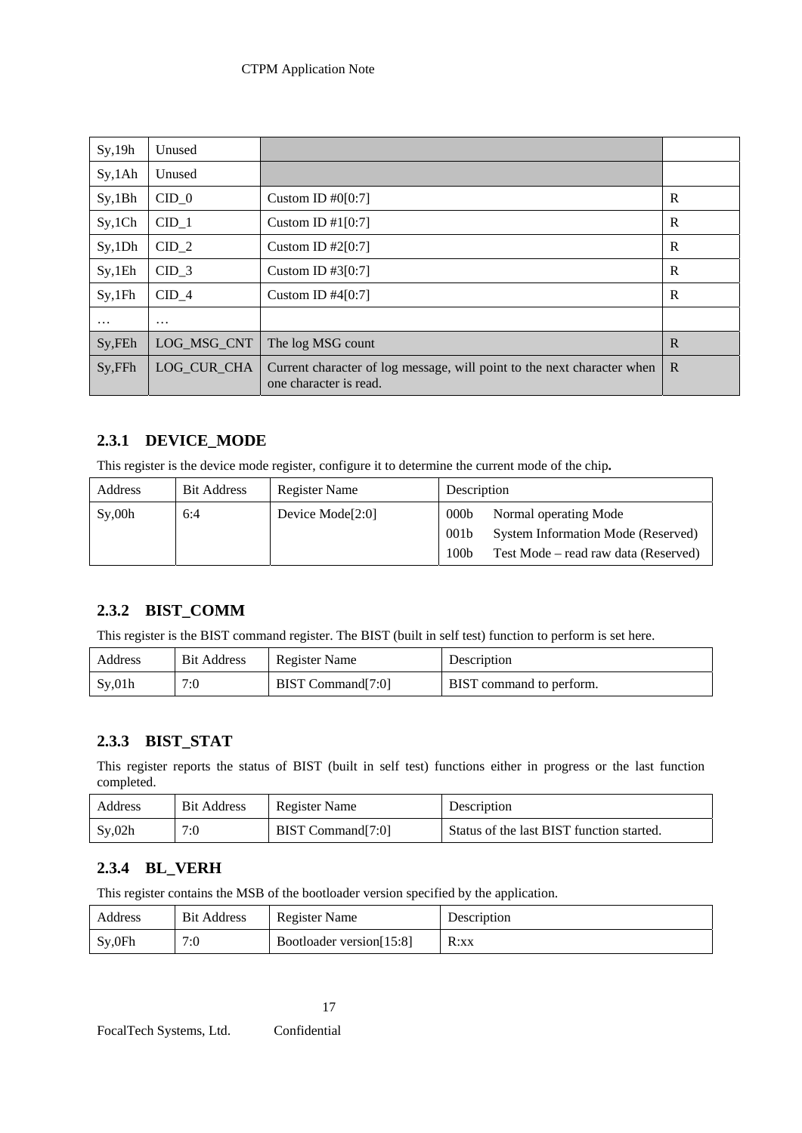### CTPM Application Note

| Sy, 19h  | Unused      |                                                                                                   |   |
|----------|-------------|---------------------------------------------------------------------------------------------------|---|
| Sy,1Ah   | Unused      |                                                                                                   |   |
| Sy,1Bh   | $CID_0$     | Custom ID $#0[0:7]$                                                                               | R |
| Sy, 1Ch  | $CID_1$     | Custom ID $\#1[0:7]$                                                                              | R |
| Sy,1Dh   | $CID_2$     | Custom ID $#2[0:7]$                                                                               | R |
| Sy,1Eh   | $CID_3$     | Custom ID #3 $[0:7]$                                                                              | R |
| Sy,1Fh   | CID 4       | Custom ID $#4[0:7]$                                                                               | R |
| $\cdots$ | $\cdots$    |                                                                                                   |   |
| Sy, FEh  | LOG MSG CNT | The log MSG count                                                                                 | R |
| Sy, FFh  | LOG CUR CHA | Current character of log message, will point to the next character when<br>one character is read. | R |

### **2.3.1 DEVICE\_MODE**

This register is the device mode register, configure it to determine the current mode of the chip**.** 

| Address | <b>Bit Address</b> | Register Name                | Description                                              |                                                                                                            |
|---------|--------------------|------------------------------|----------------------------------------------------------|------------------------------------------------------------------------------------------------------------|
| Sy,00h  | 6:4                | Device Mode <sup>[2:0]</sup> | 000 <sub>b</sub><br>001 <sub>b</sub><br>100 <sub>b</sub> | Normal operating Mode<br><b>System Information Mode (Reserved)</b><br>Test Mode – read raw data (Reserved) |

### **2.3.2 BIST\_COMM**

This register is the BIST command register. The BIST (built in self test) function to perform is set here.

| Address | <b>Bit Address</b> | <b>Register Name</b> | Description              |
|---------|--------------------|----------------------|--------------------------|
| Sv,01h  | 7:0                | BIST Command[7:0]    | BIST command to perform. |

### **2.3.3 BIST\_STAT**

This register reports the status of BIST (built in self test) functions either in progress or the last function completed.

| Address   | <b>Bit Address</b> | Register Name     | Description                               |
|-----------|--------------------|-------------------|-------------------------------------------|
| $S_v,02h$ | 7:0                | BIST Command[7:0] | Status of the last BIST function started. |

### **2.3.4 BL\_VERH**

This register contains the MSB of the bootloader version specified by the application.

| Address | <b>Bit Address</b> | Register Name            | Description |
|---------|--------------------|--------------------------|-------------|
| Sy, 0Fh | 7:0                | Bootloader version[15:8] | R:xx        |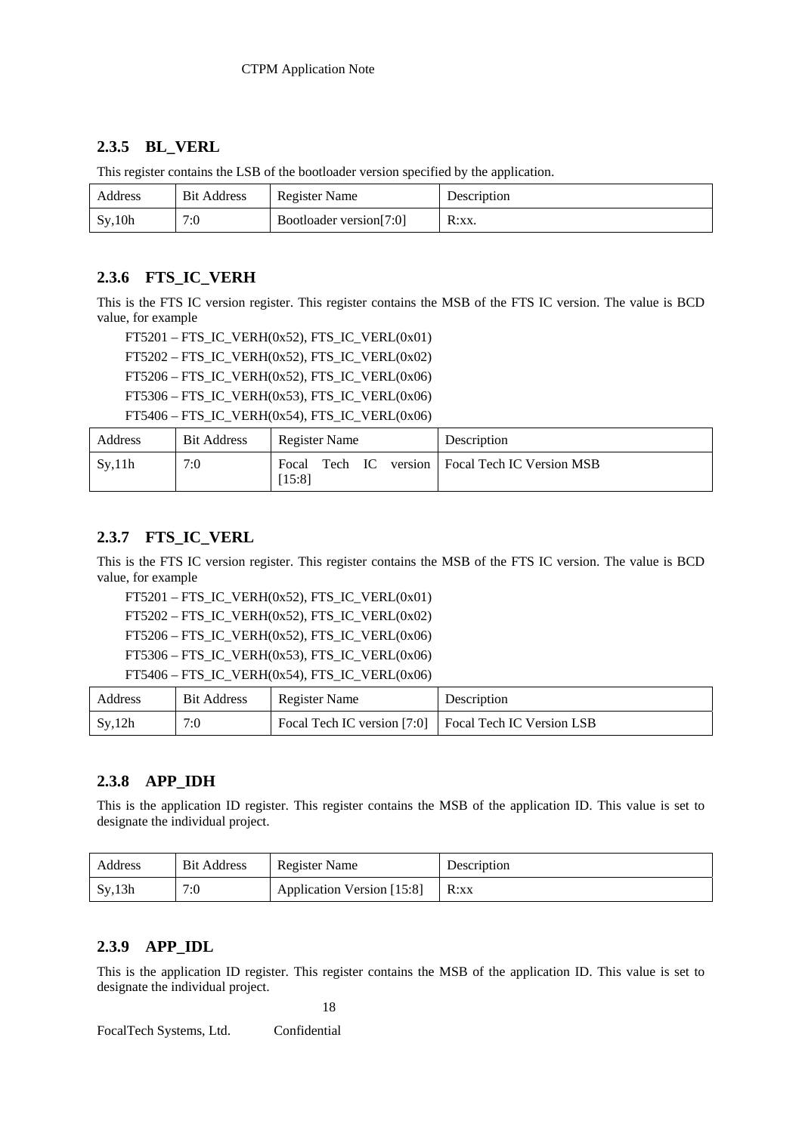### **2.3.5 BL\_VERL**

| -       |                    |                         |             |
|---------|--------------------|-------------------------|-------------|
| Address | <b>Bit Address</b> | <b>Register Name</b>    | Description |
| Sy, 10h | 7:0                | Bootloader version[7:0] | $R:XX$ .    |

This register contains the LSB of the bootloader version specified by the application.

### **2.3.6 FTS\_IC\_VERH**

This is the FTS IC version register. This register contains the MSB of the FTS IC version. The value is BCD value, for example

 FT5201 – FTS\_IC\_VERH(0x52), FTS\_IC\_VERL(0x01) FT5202 – FTS\_IC\_VERH(0x52), FTS\_IC\_VERL(0x02) FT5206 – FTS\_IC\_VERH $(0x52)$ , FTS\_IC\_VERL $(0x06)$  FT5306 – FTS\_IC\_VERH(0x53), FTS\_IC\_VERL(0x06) FT5406 – FTS\_IC\_VERH $(0x54)$ , FTS\_IC\_VERL $(0x06)$ 

| Address | <b>Bit Address</b> | Register Name | Description                                       |
|---------|--------------------|---------------|---------------------------------------------------|
| Sv,11h  | 7:0                | [15:8]        | Focal Tech IC version   Focal Tech IC Version MSB |

### **2.3.7 FTS\_IC\_VERL**

This is the FTS IC version register. This register contains the MSB of the FTS IC version. The value is BCD value, for example

FT5201 – FTS\_IC\_VERH(0x52), FTS\_IC\_VERL(0x01)

FT5202 – FTS\_IC\_VERH(0x52), FTS\_IC\_VERL(0x02)

FT5206 – FTS\_IC\_VERH(0x52), FTS\_IC\_VERL(0x06)

FT5306 – FTS\_IC\_VERH(0x53), FTS\_IC\_VERL(0x06)

```
FT5406 – FTS_IC_VERH(0x54), FTS_IC_VERL(0x06)
```

| Address | <b>Bit Address</b> | <b>Register Name</b>                                  | Description |
|---------|--------------------|-------------------------------------------------------|-------------|
| Sy, 12h | 7:0                | Focal Tech IC version [7:0] Focal Tech IC Version LSB |             |

### **2.3.8 APP\_IDH**

This is the application ID register. This register contains the MSB of the application ID. This value is set to designate the individual project.

| Address | <b>Bit Address</b> | Register Name              | Description |
|---------|--------------------|----------------------------|-------------|
| Sy, 13h | 7:0                | Application Version [15:8] | R:xx        |

### **2.3.9 APP\_IDL**

This is the application ID register. This register contains the MSB of the application ID. This value is set to designate the individual project.

18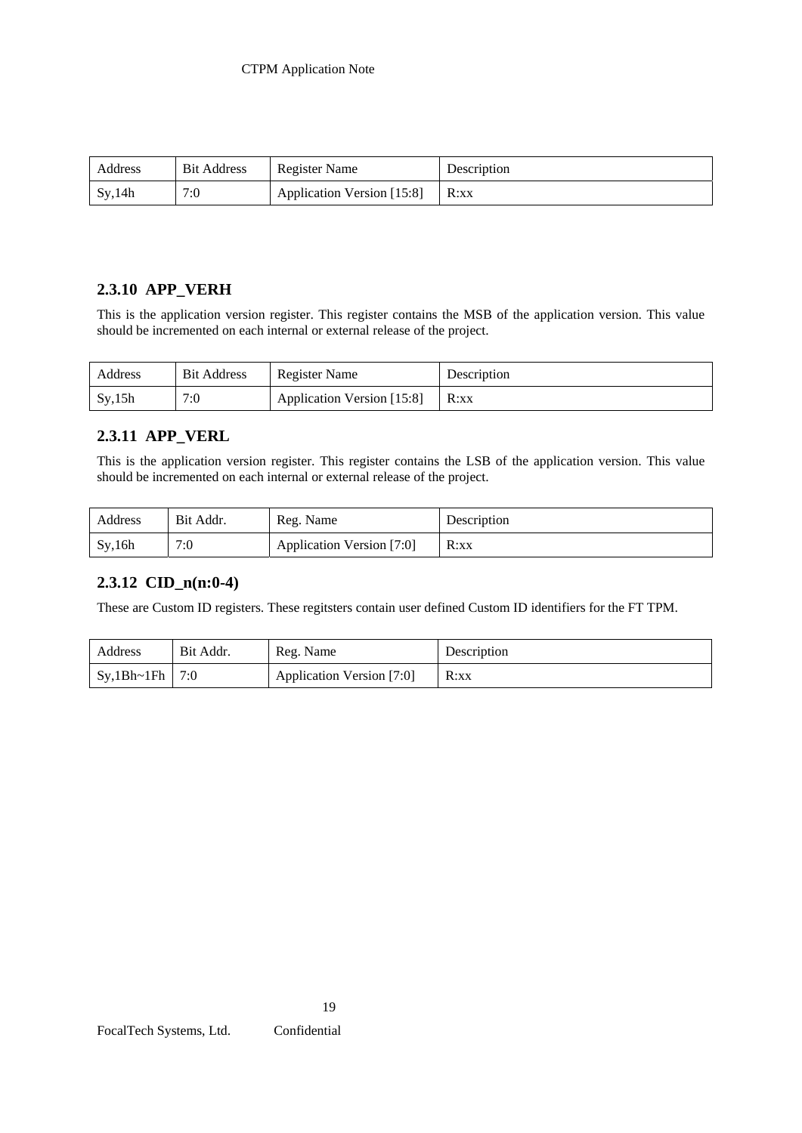| Address | <b>Bit Address</b> | Register Name              | Description |
|---------|--------------------|----------------------------|-------------|
| Sy, 14h | 7:0                | Application Version [15:8] | R:xx        |

### **2.3.10 APP\_VERH**

This is the application version register. This register contains the MSB of the application version. This value should be incremented on each internal or external release of the project.

| Address | <b>Bit Address</b> | Register Name              | Description |
|---------|--------------------|----------------------------|-------------|
| Sy, 15h | 7:0                | Application Version [15:8] | R:xx        |

# **2.3.11 APP\_VERL**

This is the application version register. This register contains the LSB of the application version. This value should be incremented on each internal or external release of the project.

| Address | Bit Addr. | Reg. Name                 | Description |
|---------|-----------|---------------------------|-------------|
| Sy, 16h | 7:0       | Application Version [7:0] | R:xx        |

### **2.3.12 CID\_n(n:0-4)**

These are Custom ID registers. These regitsters contain user defined Custom ID identifiers for the FT TPM.

| Address     | Bit Addr. | Reg. Name                 | Description |
|-------------|-----------|---------------------------|-------------|
| Sy, 1Bh~1Fh | 7:0       | Application Version [7:0] | R:xx        |

19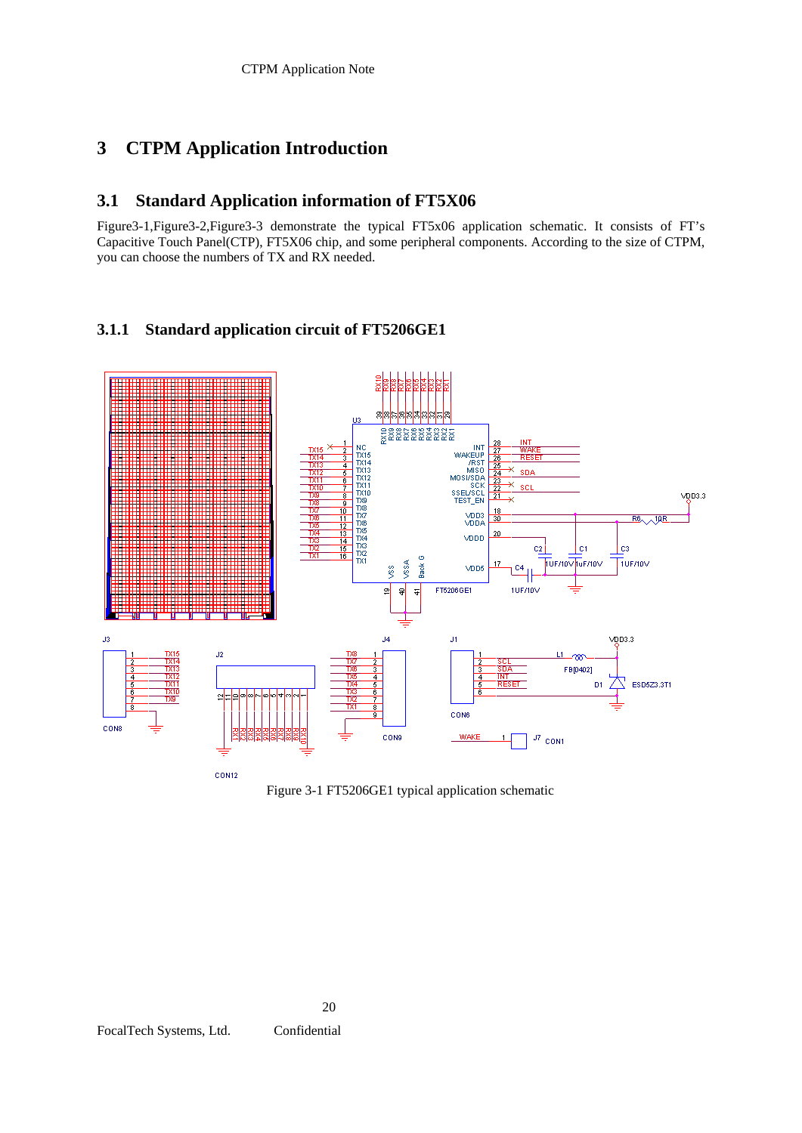# **3 CTPM Application Introduction**

### **3.1 Standard Application information of FT5X06**

Figure3-1,Figure3-2,Figure3-3 demonstrate the typical FT5x06 application schematic. It consists of FT's Capacitive Touch Panel(CTP), FT5X06 chip, and some peripheral components. According to the size of CTPM, you can choose the numbers of TX and RX needed.

### **3.1.1 Standard application circuit of FT5206GE1**

![](_page_44_Figure_5.jpeg)

Figure 3-1 FT5206GE1 typical application schematic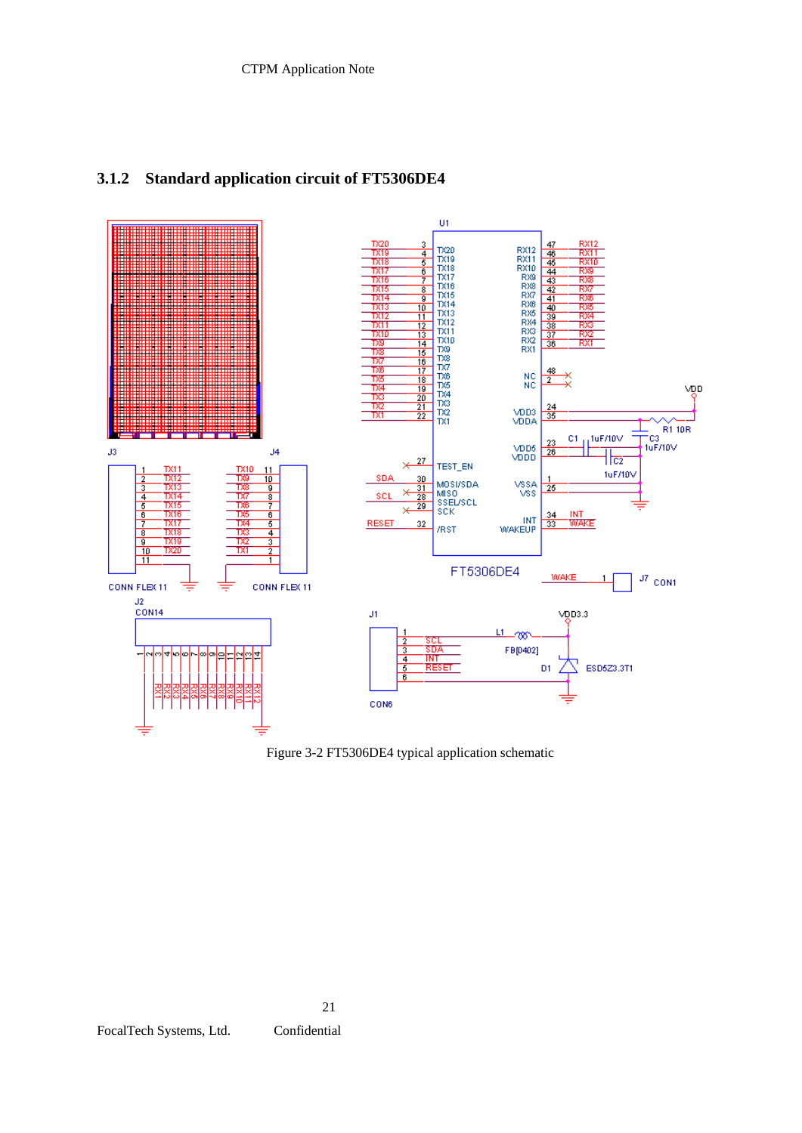![](_page_45_Figure_1.jpeg)

# **3.1.2 Standard application circuit of FT5306DE4**

Figure 3-2 FT5306DE4 typical application schematic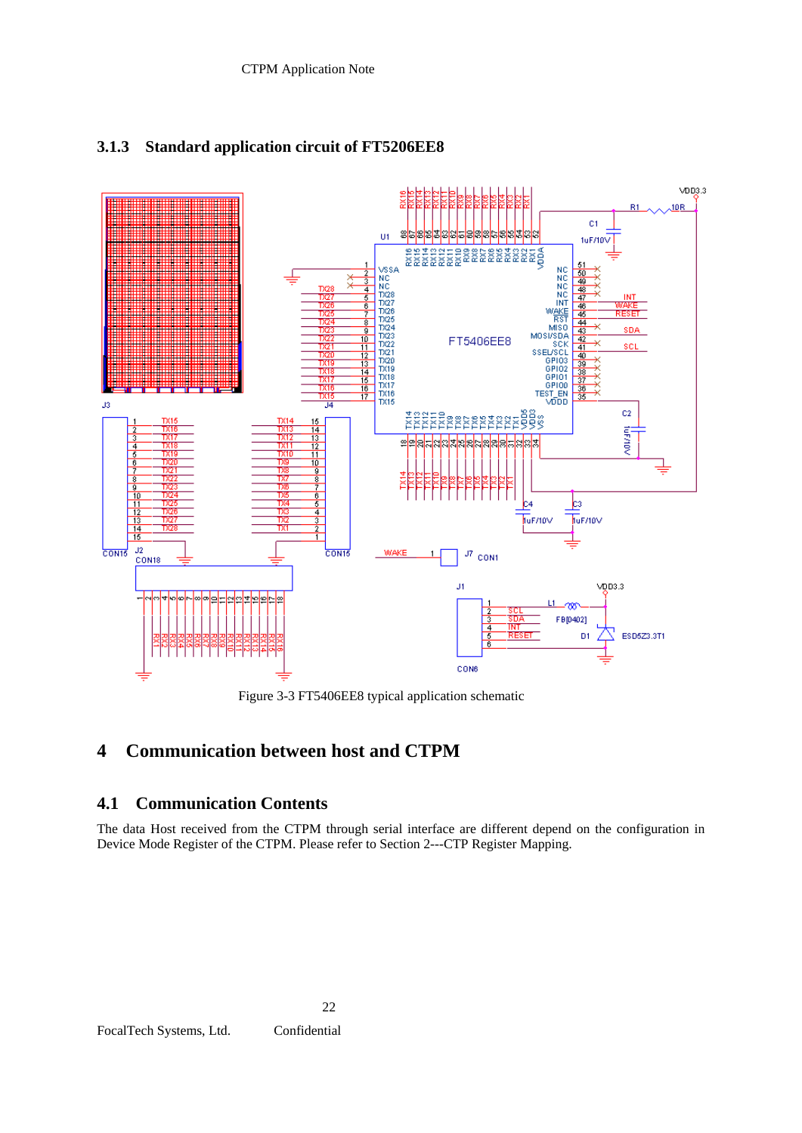![](_page_46_Figure_1.jpeg)

# **3.1.3 Standard application circuit of FT5206EE8**

Figure 3-3 FT5406EE8 typical application schematic

# **4 Communication between host and CTPM**

22

### **4.1 Communication Contents**

The data Host received from the CTPM through serial interface are different depend on the configuration in Device Mode Register of the CTPM. Please refer to Section 2---CTP Register Mapping.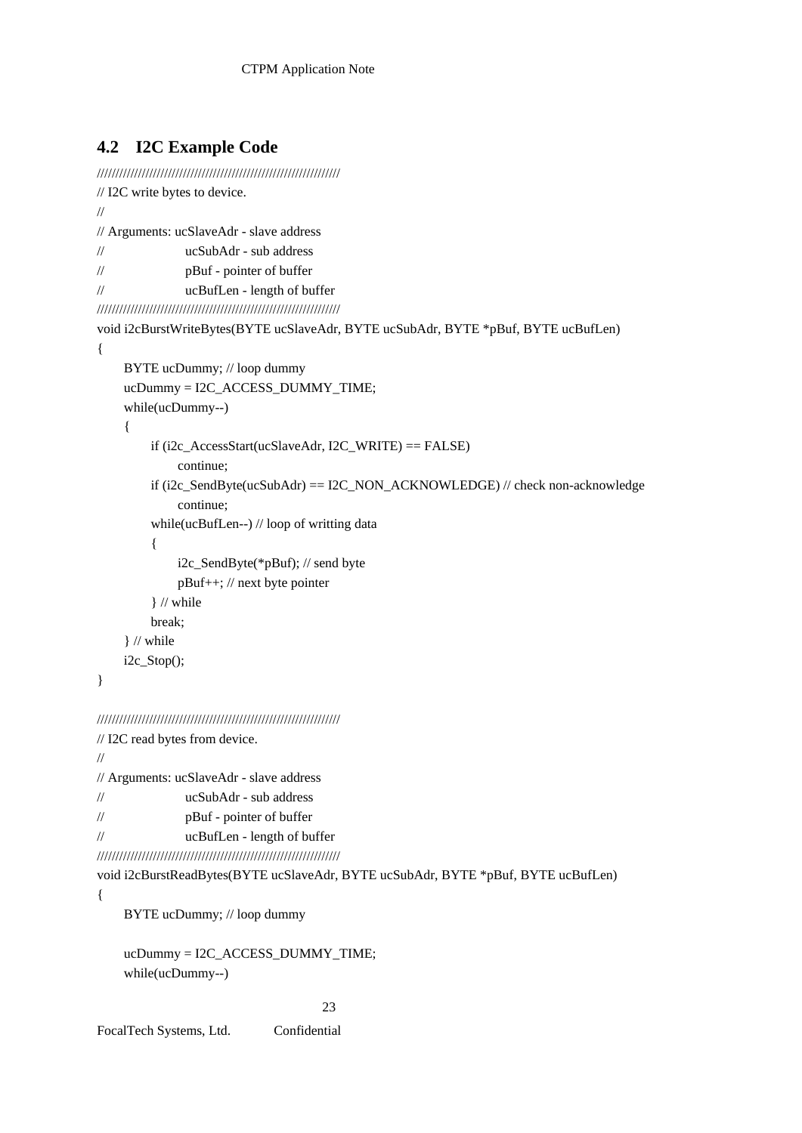# **4.2 I2C Example Code**

```
///////////////////////////////////////////////////////////////// 
// I2C write bytes to device. 
// 
// Arguments: ucSlaveAdr - slave address 
// ucSubAdr - sub address 
// pBuf - pointer of buffer 
// ucBufLen - length of buffer 
///////////////////////////////////////////////////////////////// 
void i2cBurstWriteBytes(BYTE ucSlaveAdr, BYTE ucSubAdr, BYTE *pBuf, BYTE ucBufLen) 
{ 
      BYTE ucDummy; // loop dummy 
      ucDummy = I2C_ACCESS_DUMMY_TIME; 
      while(ucDummy--) 
      { 
          if (i2c_AccessStart(ucSlaveAdr, I2C_WRITE) == FALSE) 
               continue; 
         if (i2c_SendByte(ucSubAdr) == I2C_NON_ACKNOWLEDGE) // check non-acknowledge
               continue; 
          while(ucBufLen--) // loop of writting data 
           { 
               i2c_SendByte(*pBuf); // send byte 
               pBuf++; // next byte pointer 
           } // while 
          break; 
      } // while 
      i2c_Stop(); 
}
```
/////////////////////////////////////////////////////////////////

```
// I2C read bytes from device. 
// 
// Arguments: ucSlaveAdr - slave address 
// ucSubAdr - sub address 
// pBuf - pointer of buffer 
// ucBufLen - length of buffer 
/////////////////////////////////////////////////////////////////
```
void i2cBurstReadBytes(BYTE ucSlaveAdr, BYTE ucSubAdr, BYTE \*pBuf, BYTE ucBufLen)

{

BYTE ucDummy; // loop dummy

 ucDummy = I2C\_ACCESS\_DUMMY\_TIME; while(ucDummy--)

23